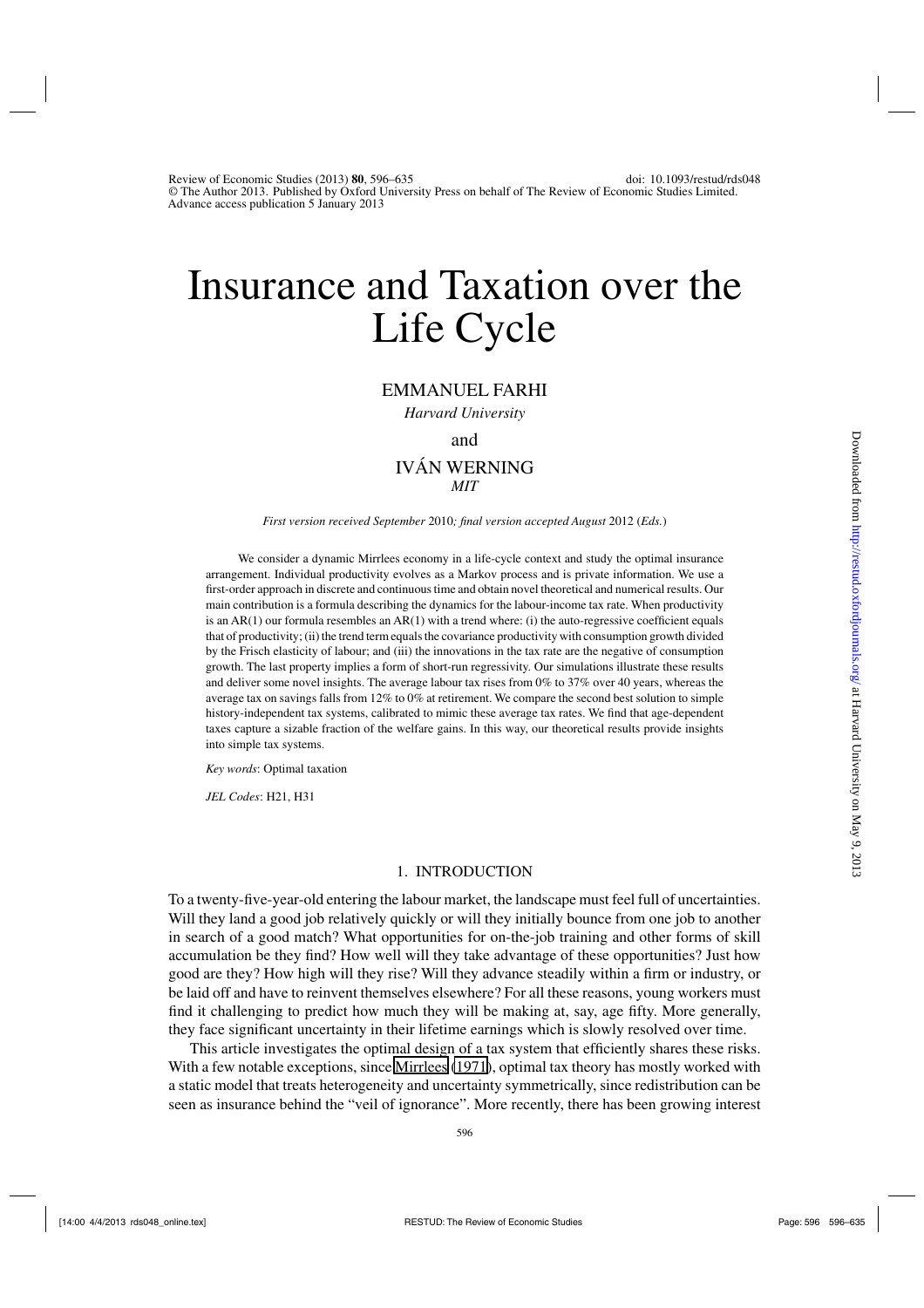# Insurance and Taxation over the Life Cycle

# EMMANUEL FARHI

*Harvard University*

# and

# IVÁN WERNING *MIT*

*First version received September* 2010*; final version accepted August* 2012 (*Eds.*)

We consider a dynamic Mirrlees economy in a life-cycle context and study the optimal insurance arrangement. Individual productivity evolves as a Markov process and is private information. We use a first-order approach in discrete and continuous time and obtain novel theoretical and numerical results. Our main contribution is a formula describing the dynamics for the labour-income tax rate. When productivity is an AR(1) our formula resembles an AR(1) with a trend where: (i) the auto-regressive coefficient equals that of productivity; (ii) the trend term equals the covariance productivity with consumption growth divided by the Frisch elasticity of labour; and (iii) the innovations in the tax rate are the negative of consumption growth. The last property implies a form of short-run regressivity. Our simulations illustrate these results and deliver some novel insights. The average labour tax rises from 0% to 37% over 40 years, whereas the average tax on savings falls from 12% to 0% at retirement. We compare the second best solution to simple history-independent tax systems, calibrated to mimic these average tax rates. We find that age-dependent taxes capture a sizable fraction of the welfare gains. In this way, our theoretical results provide insights into simple tax systems.

*Key words*: Optimal taxation

Advance access publication 5 January 2013

*JEL Codes*: H21, H31

#### 1. INTRODUCTION

To a twenty-five-year-old entering the labour market, the landscape must feel full of uncertainties. Will they land a good job relatively quickly or will they initially bounce from one job to another in search of a good match? What opportunities for on-the-job training and other forms of skill accumulation be they find? How well will they take advantage of these opportunities? Just how good are they? How high will they rise? Will they advance steadily within a firm or industry, or be laid off and have to reinvent themselves elsewhere? For all these reasons, young workers must find it challenging to predict how much they will be making at, say, age fifty. More generally, they face significant uncertainty in their lifetime earnings which is slowly resolved over time.

This article investigates the optimal design of a tax system that efficiently shares these risks. With a few notable exceptions, since [Mirrlees](#page-39-0) [\(1971\)](#page-39-0), optimal tax theory has mostly worked with a static model that treats heterogeneity and uncertainty symmetrically, since redistribution can be seen as insurance behind the "veil of ignorance". More recently, there has been growing interest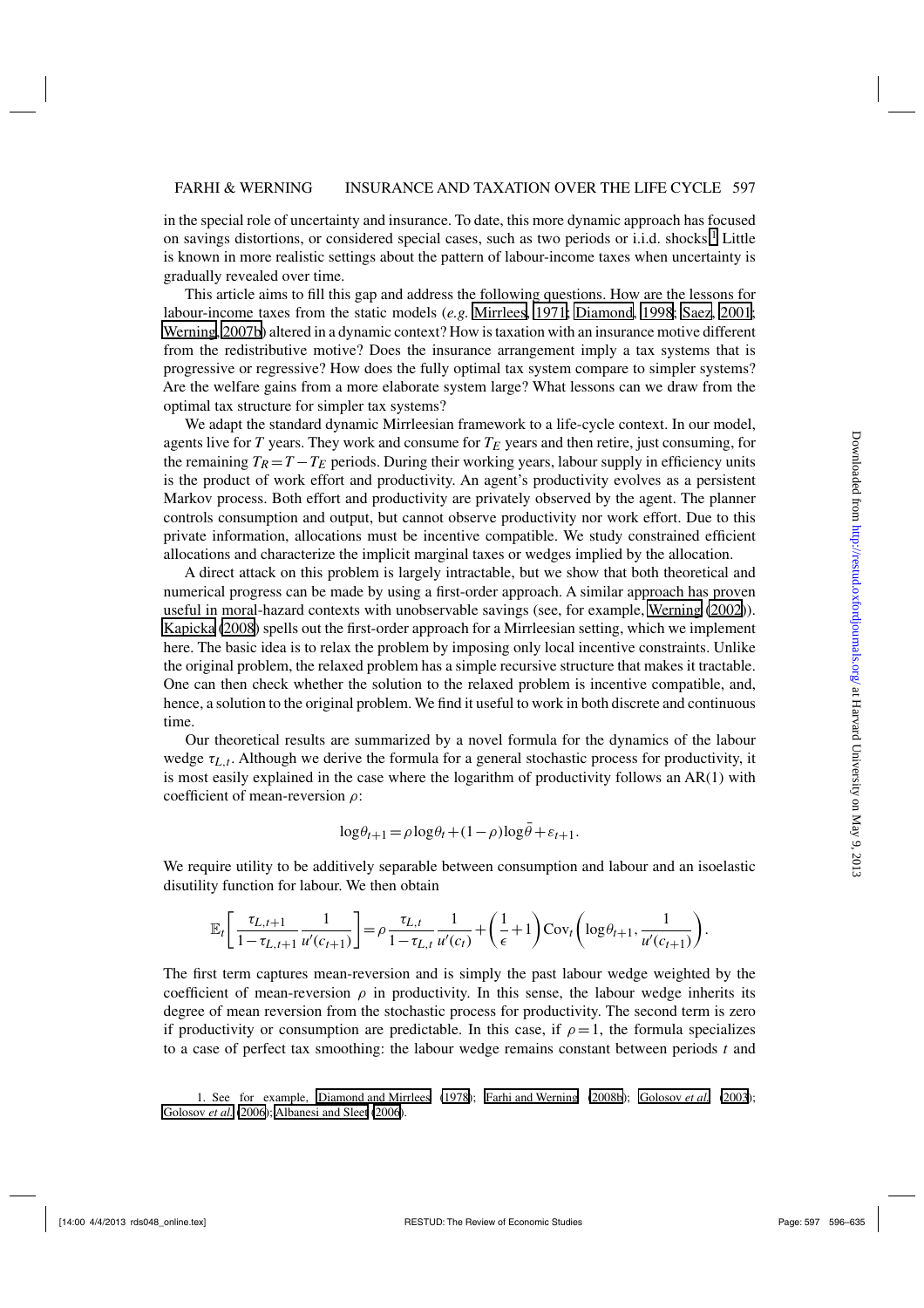in the special role of uncertainty and insurance. To date, this more dynamic approach has focused on savings distortions, or considered special cases, such as two periods or i.i.d. shocks.<sup>1</sup> Little is known in more realistic settings about the pattern of labour-income taxes when uncertainty is gradually revealed over time.

This article aims to fill this gap and address the following questions. How are the lessons for labour-income taxes from the static models (*e.g.* [Mirrlees](#page-39-0), [1971;](#page-39-0) [Diamond](#page-38-0), [1998;](#page-38-0) [Saez, 2001](#page-39-0); [Werning](#page-39-0), [2007b\)](#page-39-0) altered in a dynamic context? How is taxation with an insurance motive different from the redistributive motive? Does the insurance arrangement imply a tax systems that is progressive or regressive? How does the fully optimal tax system compare to simpler systems? Are the welfare gains from a more elaborate system large? What lessons can we draw from the optimal tax structure for simpler tax systems?

We adapt the standard dynamic Mirrleesian framework to a life-cycle context. In our model, agents live for *T* years. They work and consume for  $T_E$  years and then retire, just consuming, for the remaining  $T_R = T - T_E$  periods. During their working years, labour supply in efficiency units is the product of work effort and productivity. An agent's productivity evolves as a persistent Markov process. Both effort and productivity are privately observed by the agent. The planner controls consumption and output, but cannot observe productivity nor work effort. Due to this private information, allocations must be incentive compatible. We study constrained efficient allocations and characterize the implicit marginal taxes or wedges implied by the allocation.

A direct attack on this problem is largely intractable, but we show that both theoretical and numerical progress can be made by using a first-order approach. A similar approach has proven useful in moral-hazard contexts with unobservable savings (see, for example, [Werning](#page-39-0) [\(2002\)](#page-39-0)). [Kapicka](#page-39-0) [\(2008](#page-39-0)) spells out the first-order approach for a Mirrleesian setting, which we implement here. The basic idea is to relax the problem by imposing only local incentive constraints. Unlike the original problem, the relaxed problem has a simple recursive structure that makes it tractable. One can then check whether the solution to the relaxed problem is incentive compatible, and, hence, a solution to the original problem. We find it useful to work in both discrete and continuous time.

Our theoretical results are summarized by a novel formula for the dynamics of the labour wedge  $\tau_{L,t}$ . Although we derive the formula for a general stochastic process for productivity, it is most easily explained in the case where the logarithm of productivity follows an AR(1) with coefficient of mean-reversion  $\rho$ :

$$
\log \theta_{t+1} = \rho \log \theta_t + (1 - \rho) \log \bar{\theta} + \varepsilon_{t+1}.
$$

We require utility to be additively separable between consumption and labour and an isoelastic disutility function for labour. We then obtain

$$
\mathbb{E}_{t}\left[\frac{\tau_{L,t+1}}{1-\tau_{L,t+1}}\frac{1}{u'(c_{t+1})}\right] = \rho \frac{\tau_{L,t}}{1-\tau_{L,t}}\frac{1}{u'(c_{t})} + \left(\frac{1}{\epsilon}+1\right) \text{Cov}_{t}\left(\log \theta_{t+1}, \frac{1}{u'(c_{t+1})}\right).
$$

The first term captures mean-reversion and is simply the past labour wedge weighted by the coefficient of mean-reversion  $\rho$  in productivity. In this sense, the labour wedge inherits its degree of mean reversion from the stochastic process for productivity. The second term is zero if productivity or consumption are predictable. In this case, if  $\rho = 1$ , the formula specializes to a case of perfect tax smoothing: the labour wedge remains constant between periods *t* and

<sup>1.</sup> See for example, [Diamond and Mirrlees](#page-38-0) [\(1978](#page-38-0)); [Farhi and Werning](#page-38-0) [\(2008b](#page-38-0)); [Golosov](#page-38-0) *et al.* [\(2003](#page-38-0)); [Golosov](#page-38-0) *et al.* [\(2006](#page-38-0)); [Albanesi and Sleet](#page-38-0) [\(2006\)](#page-38-0).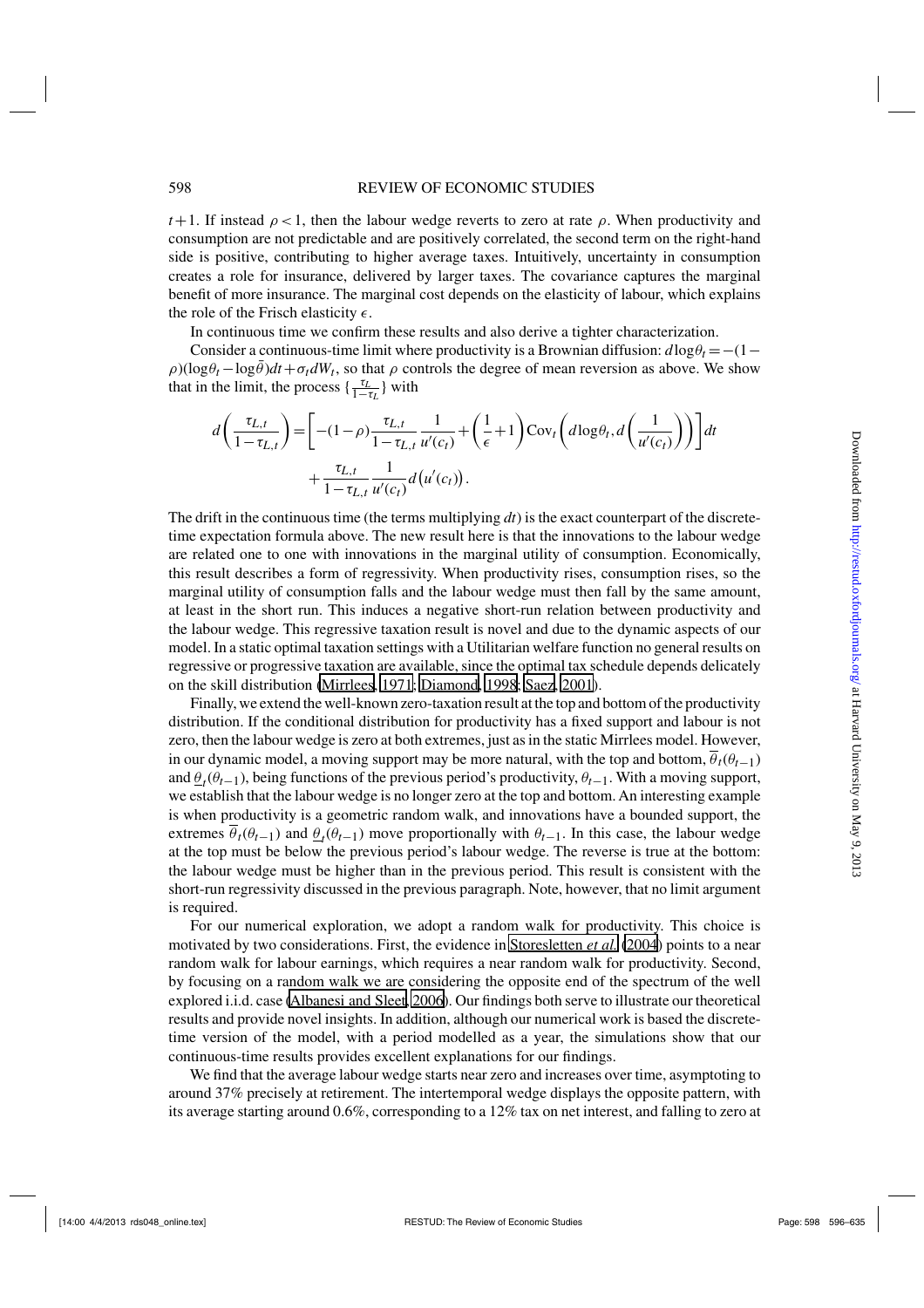$t+1$ . If instead  $\rho < 1$ , then the labour wedge reverts to zero at rate  $\rho$ . When productivity and consumption are not predictable and are positively correlated, the second term on the right-hand side is positive, contributing to higher average taxes. Intuitively, uncertainty in consumption creates a role for insurance, delivered by larger taxes. The covariance captures the marginal benefit of more insurance. The marginal cost depends on the elasticity of labour, which explains the role of the Frisch elasticity  $\epsilon$ .

In continuous time we confirm these results and also derive a tighter characterization.

Consider a continuous-time limit where productivity is a Brownian diffusion:  $d\log\theta_t = -(1-\theta)^2$  $\rho$ )( $\log \theta_t - \log \bar{\theta}$ )*dt* +  $\sigma_t dW_t$ , so that  $\rho$  controls the degree of mean reversion as above. We show that in the limit, the process  $\{\frac{\tau_L}{1-\tau_L}\}\$  with

$$
d\left(\frac{\tau_{L,t}}{1-\tau_{L,t}}\right) = \left[ -(1-\rho)\frac{\tau_{L,t}}{1-\tau_{L,t}}\frac{1}{u'(c_t)} + \left(\frac{1}{\epsilon}+1\right) \text{Cov}_t \left(d\log\theta_t, d\left(\frac{1}{u'(c_t)}\right)\right) \right] dt + \frac{\tau_{L,t}}{1-\tau_{L,t}}\frac{1}{u'(c_t)}d\left(u'(c_t)\right).
$$

The drift in the continuous time (the terms multiplying  $dt$ ) is the exact counterpart of the discretetime expectation formula above. The new result here is that the innovations to the labour wedge are related one to one with innovations in the marginal utility of consumption. Economically, this result describes a form of regressivity. When productivity rises, consumption rises, so the marginal utility of consumption falls and the labour wedge must then fall by the same amount, at least in the short run. This induces a negative short-run relation between productivity and the labour wedge. This regressive taxation result is novel and due to the dynamic aspects of our model. In a static optimal taxation settings with a Utilitarian welfare function no general results on regressive or progressive taxation are available, since the optimal tax schedule depends delicately on the skill distribution [\(Mirrlees](#page-39-0), [1971;](#page-39-0) [Diamond](#page-38-0), [1998](#page-38-0); [Saez](#page-39-0), [2001](#page-39-0)).

Finally, we extend the well-known zero-taxation result at the top and bottom of the productivity distribution. If the conditional distribution for productivity has a fixed support and labour is not zero, then the labour wedge is zero at both extremes, just as in the static Mirrlees model. However, in our dynamic model, a moving support may be more natural, with the top and bottom,  $\theta_t(\theta_{t-1})$ and  $\theta_t(\theta_{t-1})$ , being functions of the previous period's productivity,  $\theta_{t-1}$ . With a moving support, we establish that the labour wedge is no longer zero at the top and bottom. An interesting example is when productivity is a geometric random walk, and innovations have a bounded support, the extremes  $\overline{\theta}_t(\theta_{t-1})$  and  $\underline{\theta}_t(\theta_{t-1})$  move proportionally with  $\theta_{t-1}$ . In this case, the labour wedge at the top must be below the previous period's labour wedge. The reverse is true at the bottom: the labour wedge must be higher than in the previous period. This result is consistent with the short-run regressivity discussed in the previous paragraph. Note, however, that no limit argument is required.

For our numerical exploration, we adopt a random walk for productivity. This choice is motivated by two considerations. First, the evidence in [Storesletten](#page-39-0) *et al.* [\(2004\)](#page-39-0) points to a near random walk for labour earnings, which requires a near random walk for productivity. Second, by focusing on a random walk we are considering the opposite end of the spectrum of the well explored i.i.d. case [\(Albanesi and Sleet, 2006\)](#page-38-0). Our findings both serve to illustrate our theoretical results and provide novel insights. In addition, although our numerical work is based the discretetime version of the model, with a period modelled as a year, the simulations show that our continuous-time results provides excellent explanations for our findings.

We find that the average labour wedge starts near zero and increases over time, asymptoting to around 37% precisely at retirement. The intertemporal wedge displays the opposite pattern, with its average starting around 0.6%, corresponding to a 12% tax on net interest, and falling to zero at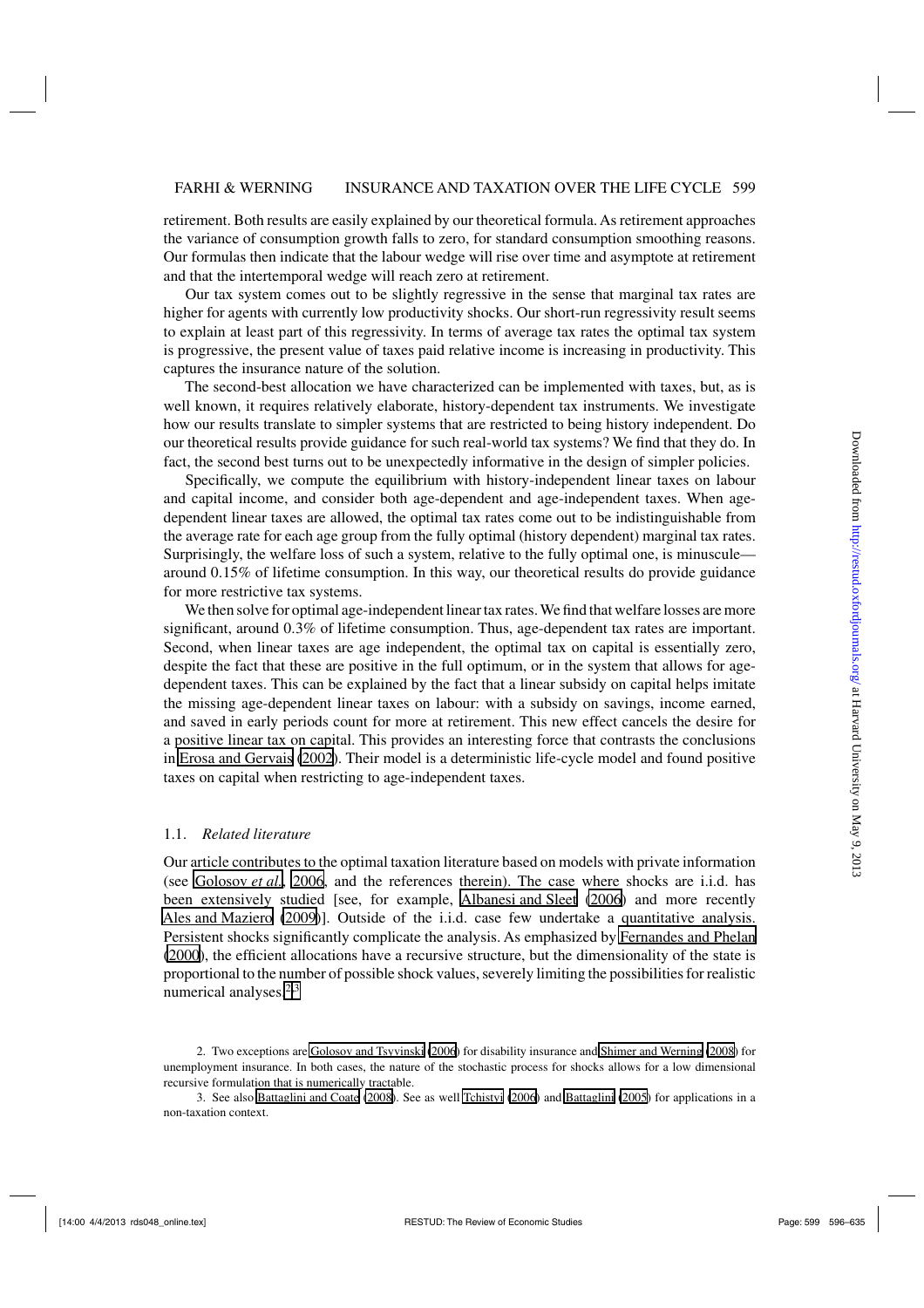retirement. Both results are easily explained by our theoretical formula. As retirement approaches the variance of consumption growth falls to zero, for standard consumption smoothing reasons. Our formulas then indicate that the labour wedge will rise over time and asymptote at retirement and that the intertemporal wedge will reach zero at retirement.

Our tax system comes out to be slightly regressive in the sense that marginal tax rates are higher for agents with currently low productivity shocks. Our short-run regressivity result seems to explain at least part of this regressivity. In terms of average tax rates the optimal tax system is progressive, the present value of taxes paid relative income is increasing in productivity. This captures the insurance nature of the solution.

The second-best allocation we have characterized can be implemented with taxes, but, as is well known, it requires relatively elaborate, history-dependent tax instruments. We investigate how our results translate to simpler systems that are restricted to being history independent. Do our theoretical results provide guidance for such real-world tax systems? We find that they do. In fact, the second best turns out to be unexpectedly informative in the design of simpler policies.

Specifically, we compute the equilibrium with history-independent linear taxes on labour and capital income, and consider both age-dependent and age-independent taxes. When agedependent linear taxes are allowed, the optimal tax rates come out to be indistinguishable from the average rate for each age group from the fully optimal (history dependent) marginal tax rates. Surprisingly, the welfare loss of such a system, relative to the fully optimal one, is minuscule around 0.15% of lifetime consumption. In this way, our theoretical results do provide guidance for more restrictive tax systems.

We then solve for optimal age-independent linear tax rates. We find that welfare losses are more significant, around 0.3% of lifetime consumption. Thus, age-dependent tax rates are important. Second, when linear taxes are age independent, the optimal tax on capital is essentially zero, despite the fact that these are positive in the full optimum, or in the system that allows for agedependent taxes. This can be explained by the fact that a linear subsidy on capital helps imitate the missing age-dependent linear taxes on labour: with a subsidy on savings, income earned, and saved in early periods count for more at retirement. This new effect cancels the desire for a positive linear tax on capital. This provides an interesting force that contrasts the conclusions in [Erosa and Gervais](#page-38-0) [\(2002\)](#page-38-0). Their model is a deterministic life-cycle model and found positive taxes on capital when restricting to age-independent taxes.

# 1.1. *Related literature*

Our article contributes to the optimal taxation literature based on models with private information (see [Golosov](#page-38-0) *et al.*, [2006,](#page-38-0) and the references therein). The case where shocks are i.i.d. has been extensively studied [see, for example, [Albanesi and Sleet](#page-38-0) [\(2006](#page-38-0)) and more recently [Ales and Maziero](#page-38-0) [\(2009\)](#page-38-0)]. Outside of the i.i.d. case few undertake a quantitative analysis. Persistent shocks significantly complicate the analysis. As emphasized by [Fernandes and Phelan](#page-38-0) [\(2000\)](#page-38-0), the efficient allocations have a recursive structure, but the dimensionality of the state is proportional to the number of possible shock values, severely limiting the possibilities for realistic numerical analyses. $2,3$ 

<sup>2.</sup> Two exceptions are [Golosov and Tsyvinski](#page-38-0) [\(2006\)](#page-38-0) for disability insurance and [Shimer and Werning](#page-39-0) [\(2008](#page-39-0)) for unemployment insurance. In both cases, the nature of the stochastic process for shocks allows for a low dimensional recursive formulation that is numerically tractable.

<sup>3.</sup> See also [Battaglini and Coate](#page-38-0) [\(2008\)](#page-38-0). See as well [Tchistyi](#page-39-0) [\(2006](#page-39-0)) and [Battaglini](#page-38-0) [\(2005\)](#page-38-0) for applications in a non-taxation context.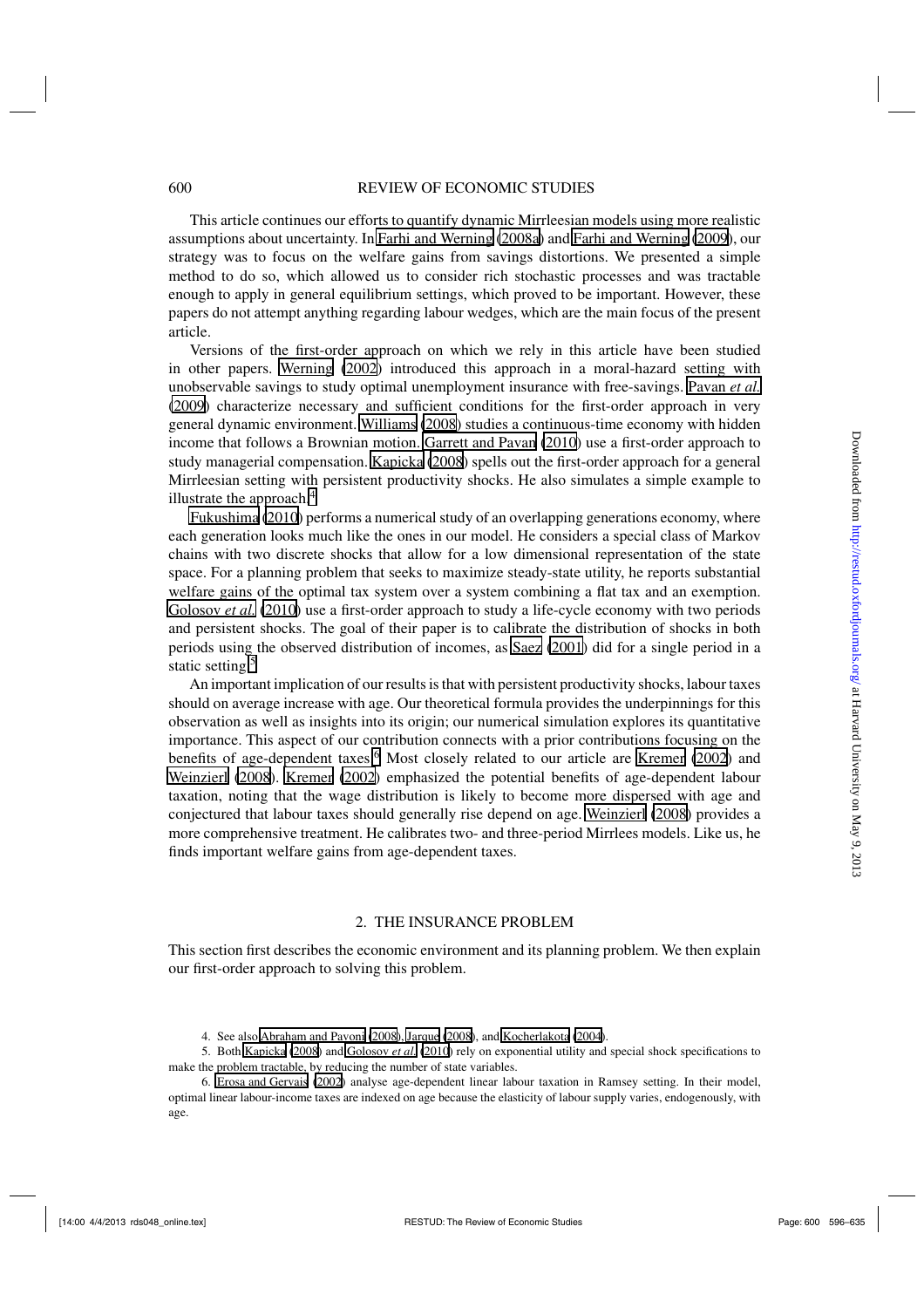This article continues our efforts to quantify dynamic Mirrleesian models using more realistic assumptions about uncertainty. In [Farhi and Werning](#page-38-0) [\(2008a\)](#page-38-0) and [Farhi and Werning](#page-38-0) [\(2009](#page-38-0)), our strategy was to focus on the welfare gains from savings distortions. We presented a simple method to do so, which allowed us to consider rich stochastic processes and was tractable enough to apply in general equilibrium settings, which proved to be important. However, these papers do not attempt anything regarding labour wedges, which are the main focus of the present article.

Versions of the first-order approach on which we rely in this article have been studied in other papers. [Werning](#page-39-0) [\(2002](#page-39-0)) introduced this approach in a moral-hazard setting with unobservable savings to study optimal unemployment insurance with free-savings. [Pavan](#page-39-0) *et al.* [\(2009](#page-39-0)) characterize necessary and sufficient conditions for the first-order approach in very general dynamic environment. [Williams](#page-39-0) [\(2008](#page-39-0)) studies a continuous-time economy with hidden income that follows a Brownian motion. [Garrett and Pavan](#page-38-0) [\(2010\)](#page-38-0) use a first-order approach to study managerial compensation. [Kapicka](#page-39-0) [\(2008](#page-39-0)) spells out the first-order approach for a general Mirrleesian setting with persistent productivity shocks. He also simulates a simple example to illustrate the approach. $4$ 

[Fukushima](#page-38-0) [\(2010](#page-38-0)) performs a numerical study of an overlapping generations economy, where each generation looks much like the ones in our model. He considers a special class of Markov chains with two discrete shocks that allow for a low dimensional representation of the state space. For a planning problem that seeks to maximize steady-state utility, he reports substantial welfare gains of the optimal tax system over a system combining a flat tax and an exemption. [Golosov](#page-38-0) *et al.* [\(2010\)](#page-38-0) use a first-order approach to study a life-cycle economy with two periods and persistent shocks. The goal of their paper is to calibrate the distribution of shocks in both periods using the observed distribution of incomes, as [Saez](#page-39-0) [\(2001](#page-39-0)) did for a single period in a static setting.<sup>5</sup>

An important implication of our results is that with persistent productivity shocks, labour taxes should on average increase with age. Our theoretical formula provides the underpinnings for this observation as well as insights into its origin; our numerical simulation explores its quantitative importance. This aspect of our contribution connects with a prior contributions focusing on the benefits of age-dependent taxes.<sup>6</sup> Most closely related to our article are [Kremer](#page-39-0) [\(2002](#page-39-0)) and [Weinzierl](#page-39-0) [\(2008](#page-39-0)). [Kremer](#page-39-0) [\(2002\)](#page-39-0) emphasized the potential benefits of age-dependent labour taxation, noting that the wage distribution is likely to become more dispersed with age and conjectured that labour taxes should generally rise depend on age. [Weinzierl](#page-39-0) [\(2008](#page-39-0)) provides a more comprehensive treatment. He calibrates two- and three-period Mirrlees models. Like us, he finds important welfare gains from age-dependent taxes.

# 2. THE INSURANCE PROBLEM

This section first describes the economic environment and its planning problem. We then explain our first-order approach to solving this problem.

<sup>4.</sup> See also [Abraham and Pavoni](#page-38-0) [\(2008\)](#page-38-0), [Jarque](#page-39-0) [\(2008\)](#page-39-0), and [Kocherlakota](#page-39-0) [\(2004\)](#page-39-0).

<sup>5.</sup> Both [Kapicka](#page-39-0) [\(2008](#page-39-0)) and [Golosov](#page-38-0) *et al.* [\(2010](#page-38-0)) rely on exponential utility and special shock specifications to make the problem tractable, by reducing the number of state variables.

<sup>6.</sup> [Erosa and Gervais](#page-38-0) [\(2002](#page-38-0)) analyse age-dependent linear labour taxation in Ramsey setting. In their model, optimal linear labour-income taxes are indexed on age because the elasticity of labour supply varies, endogenously, with age.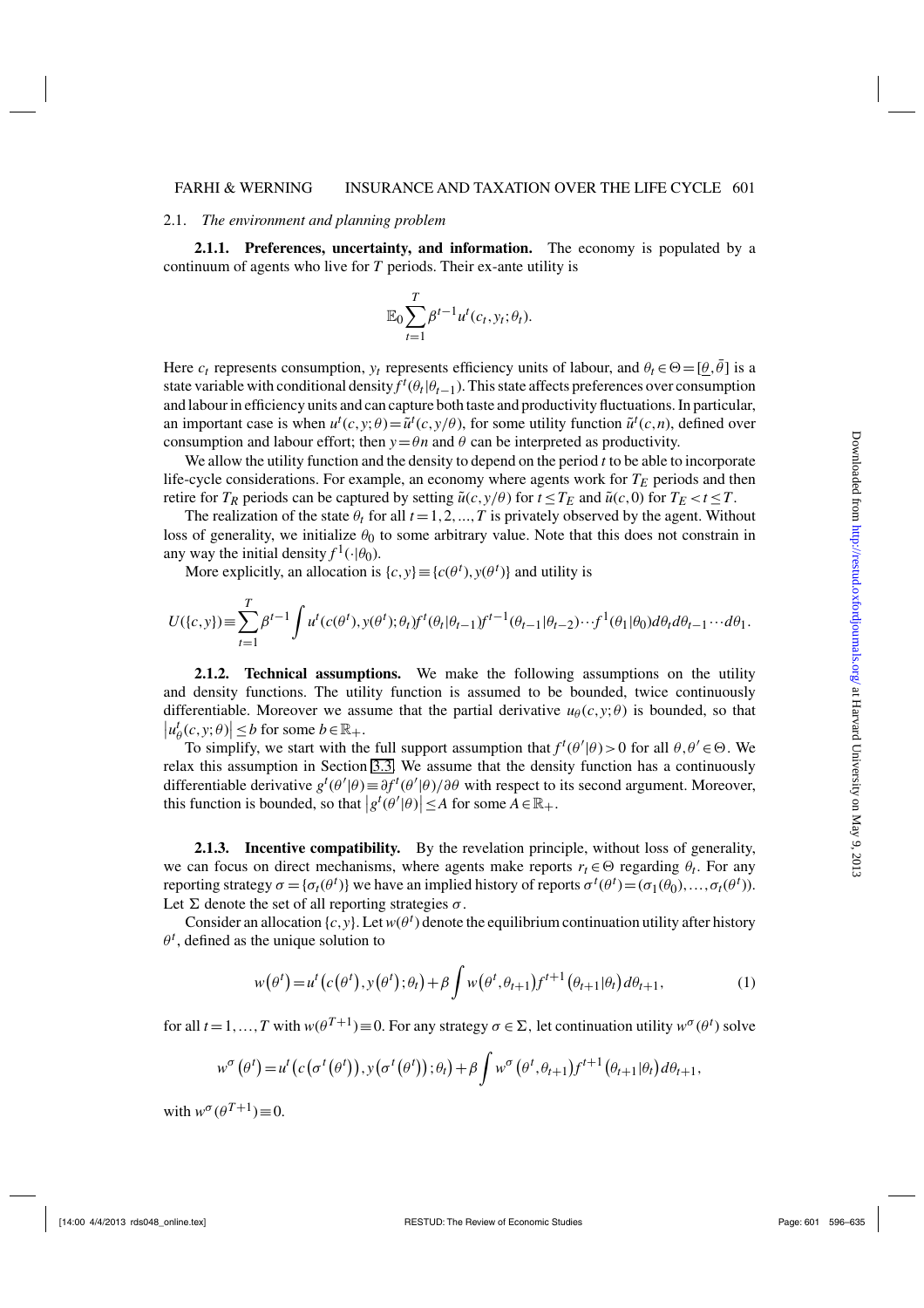# <span id="page-5-0"></span>FARHI & WERNING INSURANCE AND TAXATION OVER THE LIFE CYCLE 601

#### 2.1. *The environment and planning problem*

**2.1.1. Preferences, uncertainty, and information.** The economy is populated by a continuum of agents who live for *T* periods. Their ex-ante utility is

$$
\mathbb{E}_0 \sum_{t=1}^T \beta^{t-1} u^t(c_t, y_t; \theta_t).
$$

Here  $c_t$  represents consumption,  $y_t$  represents efficiency units of labour, and  $\theta_t \in \Theta = [\theta, \bar{\theta}]$  is a state variable with conditional density  $f^t(\theta_t|\theta_{t-1})$ . This state affects preferences over consumption and labour in efficiency units and can capture both taste and productivity fluctuations. In particular, an important case is when  $u^t(c, y; \theta) = \tilde{u}^t(c, y/\theta)$ , for some utility function  $\tilde{u}^t(c, n)$ , defined over consumption and labour effort; then  $y = \theta n$  and  $\theta$  can be interpreted as productivity.

We allow the utility function and the density to depend on the period *t* to be able to incorporate life-cycle considerations. For example, an economy where agents work for  $T_E$  periods and then retire for  $T_R$  periods can be captured by setting  $\tilde{u}(c, y/\theta)$  for  $t < T_F$  and  $\tilde{u}(c, 0)$  for  $T_F < t < T$ .

The realization of the state  $\theta_t$  for all  $t = 1, 2, ..., T$  is privately observed by the agent. Without loss of generality, we initialize  $\theta_0$  to some arbitrary value. Note that this does not constrain in any way the initial density  $f^1(\cdot|\theta_0)$ .

More explicitly, an allocation is  $\{c, y\} \equiv \{c(\theta^t), y(\theta^t)\}\$ and utility is

$$
U(\lbrace c, y \rbrace) \equiv \sum_{t=1}^{T} \beta^{t-1} \int u^t (c(\theta^t), y(\theta^t); \theta_t) f^t(\theta_t | \theta_{t-1}) f^{t-1}(\theta_{t-1} | \theta_{t-2}) \cdots f^1(\theta_1 | \theta_0) d\theta_t d\theta_{t-1} \cdots d\theta_1.
$$

**2.1.2. Technical assumptions.** We make the following assumptions on the utility and density functions. The utility function is assumed to be bounded, twice continuously differentiable. Moreover we assume that the partial derivative  $u_{\theta}(c, y; \theta)$  is bounded, so that  $|u^t_\theta(c, y; \theta)| \leq b$  for some  $b \in \mathbb{R}_+$ .

To simplify, we start with the full support assumption that  $f^t(\theta'|\theta) > 0$  for all  $\theta, \theta' \in \Theta$ . We relax this assumption in Section [3.3.](#page-15-0) We assume that the density function has a continuously differentiable derivative  $g^t(\theta'|\theta) \equiv \partial f^t(\theta'|\theta)/\partial \theta$  with respect to its second argument. Moreover, this function is bounded, so that  $|g^t(\theta'|\theta)| \leq A$  for some  $\hat{A} \in \mathbb{R}_+$ .

**2.1.3. Incentive compatibility.** By the revelation principle, without loss of generality, we can focus on direct mechanisms, where agents make reports  $r_t \in \Theta$  regarding  $\theta_t$ . For any reporting strategy  $\sigma = {\sigma_t(\theta^t)}$  we have an implied history of reports  $\sigma^t(\theta^t) = (\sigma_1(\theta_0), ..., \sigma_t(\theta^t))$ . Let  $\Sigma$  denote the set of all reporting strategies  $\sigma$ .

Consider an allocation  $\{c, y\}$ . Let  $w(\theta^t)$  denote the equilibrium continuation utility after history  $\theta^t$ , defined as the unique solution to

$$
w(\theta^t) = u^t(c(\theta^t), y(\theta^t); \theta_t) + \beta \int w(\theta^t, \theta_{t+1}) f^{t+1}(\theta_{t+1}|\theta_t) d\theta_{t+1},
$$
\n(1)

for all  $t = 1, ..., T$  with  $w(\theta^{T+1}) \equiv 0$ . For any strategy  $\sigma \in \Sigma$ , let continuation utility  $w^{\sigma}(\theta^t)$  solve

$$
w^{\sigma}(\theta^{t}) = u^{t} (c(\sigma^{t}(\theta^{t})), y(\sigma^{t}(\theta^{t})); \theta_{t}) + \beta \int w^{\sigma} (\theta^{t}, \theta_{t+1}) f^{t+1} (\theta_{t+1} | \theta_{t}) d\theta_{t+1},
$$

with  $w^{\sigma}(\theta^{T+1}) \equiv 0$ .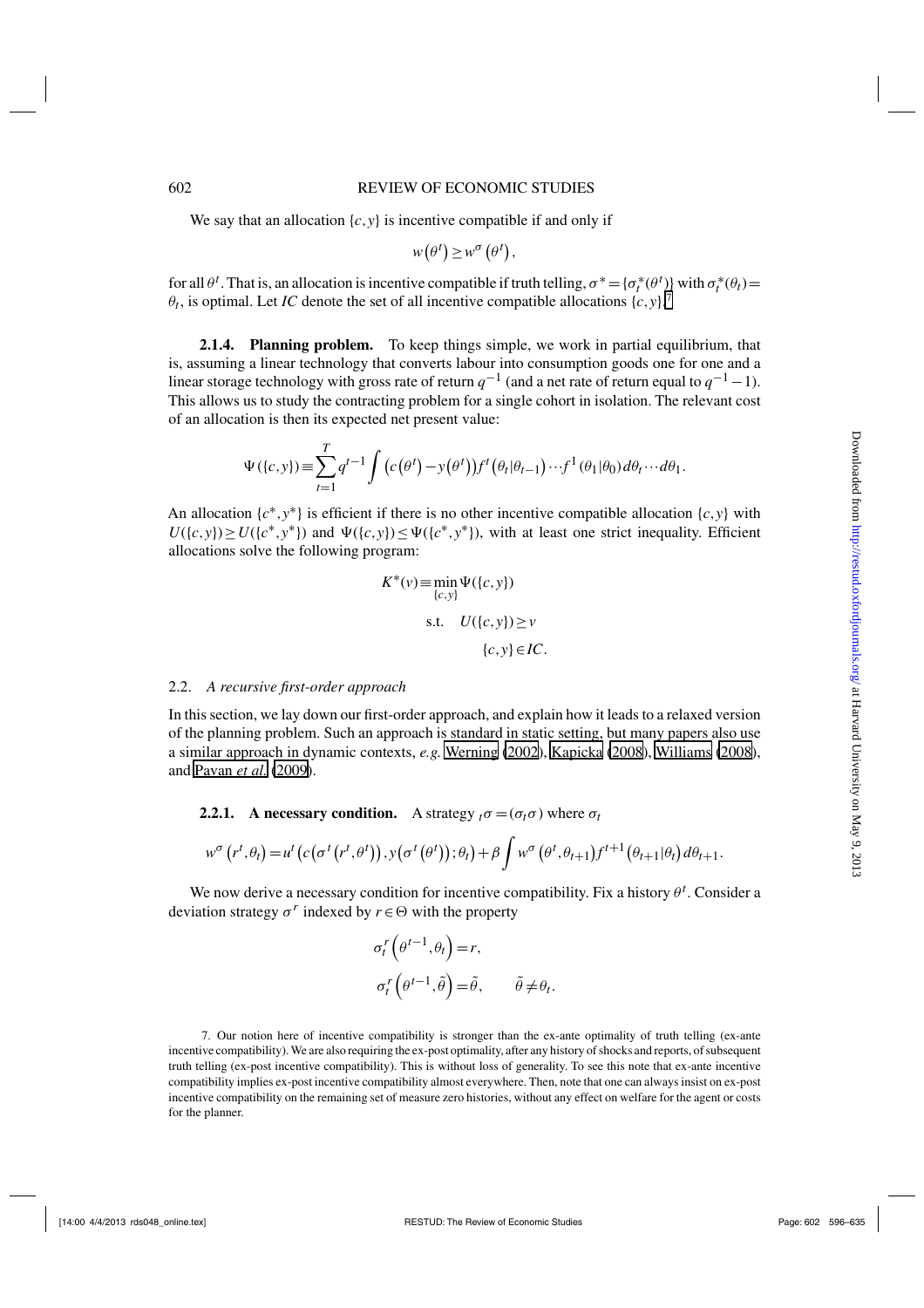# 602 REVIEW OF ECONOMIC STUDIES

We say that an allocation  $\{c, y\}$  is incentive compatible if and only if

$$
w(\theta^t) \geq w^{\sigma}(\theta^t),
$$

for all  $\theta^t$ . That is, an allocation is incentive compatible if truth telling,  $\sigma^* = {\{\sigma_t^*(\theta^t)\}\atop \sigma_t^*(\theta_t)=\sigma_t^*(\theta^t)}$  $\theta_t$ , is optimal. Let *IC* denote the set of all incentive compatible allocations {*c*,*y*}.<sup>7</sup>

**2.1.4. Planning problem.** To keep things simple, we work in partial equilibrium, that is, assuming a linear technology that converts labour into consumption goods one for one and a linear storage technology with gross rate of return  $q^{-1}$  (and a net rate of return equal to  $q^{-1}$  − 1). This allows us to study the contracting problem for a single cohort in isolation. The relevant cost of an allocation is then its expected net present value:

$$
\Psi(\lbrace c, y \rbrace) \equiv \sum_{t=1}^{T} q^{t-1} \int \left( c(\theta^t) - y(\theta^t) \right) f^t \left( \theta_t | \theta_{t-1} \right) \cdots f^1 \left( \theta_1 | \theta_0 \right) d\theta_t \cdots d\theta_1.
$$

An allocation  $\{c^*, y^*\}$  is efficient if there is no other incentive compatible allocation  $\{c, y\}$  with  $U({c}, y) \ge U({c^*, y^*})$  and  $\Psi({c}, y) \le \Psi({c^*, y^*})$ , with at least one strict inequality. Efficient allocations solve the following program:

$$
K^*(v) \equiv \min_{\{c,y\}} \Psi(\{c,y\})
$$
  
s.t. 
$$
U(\{c,y\}) \ge v
$$

$$
\{c,y\} \in IC.
$$

#### 2.2. *A recursive first-order approach*

In this section, we lay down our first-order approach, and explain how it leads to a relaxed version of the planning problem. Such an approach is standard in static setting, but many papers also use a similar approach in dynamic contexts, *e.g.* [Werning](#page-39-0) [\(2002\)](#page-39-0), [Kapicka](#page-39-0) [\(2008](#page-39-0)), [Williams](#page-39-0) [\(2008](#page-39-0)), and [Pavan](#page-39-0) *et al.* [\(2009](#page-39-0)).

# **2.2.1.** A necessary condition. A strategy  $t\sigma = (\sigma_t \sigma)$  where  $\sigma_t$

$$
w^{\sigma}(r^{t},\theta_{t})=u^{t}(c(\sigma^{t}(r^{t},\theta^{t})),y(\sigma^{t}(\theta^{t}));\theta_{t})+\beta\int w^{\sigma}(\theta^{t},\theta_{t+1})f^{t+1}(\theta_{t+1}|\theta_{t})d\theta_{t+1}.
$$

We now derive a necessary condition for incentive compatibility. Fix a history  $\theta^t$ . Consider a deviation strategy  $\sigma^r$  indexed by  $r \in \Theta$  with the property

$$
\sigma_t^r \left( \theta^{t-1}, \theta_t \right) = r,
$$
  
\n
$$
\sigma_t^r \left( \theta^{t-1}, \tilde{\theta} \right) = \tilde{\theta}, \qquad \tilde{\theta} \neq \theta_t.
$$

7. Our notion here of incentive compatibility is stronger than the ex-ante optimality of truth telling (ex-ante incentive compatibility). We are also requiring the ex-post optimality, after any history of shocks and reports, of subsequent truth telling (ex-post incentive compatibility). This is without loss of generality. To see this note that ex-ante incentive compatibility implies ex-post incentive compatibility almost everywhere. Then, note that one can always insist on ex-post incentive compatibility on the remaining set of measure zero histories, without any effect on welfare for the agent or costs for the planner.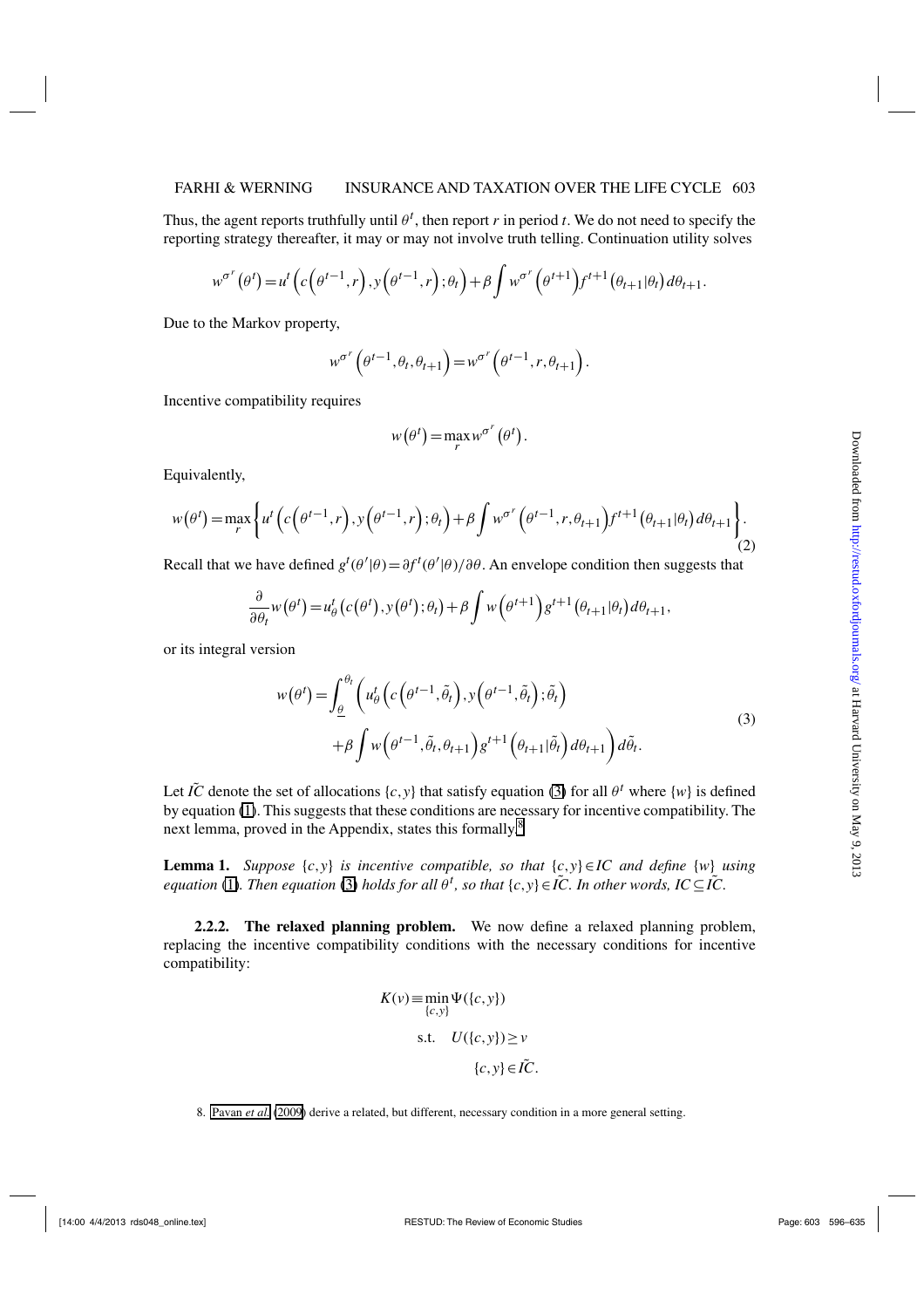<span id="page-7-0"></span>Thus, the agent reports truthfully until  $\theta^t$ , then report *r* in period *t*. We do not need to specify the reporting strategy thereafter, it may or may not involve truth telling. Continuation utility solves

$$
w^{\sigma^r}(\theta^t) = u^t\left(c\left(\theta^{t-1},r\right),y\left(\theta^{t-1},r\right);\theta_t\right) + \beta \int w^{\sigma^r}\left(\theta^{t+1}\right)f^{t+1}\left(\theta_{t+1}|\theta_t\right)d\theta_{t+1}.
$$

Due to the Markov property,

$$
w^{\sigma^r}(\theta^{t-1}, \theta_t, \theta_{t+1}) = w^{\sigma^r}(\theta^{t-1}, r, \theta_{t+1}).
$$

Incentive compatibility requires

$$
w(\theta^t) = \max_r w^{\sigma^r}(\theta^t).
$$

Equivalently,

$$
w(\theta^t) = \max_r \left\{ u^t \left( c \left( \theta^{t-1}, r \right), y \left( \theta^{t-1}, r \right); \theta_t \right) + \beta \int w^{\sigma^r} \left( \theta^{t-1}, r, \theta_{t+1} \right) f^{t+1} \left( \theta_{t+1} | \theta_t \right) d\theta_{t+1} \right\}.
$$
\n(2)

Recall that we have defined  $g^t(\theta'|\theta) = \partial f^t(\theta'|\theta)/\partial \theta$ . An envelope condition then suggests that

$$
\frac{\partial}{\partial \theta_t} w(\theta^t) = u_{\theta}^t (c(\theta^t), y(\theta^t); \theta_t) + \beta \int w(\theta^{t+1}) g^{t+1} (\theta_{t+1} | \theta_t) d\theta_{t+1},
$$

or its integral version

$$
w(\theta^{t}) = \int_{\underline{\theta}}^{\theta_{t}} \left( u_{\theta}^{t} \left( c\left(\theta^{t-1}, \tilde{\theta}_{t}\right), y\left(\theta^{t-1}, \tilde{\theta}_{t}\right); \tilde{\theta}_{t} \right) \right.+ \beta \int w\left(\theta^{t-1}, \tilde{\theta}_{t}, \theta_{t+1}\right) g^{t+1}\left(\theta_{t+1}|\tilde{\theta}_{t}\right) d\theta_{t+1} d\tilde{\theta}_{t}.
$$
\n(3)

Let  $\tilde{IC}$  denote the set of allocations  $\{c, y\}$  that satisfy equation (3) for all  $\theta^t$  where  $\{w\}$  is defined by equation [\(1\)](#page-5-0). This suggests that these conditions are necessary for incentive compatibility. The next lemma, proved in the Appendix, states this formally.<sup>8</sup>

**Lemma 1.** *Suppose*  $\{c, y\}$  *is incentive compatible, so that*  $\{c, y\} \in \mathbb{I}C$  *and define*  $\{w\}$  *using equation* [\(1\)](#page-5-0). Then equation (3) holds for all  $\theta$ <sup>*t*</sup>, so that {*c*,*y*} ∈ *IC*. In other words, IC ⊆ *IC*.

**2.2.2. The relaxed planning problem.** We now define a relaxed planning problem, replacing the incentive compatibility conditions with the necessary conditions for incentive compatibility:

$$
K(v) \equiv \min_{\{c, y\}} \Psi(\{c, y\})
$$
  
s.t.  $U(\{c, y\}) \ge v$   

$$
\{c, y\} \in \tilde{IC}.
$$

8. [Pavan](#page-39-0) *et al.* [\(2009\)](#page-39-0) derive a related, but different, necessary condition in a more general setting.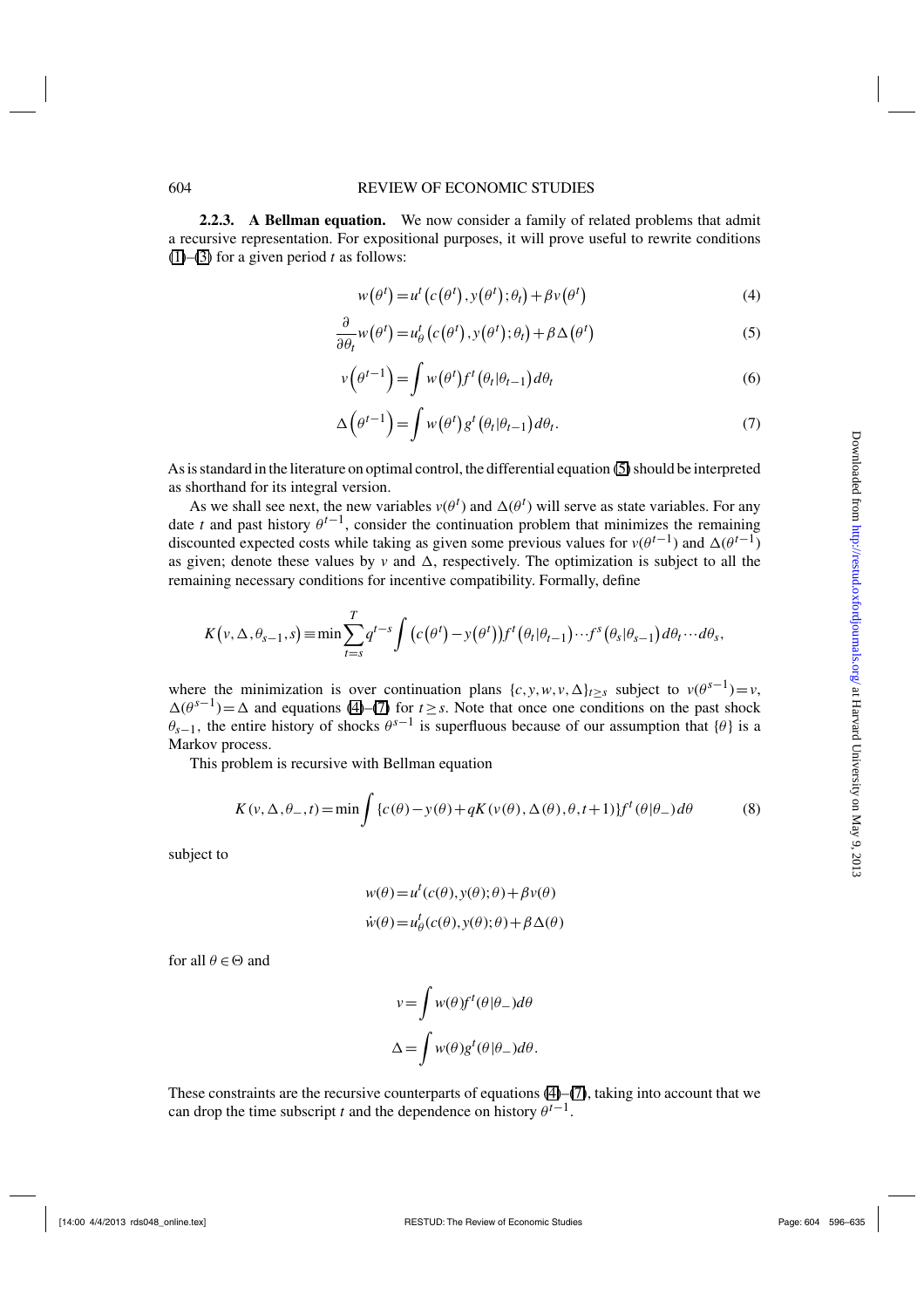<span id="page-8-0"></span>**2.2.3. A Bellman equation.** We now consider a family of related problems that admit a recursive representation. For expositional purposes, it will prove useful to rewrite conditions [\(1\)](#page-5-0)–[\(3\)](#page-7-0) for a given period *t* as follows:

$$
w(\theta^t) = u^t (c(\theta^t), y(\theta^t); \theta_t) + \beta v(\theta^t)
$$
\n(4)

$$
\frac{\partial}{\partial \theta_t} w(\theta^t) = u_\theta^t (c(\theta^t), y(\theta^t); \theta_t) + \beta \Delta(\theta^t)
$$
\n(5)

$$
v(\theta^{t-1}) = \int w(\theta^t) f^t(\theta_t | \theta_{t-1}) d\theta_t
$$
\n(6)

$$
\Delta\left(\theta^{t-1}\right) = \int w\left(\theta^{t}\right)g^{t}\left(\theta_{t}|\theta_{t-1}\right)d\theta_{t}.\tag{7}
$$

As is standard in the literature on optimal control, the differential equation (5) should be interpreted as shorthand for its integral version.

As we shall see next, the new variables  $v(\theta^t)$  and  $\Delta(\theta^t)$  will serve as state variables. For any date *t* and past history  $\theta^{t-1}$ , consider the continuation problem that minimizes the remaining discounted expected costs while taking as given some previous values for  $v(\theta^{t-1})$  and  $\Delta(\theta^{t-1})$ as given; denote these values by  $v$  and  $\Delta$ , respectively. The optimization is subject to all the remaining necessary conditions for incentive compatibility. Formally, define

$$
K(\nu,\Delta,\theta_{s-1},s) = \min \sum_{t=s}^{T} q^{t-s} \int (c(\theta^t) - y(\theta^t)) f^t(\theta_t | \theta_{t-1}) \cdots f^s(\theta_s | \theta_{s-1}) d\theta_t \cdots d\theta_s,
$$

where the minimization is over continuation plans  $\{c, y, w, v, \Delta\}_{t>s}$  subject to  $v(\theta^{s-1}) = v$ ,  $\Delta(\theta^{s-1}) = \Delta$  and equations (4)–(7) for *t* ≥ *s*. Note that once one conditions on the past shock  $\theta_{s-1}$ , the entire history of shocks  $\theta^{s-1}$  is superfluous because of our assumption that  $\{\theta\}$  is a Markov process.

This problem is recursive with Bellman equation

$$
K(\nu, \Delta, \theta_-, t) = \min \int \{c(\theta) - y(\theta) + qK(\nu(\theta), \Delta(\theta), \theta, t+1)\} f^t(\theta | \theta_+) d\theta
$$
(8)

subject to

$$
w(\theta) = u^t(c(\theta), y(\theta); \theta) + \beta v(\theta)
$$
  

$$
\dot{w}(\theta) = u^t_\theta(c(\theta), y(\theta); \theta) + \beta \Delta(\theta)
$$

for all  $\theta \in \Theta$  and

$$
v = \int w(\theta) f^{t}(\theta | \theta_{-}) d\theta
$$

$$
\Delta = \int w(\theta) g^{t}(\theta | \theta_{-}) d\theta.
$$

These constraints are the recursive counterparts of equations  $(4)$ – $(7)$ , taking into account that we can drop the time subscript *t* and the dependence on history  $\theta^{t-1}$ .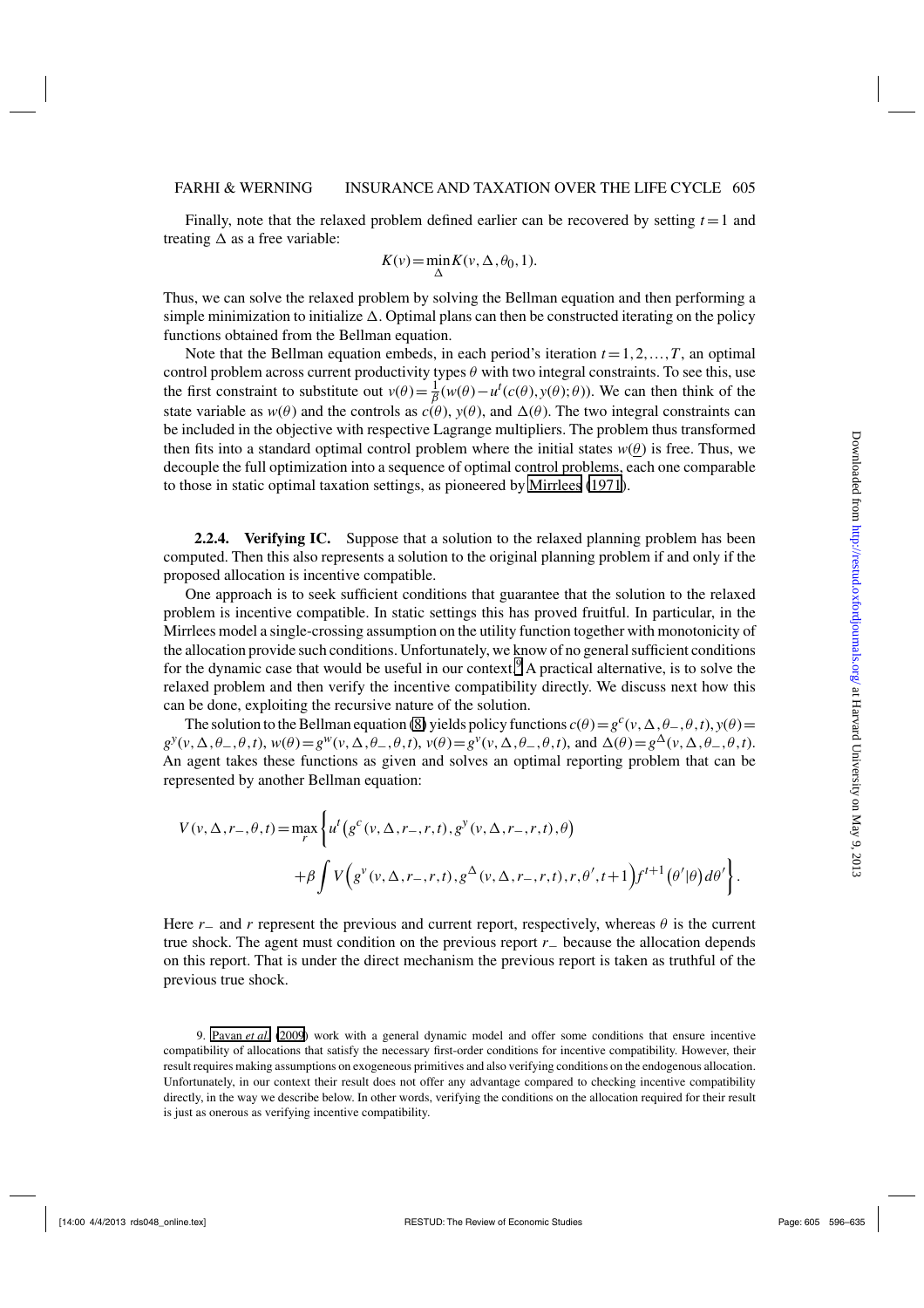Finally, note that the relaxed problem defined earlier can be recovered by setting  $t = 1$  and treating  $\Delta$  as a free variable:

$$
K(v) = \min_{\Delta} K(v, \Delta, \theta_0, 1).
$$

Thus, we can solve the relaxed problem by solving the Bellman equation and then performing a simple minimization to initialize  $\Delta$ . Optimal plans can then be constructed iterating on the policy functions obtained from the Bellman equation.

Note that the Bellman equation embeds, in each period's iteration  $t = 1, 2, ..., T$ , an optimal control problem across current productivity types  $\theta$  with two integral constraints. To see this, use the first constraint to substitute out  $v(\theta) = \frac{1}{\beta}(w(\theta) - u^t(c(\theta), y(\theta); \theta))$ . We can then think of the state variable as  $w(\theta)$  and the controls as  $c(\theta)$ ,  $y(\theta)$ , and  $\Delta(\theta)$ . The two integral constraints can be included in the objective with respective Lagrange multipliers. The problem thus transformed then fits into a standard optimal control problem where the initial states  $w(\theta)$  is free. Thus, we decouple the full optimization into a sequence of optimal control problems, each one comparable to those in static optimal taxation settings, as pioneered by [Mirrlees](#page-39-0) [\(1971\)](#page-39-0).

**2.2.4. Verifying IC.** Suppose that a solution to the relaxed planning problem has been computed. Then this also represents a solution to the original planning problem if and only if the proposed allocation is incentive compatible.

One approach is to seek sufficient conditions that guarantee that the solution to the relaxed problem is incentive compatible. In static settings this has proved fruitful. In particular, in the Mirrlees model a single-crossing assumption on the utility function together with monotonicity of the allocation provide such conditions. Unfortunately, we know of no general sufficient conditions for the dynamic case that would be useful in our context.<sup>9</sup> A practical alternative, is to solve the relaxed problem and then verify the incentive compatibility directly. We discuss next how this can be done, exploiting the recursive nature of the solution.

The solution to the Bellman equation [\(8\)](#page-8-0) yields policy functions  $c(\theta) = g^c(v, \Delta, \theta, \theta, t)$ ,  $y(\theta) =$  $g^{y}(v, \Delta, \theta_-, \theta, t)$ ,  $w(\theta) = g^{w}(v, \Delta, \theta_-, \theta, t)$ ,  $v(\theta) = g^{v}(v, \Delta, \theta_-, \theta, t)$ , and  $\Delta(\theta) = g^{\Delta}(v, \Delta, \theta_-, \theta, t)$ . An agent takes these functions as given and solves an optimal reporting problem that can be represented by another Bellman equation:

$$
V(v, \Delta, r_-, \theta, t) = \max_r \left\{ u^t \left( g^c(v, \Delta, r_-, r, t), g^v(v, \Delta, r_-, r, t), \theta \right) \right\}
$$

$$
+ \beta \int V \left( g^v(v, \Delta, r_-, r, t), g^{\Delta}(v, \Delta, r_-, r, t), r, \theta', t+1 \right) f^{t+1} \left( \theta' | \theta \right) d\theta' \right\}.
$$

Here  $r_-\,$  and  $r$  represent the previous and current report, respectively, whereas  $\theta$  is the current true shock. The agent must condition on the previous report *r*− because the allocation depends on this report. That is under the direct mechanism the previous report is taken as truthful of the previous true shock.

9. [Pavan](#page-39-0) *et al.* [\(2009](#page-39-0)) work with a general dynamic model and offer some conditions that ensure incentive compatibility of allocations that satisfy the necessary first-order conditions for incentive compatibility. However, their result requires making assumptions on exogeneous primitives and also verifying conditions on the endogenous allocation. Unfortunately, in our context their result does not offer any advantage compared to checking incentive compatibility directly, in the way we describe below. In other words, verifying the conditions on the allocation required for their result is just as onerous as verifying incentive compatibility.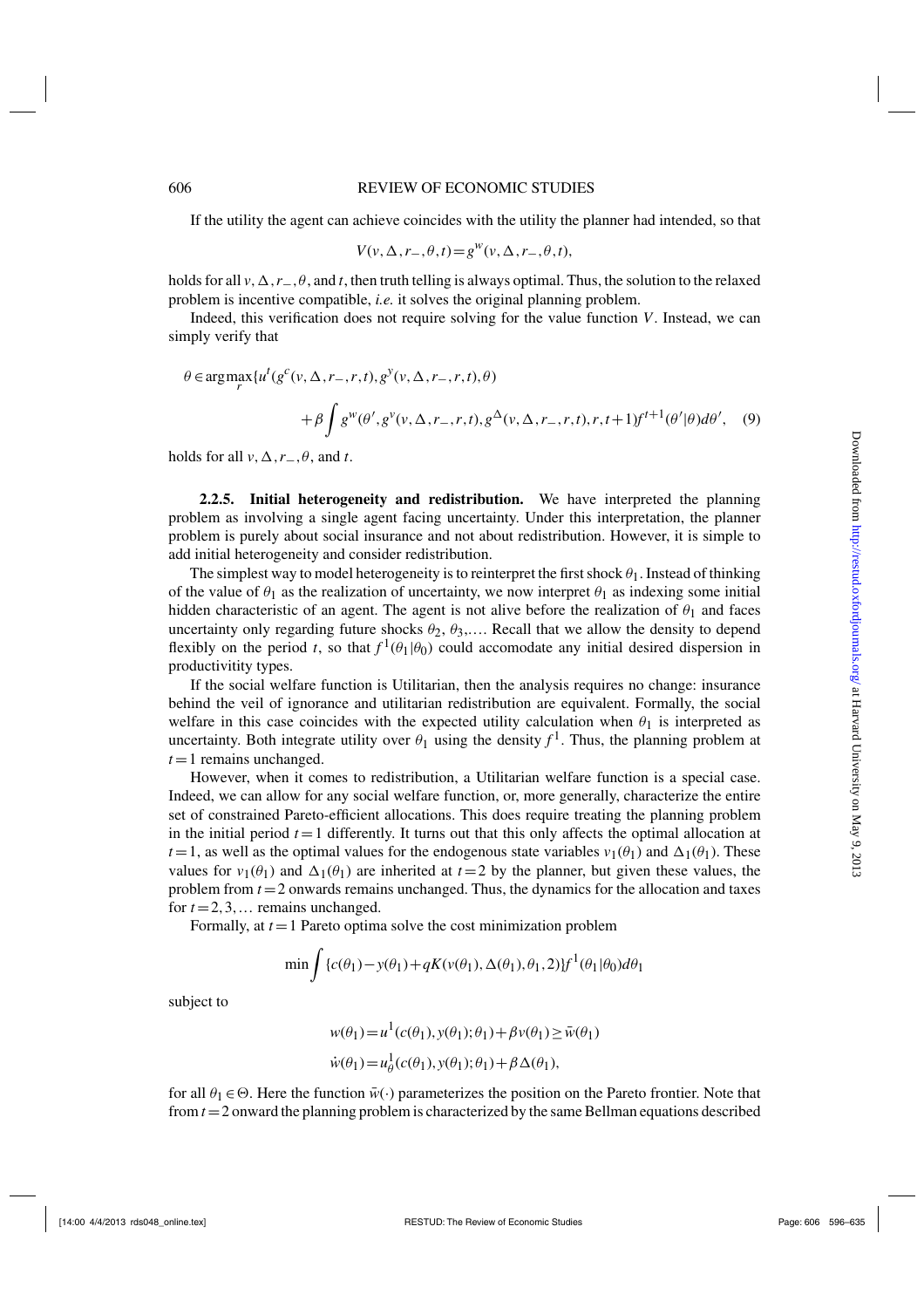#### 606 REVIEW OF ECONOMIC STUDIES

If the utility the agent can achieve coincides with the utility the planner had intended, so that

$$
V(\nu, \Delta, r_-, \theta, t) = g^W(\nu, \Delta, r_-, \theta, t),
$$

holds for all *v*,  $\Delta$ , *r*−,  $\theta$ , and *t*, then truth telling is always optimal. Thus, the solution to the relaxed problem is incentive compatible, *i.e.* it solves the original planning problem.

Indeed, this verification does not require solving for the value function *V*. Instead, we can simply verify that

$$
\theta \in \underset{r}{\operatorname{argmax}} \{ u^t (g^c(v, \Delta, r_-, r, t), g^y(v, \Delta, r_-, r, t), \theta) \}
$$
  
+ 
$$
\beta \int g^w(\theta', g^v(v, \Delta, r_-, r, t), g^{\Delta}(v, \Delta, r_-, r, t), r, t+1) f^{t+1}(\theta'|\theta) d\theta', \quad (9)
$$

holds for all  $v, \Delta, r_-, \theta$ , and *t*.

**2.2.5. Initial heterogeneity and redistribution.** We have interpreted the planning problem as involving a single agent facing uncertainty. Under this interpretation, the planner problem is purely about social insurance and not about redistribution. However, it is simple to add initial heterogeneity and consider redistribution.

The simplest way to model heterogeneity is to reinterpret the first shock  $\theta_1$ . Instead of thinking of the value of  $\theta_1$  as the realization of uncertainty, we now interpret  $\theta_1$  as indexing some initial hidden characteristic of an agent. The agent is not alive before the realization of  $\theta_1$  and faces uncertainty only regarding future shocks  $\theta_2$ ,  $\theta_3$ ,.... Recall that we allow the density to depend flexibly on the period *t*, so that  $f^1(\theta_1|\theta_0)$  could accomodate any initial desired dispersion in productivitity types.

If the social welfare function is Utilitarian, then the analysis requires no change: insurance behind the veil of ignorance and utilitarian redistribution are equivalent. Formally, the social welfare in this case coincides with the expected utility calculation when  $\theta_1$  is interpreted as uncertainty. Both integrate utility over  $\theta_1$  using the density  $f^1$ . Thus, the planning problem at  $t = 1$  remains unchanged.

However, when it comes to redistribution, a Utilitarian welfare function is a special case. Indeed, we can allow for any social welfare function, or, more generally, characterize the entire set of constrained Pareto-efficient allocations. This does require treating the planning problem in the initial period  $t = 1$  differently. It turns out that this only affects the optimal allocation at  $t = 1$ , as well as the optimal values for the endogenous state variables  $v_1(\theta_1)$  and  $\Delta_1(\theta_1)$ . These values for  $v_1(\theta_1)$  and  $\Delta_1(\theta_1)$  are inherited at  $t=2$  by the planner, but given these values, the problem from  $t = 2$  onwards remains unchanged. Thus, the dynamics for the allocation and taxes for  $t = 2, 3, \ldots$  remains unchanged.

Formally, at  $t = 1$  Pareto optima solve the cost minimization problem

$$
\min \int \{c(\theta_1) - y(\theta_1) + qK(v(\theta_1), \Delta(\theta_1), \theta_1, 2)\} f^1(\theta_1 | \theta_0) d\theta_1
$$

subject to

$$
w(\theta_1) = u^1(c(\theta_1), y(\theta_1); \theta_1) + \beta v(\theta_1) \ge \bar{w}(\theta_1)
$$
  

$$
\dot{w}(\theta_1) = u^1_\theta(c(\theta_1), y(\theta_1); \theta_1) + \beta \Delta(\theta_1),
$$

for all  $\theta_1 \in \Theta$ . Here the function  $\bar{w}(\cdot)$  parameterizes the position on the Pareto frontier. Note that from  $t = 2$  onward the planning problem is characterized by the same Bellman equations described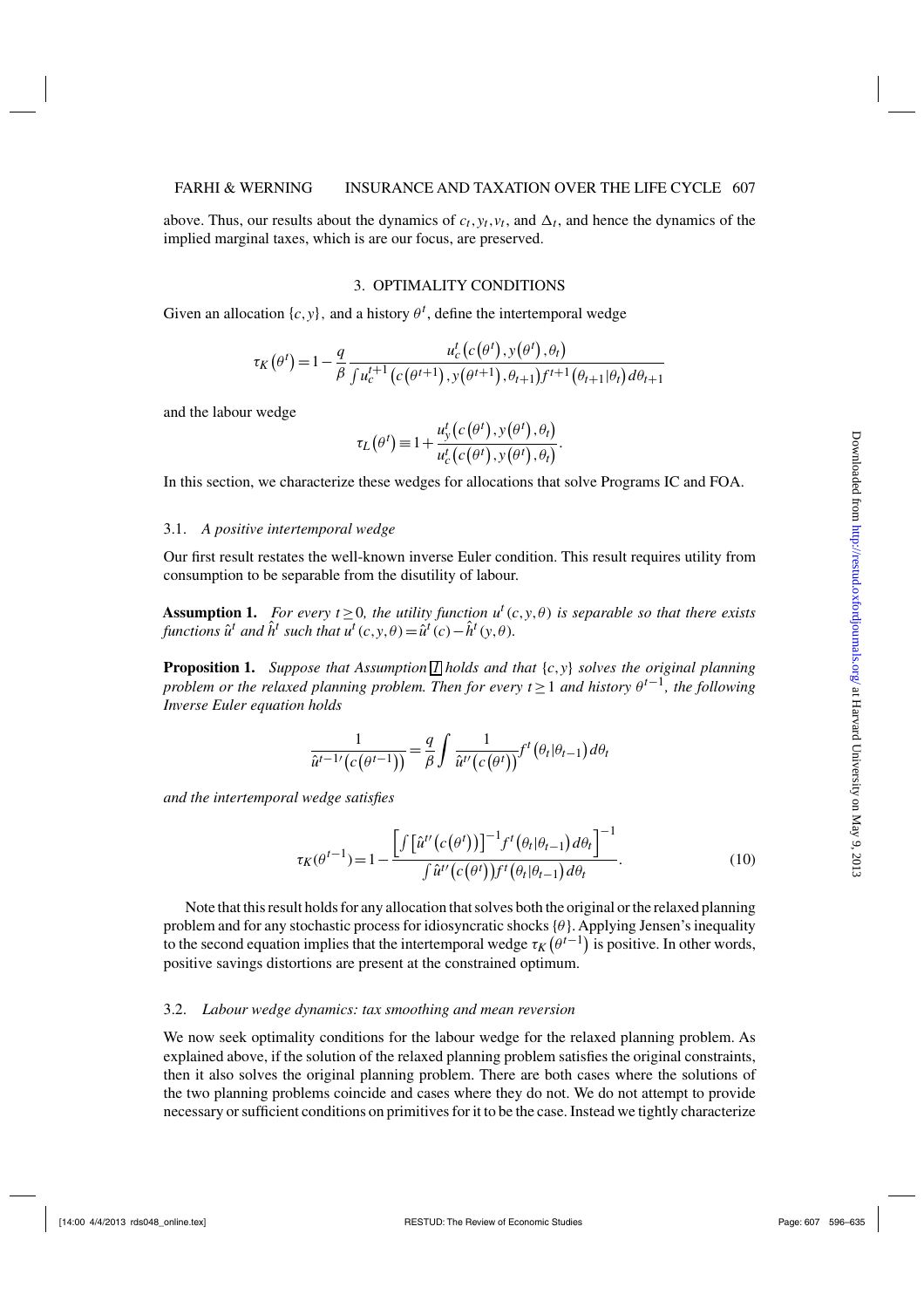<span id="page-11-0"></span>above. Thus, our results about the dynamics of  $c_t$ ,  $y_t$ ,  $v_t$ , and  $\Delta_t$ , and hence the dynamics of the implied marginal taxes, which is are our focus, are preserved.

#### 3. OPTIMALITY CONDITIONS

Given an allocation  $\{c, y\}$ , and a history  $\theta^t$ , define the intertemporal wedge

$$
\tau_K(\theta^t) = 1 - \frac{q}{\beta} \frac{u_c^t(c(\theta^t), y(\theta^t), \theta_t)}{\int u_c^{t+1} (c(\theta^{t+1}), y(\theta^{t+1}), \theta_{t+1}) f^{t+1}(\theta_{t+1}|\theta_t) d\theta_{t+1}}
$$

and the labour wedge

$$
\tau_L(\theta^t) \equiv 1 + \frac{u_y^t(c(\theta^t), y(\theta^t), \theta_t)}{u_c^t(c(\theta^t), y(\theta^t), \theta_t)}.
$$

In this section, we characterize these wedges for allocations that solve Programs IC and FOA.

# 3.1. *A positive intertemporal wedge*

Our first result restates the well-known inverse Euler condition. This result requires utility from consumption to be separable from the disutility of labour.

**Assumption 1.** *For every t*  $\geq$  0*, the utility function u<sup>t</sup>* (*c*, *y*,  $\theta$ ) *is separable so that there exists functions*  $\hat{u}^t$  *and*  $\hat{h}^t$  *such that*  $u^t$  (*c*, *y*,  $\theta$ ) =  $\hat{u}^t$  (*c*) −  $\hat{h}^t$  (*y*,  $\theta$ )*.* 

**Proposition 1.** *Suppose that Assumption 1 holds and that* {*c*,*y*} *solves the original planning problem or the relaxed planning problem. Then for every t* ≥ 1 *and history*  $θ<sup>t-1</sup>$ *, the following Inverse Euler equation holds*

$$
\frac{1}{\hat{u}^{t-1'}(c(\theta^{t-1}))} = \frac{q}{\beta} \int \frac{1}{\hat{u}^{t'}(c(\theta^{t}))} f^{t'}(\theta_t | \theta_{t-1}) d\theta_t
$$

*and the intertemporal wedge satisfies*

$$
\tau_K(\theta^{t-1}) = 1 - \frac{\left[\int \left[\hat{u}^{t'}(c(\theta^t))\right]^{-1} f^t(\theta_t|\theta_{t-1}) d\theta_t\right]^{-1}}{\int \hat{u}^{t'}(c(\theta^t)) f^t(\theta_t|\theta_{t-1}) d\theta_t}.
$$
\n(10)

Note that this result holds for any allocation that solves both the original or the relaxed planning problem and for any stochastic process for idiosyncratic shocks  $\{\theta\}$ . Applying Jensen's inequality to the second equation implies that the intertemporal wedge  $\tau_K(\theta^{t-1})$  is positive. In other words, positive savings distortions are present at the constrained optimum.

#### 3.2. *Labour wedge dynamics: tax smoothing and mean reversion*

We now seek optimality conditions for the labour wedge for the relaxed planning problem. As explained above, if the solution of the relaxed planning problem satisfies the original constraints, then it also solves the original planning problem. There are both cases where the solutions of the two planning problems coincide and cases where they do not. We do not attempt to provide necessary or sufficient conditions on primitives for it to be the case. Instead we tightly characterize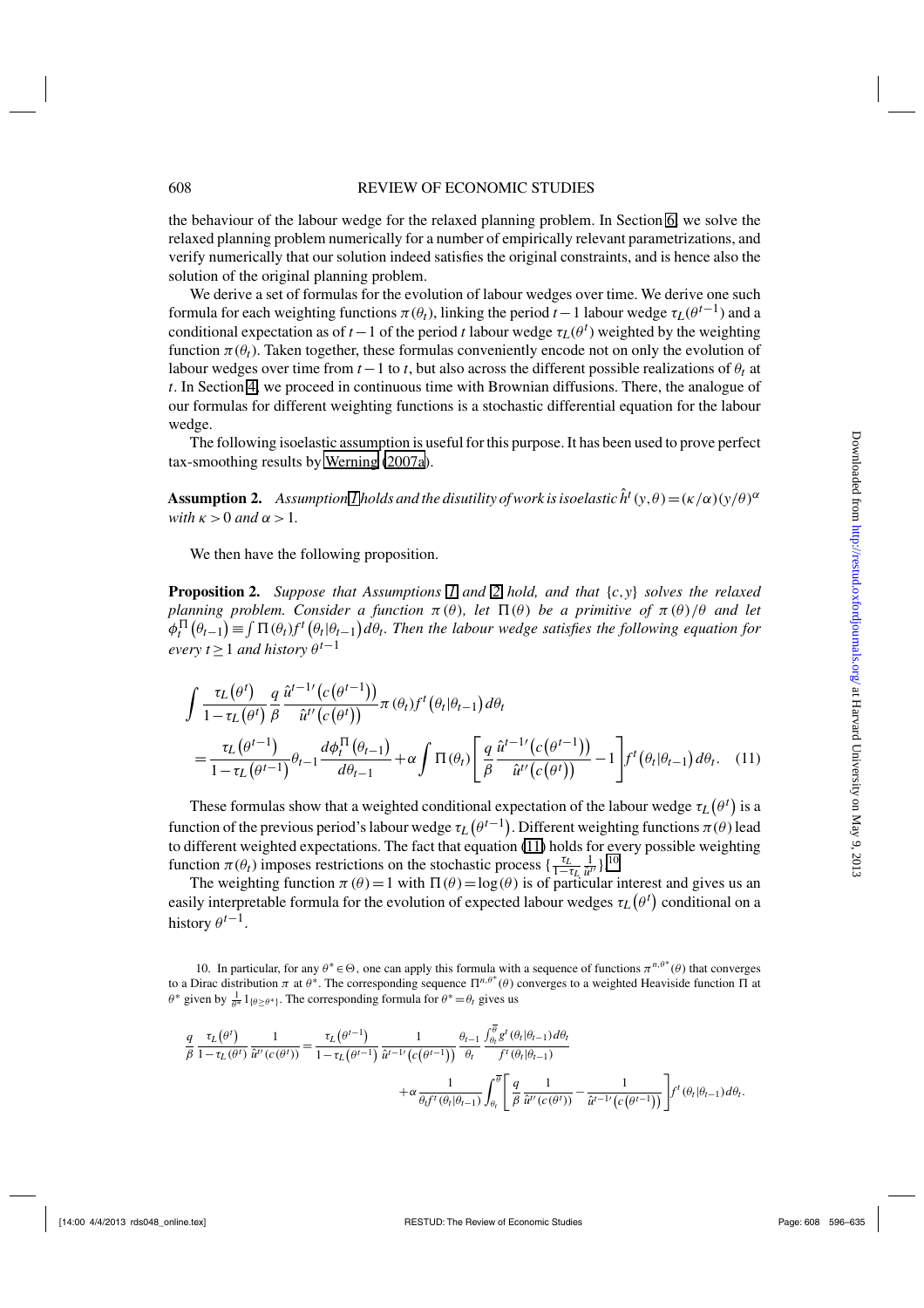# <span id="page-12-0"></span>608 REVIEW OF ECONOMIC STUDIES

the behaviour of the labour wedge for the relaxed planning problem. In Section [6,](#page-22-0) we solve the relaxed planning problem numerically for a number of empirically relevant parametrizations, and verify numerically that our solution indeed satisfies the original constraints, and is hence also the solution of the original planning problem.

We derive a set of formulas for the evolution of labour wedges over time. We derive one such formula for each weighting functions π(θ*t*), linking the period *t*−1 labour wedge τ*L*(θ*t*<sup>−</sup>1) and a conditional expectation as of  $t-1$  of the period  $t$  labour wedge  $\tau_L(\theta^t)$  weighted by the weighting function  $\pi(\theta_t)$ . Taken together, these formulas conveniently encode not on only the evolution of labour wedges over time from  $t-1$  to  $t$ , but also across the different possible realizations of  $\theta_t$  at *t*. In Section [4,](#page-16-0) we proceed in continuous time with Brownian diffusions. There, the analogue of our formulas for different weighting functions is a stochastic differential equation for the labour wedge.

The following isoelastic assumption is useful for this purpose. It has been used to prove perfect tax-smoothing results by [Werning](#page-39-0) [\(2007a\)](#page-39-0).

**Assumption 2.** Assumption [1](#page-11-0) holds and the disutility of work is isoelastic  $\hat{h}^t(y,\theta) = (\kappa/\alpha)(y/\theta)^{\alpha}$ *with*  $\kappa > 0$  *and*  $\alpha > 1$ *.* 

We then have the following proposition.

**Proposition 2.** *Suppose that Assumptions [1](#page-11-0) and 2 hold, and that* {*c*,*y*} *solves the relaxed planning problem. Consider a function*  $\pi(\theta)$ *, let*  $\Pi(\theta)$  *be a primitive of*  $\pi(\theta)/\theta$  *and let*  $\phi_t^{\Pi}(\theta_{t-1}) \equiv \int \Pi(\theta_t) f^t(\theta_t|\theta_{t-1}) d\theta_t$ . Then the labour wedge satisfies the following equation for *every*  $t \geq 1$  *and history*  $\theta^{t-1}$ 

$$
\int \frac{\tau_L(\theta^t)}{1 - \tau_L(\theta^t)} \frac{q}{\beta} \frac{\hat{u}^{t-1'}(c(\theta^{t-1}))}{\hat{u}^{\prime\prime}(c(\theta^t))} \pi(\theta_t) f^t(\theta_t | \theta_{t-1}) d\theta_t
$$
\n
$$
= \frac{\tau_L(\theta^{t-1})}{1 - \tau_L(\theta^{t-1})} \theta_{t-1} \frac{d\phi_t^{\Pi}(\theta_{t-1})}{d\theta_{t-1}} + \alpha \int \Pi(\theta_t) \left[ \frac{q}{\beta} \frac{\hat{u}^{t-1'}(c(\theta^{t-1}))}{\hat{u}^{\prime\prime}(c(\theta^t))} - 1 \right] f^t(\theta_t | \theta_{t-1}) d\theta_t. \tag{11}
$$

These formulas show that a weighted conditional expectation of the labour wedge  $\tau_L(\theta^t)$  is a function of the previous period's labour wedge  $\tau_L\big(\theta^{t-1}\big)$ . Different weighting functions  $\pi(\theta)$  lead to different weighted expectations. The fact that equation (11) holds for every possible weighting function  $\pi(\theta_t)$  imposes restrictions on the stochastic process  $\{\frac{\tau_L}{1-\tau_L}\frac{1}{\hat{u}^{\mu}}\}$ .<sup>10</sup>

The weighting function  $\pi(\theta)=1$  with  $\Pi(\theta)=\log(\theta)$  is of particular interest and gives us an easily interpretable formula for the evolution of expected labour wedges  $\tau_L(\theta^t)$  conditional on a history  $\theta^{t-1}$ .

10. In particular, for any  $\theta^* \in \Theta$ , one can apply this formula with a sequence of functions  $\pi^{n,\theta^*}(\theta)$  that converges to a Dirac distribution  $\pi$  at  $\theta^*$ . The corresponding sequence  $\prod^{n,\theta^*}(\theta)$  converges to a weighted Heaviside function  $\Pi$  at  $\theta^*$  given by  $\frac{1}{\theta^*} 1_{\{\theta \ge \theta^*\}}$ . The corresponding formula for  $\theta^* = \theta_t$  gives us

$$
\frac{q}{\beta} \frac{\tau_L(\theta^t)}{1 - \tau_L(\theta^t)} \frac{1}{\hat{u}''(c(\theta^t))} = \frac{\tau_L(\theta^{t-1})}{1 - \tau_L(\theta^{t-1})} \frac{1}{\hat{u}^{t-1}(c(\theta^{t-1}))} \frac{\theta_{t-1}}{\theta_t} \frac{\int_{\theta_t}^{\hat{\theta}} g^t(\theta_t | \theta_{t-1}) d\theta_t}{f^t(\theta_t | \theta_{t-1})} + \alpha \frac{1}{\theta_t f^t(\theta_t | \theta_{t-1})} \int_{\theta_t}^{\hat{\theta}} \left[ \frac{q}{\beta} \frac{1}{\hat{u}''(c(\theta^t))} - \frac{1}{\hat{u}^{t-1}(c(\theta^{t-1}))} \right] f^t(\theta_t | \theta_{t-1}) d\theta_t.
$$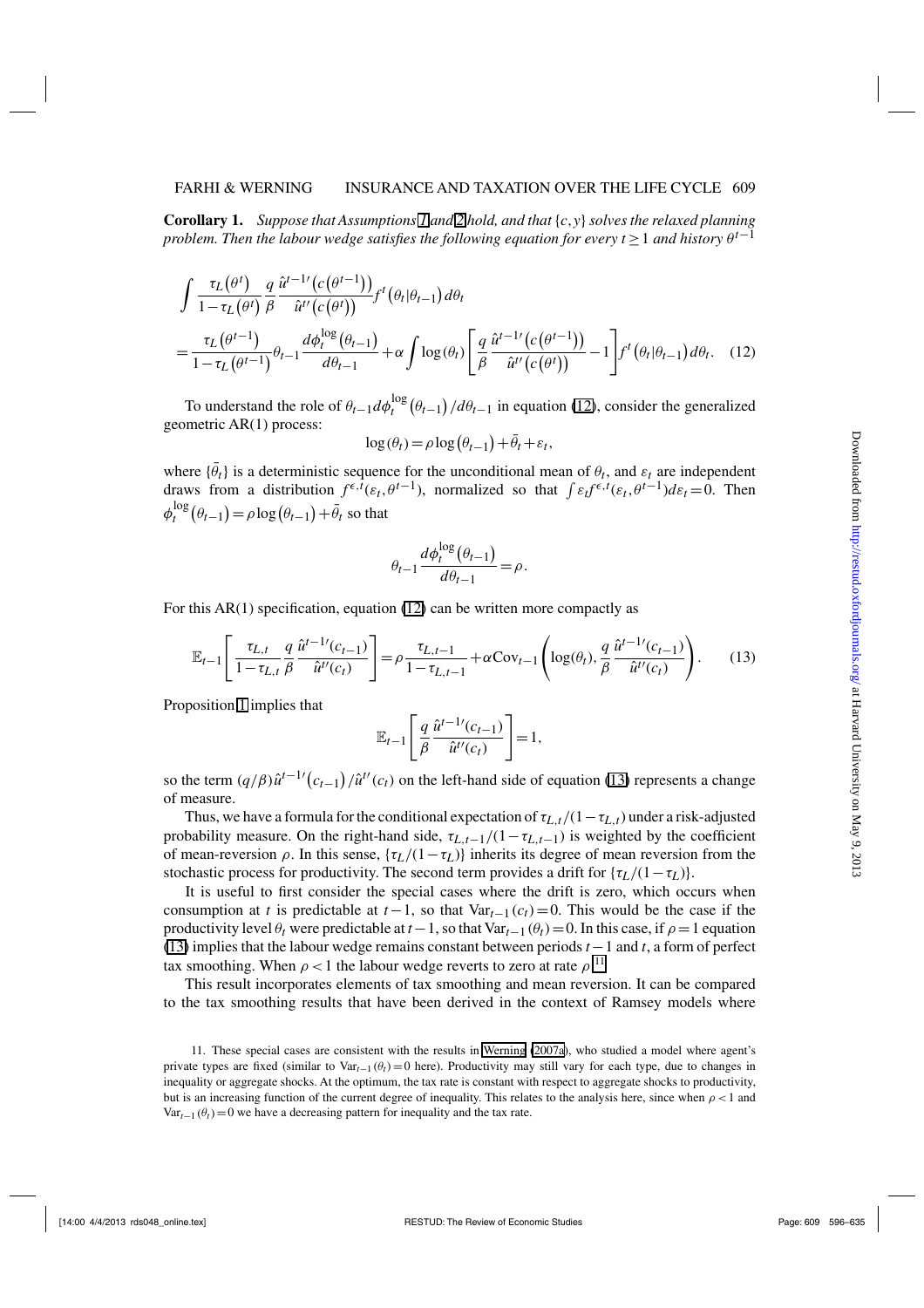<span id="page-13-0"></span>**Corollary 1.** *Suppose that Assumptions [1](#page-11-0) and [2](#page-12-0) hold, and that* {*c*,*y*}*solves the relaxed planning problem. Then the labour wedge satisfies the following equation for every t* > 1 *and history* θ<sup>*t*−1</sup>

$$
\int \frac{\tau_L(\theta^t)}{1 - \tau_L(\theta^t)} \frac{q}{\beta} \frac{\hat{u}^{t-1'}(c(\theta^{t-1}))}{\hat{u}''(c(\theta^t))} f'(\theta_t | \theta_{t-1}) d\theta_t
$$
\n
$$
= \frac{\tau_L(\theta^{t-1})}{1 - \tau_L(\theta^{t-1})} \theta_{t-1} \frac{d\phi_t^{\log}(\theta_{t-1})}{d\theta_{t-1}} + \alpha \int \log(\theta_t) \left[ \frac{q}{\beta} \frac{\hat{u}^{t-1'}(c(\theta^{t-1}))}{\hat{u}''(c(\theta^t))} - 1 \right] f'(\theta_t | \theta_{t-1}) d\theta_t. \quad (12)
$$

To understand the role of  $\theta_{t-1} d\phi_t^{\log}(\theta_{t-1})/d\theta_{t-1}$  in equation (12), consider the generalized geometric AR(1) process:

$$
\log(\theta_t) = \rho \log(\theta_{t-1}) + \bar{\theta}_t + \varepsilon_t,
$$

where  $\{\bar{\theta}_t\}$  is a deterministic sequence for the unconditional mean of  $\theta_t$ , and  $\varepsilon_t$  are independent draws from a distribution  $f^{\epsilon, t}(\varepsilon_t, \theta^{t-1})$ , normalized so that  $\int \varepsilon_t f^{\epsilon, t}(\varepsilon_t, \theta^{t-1}) d\varepsilon_t = 0$ . Then  $\phi_t^{\log}(\theta_{t-1}) = \rho \log(\theta_{t-1}) + \bar{\theta}_t$  so that

$$
\theta_{t-1} \frac{d\phi_t^{\log}(\theta_{t-1})}{d\theta_{t-1}} = \rho.
$$

For this  $AR(1)$  specification, equation (12) can be written more compactly as

$$
\mathbb{E}_{t-1}\left[\frac{\tau_{L,t}}{1-\tau_{L,t}}\frac{q}{\beta}\frac{\hat{u}^{t-1}(c_{t-1})}{\hat{u}^{t}(c_{t})}\right] = \rho \frac{\tau_{L,t-1}}{1-\tau_{L,t-1}} + \alpha \text{Cov}_{t-1}\left(\log(\theta_{t}), \frac{q}{\beta}\frac{\hat{u}^{t-1}(c_{t-1})}{\hat{u}^{t}(c_{t})}\right). \tag{13}
$$

Proposition [1](#page-11-0) implies that

$$
\mathbb{E}_{t-1}\left[\frac{q}{\beta}\frac{\hat{u}^{t-1}(c_{t-1})}{\hat{u}^{t}(c_t)}\right]=1,
$$

so the term  $(q/\beta) \hat{u}^{t-1}$ <sup>*t*</sup> $(c_{t-1})/\hat{u}^{t'}(c_t)$  on the left-hand side of equation (13) represents a change of measure.

Thus, we have a formula for the conditional expectation of  $\tau_{L,t}/(1-\tau_{L,t})$  under a risk-adjusted probability measure. On the right-hand side,  $\tau_{L,t-1}/(1-\tau_{L,t-1})$  is weighted by the coefficient of mean-reversion  $\rho$ . In this sense, { $\tau_L/(1-\tau_L)$ } inherits its degree of mean reversion from the stochastic process for productivity. The second term provides a drift for  $\{\tau_L/(1-\tau_L)\}\$ .

It is useful to first consider the special cases where the drift is zero, which occurs when consumption at *t* is predictable at  $t-1$ , so that Var<sub> $t-1$ </sub> ( $c<sub>t</sub>$ )=0. This would be the case if the productivity level  $\theta_t$  were predictable at  $t-1$ , so that Var<sub> $t-1$ </sub> ( $\theta_t$ ) = 0. In this case, if  $\rho = 1$  equation (13) implies that the labour wedge remains constant between periods *t*−1 and *t*, a form of perfect tax smoothing. When  $\rho < 1$  the labour wedge reverts to zero at rate  $\rho$ .<sup>11</sup>

This result incorporates elements of tax smoothing and mean reversion. It can be compared to the tax smoothing results that have been derived in the context of Ramsey models where

<sup>11.</sup> These special cases are consistent with the results in [Werning](#page-39-0) [\(2007a\)](#page-39-0), who studied a model where agent's private types are fixed (similar to Var<sub>t−1</sub> $(\theta_t)$ =0 here). Productivity may still vary for each type, due to changes in inequality or aggregate shocks. At the optimum, the tax rate is constant with respect to aggregate shocks to productivity, but is an increasing function of the current degree of inequality. This relates to the analysis here, since when  $\rho < 1$  and Var<sub>t<sup> $-1$ </sup>( $\theta$ <sub>t</sub>)=0 we have a decreasing pattern for inequality and the tax rate.</sub>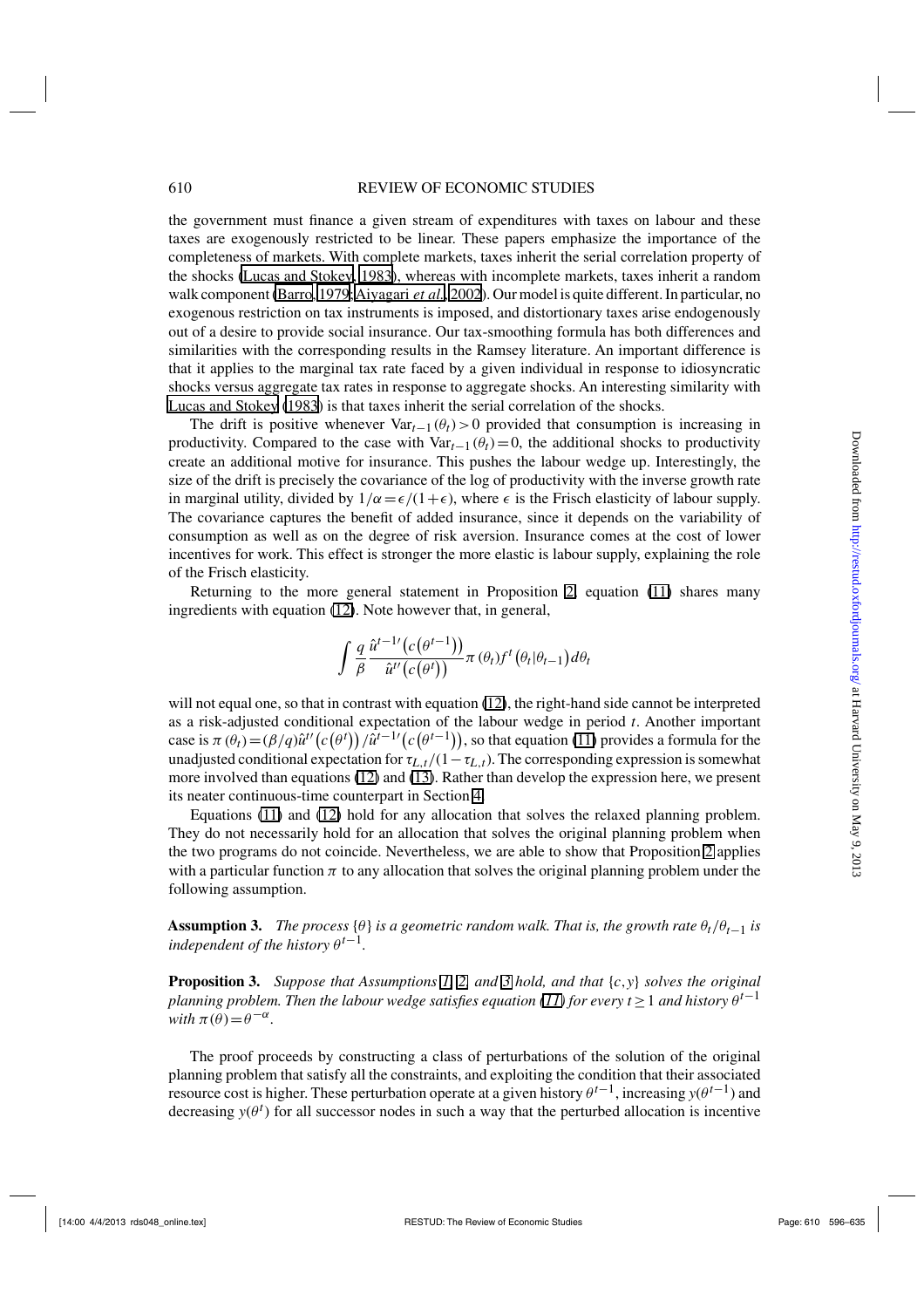<span id="page-14-0"></span>the government must finance a given stream of expenditures with taxes on labour and these taxes are exogenously restricted to be linear. These papers emphasize the importance of the completeness of markets. With complete markets, taxes inherit the serial correlation property of the shocks [\(Lucas and Stokey, 1983\)](#page-39-0), whereas with incomplete markets, taxes inherit a random walk component [\(Barro](#page-38-0), [1979](#page-38-0);[Aiyagari](#page-38-0) *et al.*, [2002](#page-38-0)). Our model is quite different. In particular, no exogenous restriction on tax instruments is imposed, and distortionary taxes arise endogenously out of a desire to provide social insurance. Our tax-smoothing formula has both differences and similarities with the corresponding results in the Ramsey literature. An important difference is that it applies to the marginal tax rate faced by a given individual in response to idiosyncratic shocks versus aggregate tax rates in response to aggregate shocks. An interesting similarity with [Lucas and Stokey](#page-39-0) [\(1983](#page-39-0)) is that taxes inherit the serial correlation of the shocks.

The drift is positive whenever Var<sub> $t-1$ </sub> $(\theta_t)$  > 0 provided that consumption is increasing in productivity. Compared to the case with  $Var_{t-1}(\theta_t)=0$ , the additional shocks to productivity create an additional motive for insurance. This pushes the labour wedge up. Interestingly, the size of the drift is precisely the covariance of the log of productivity with the inverse growth rate in marginal utility, divided by  $1/\alpha = \epsilon/(1+\epsilon)$ , where  $\epsilon$  is the Frisch elasticity of labour supply. The covariance captures the benefit of added insurance, since it depends on the variability of consumption as well as on the degree of risk aversion. Insurance comes at the cost of lower incentives for work. This effect is stronger the more elastic is labour supply, explaining the role of the Frisch elasticity.

Returning to the more general statement in Proposition [2,](#page-12-0) equation [\(11\)](#page-12-0) shares many ingredients with equation [\(12\)](#page-13-0). Note however that, in general,

$$
\int \frac{q}{\beta} \frac{\hat{u}^{t-1'}(c(\theta^{t-1}))}{\hat{u}^{t'}(c(\theta^{t}))} \pi(\theta_t) f^{t}(\theta_t | \theta_{t-1}) d\theta_t
$$

will not equal one, so that in contrast with equation [\(12\)](#page-13-0), the right-hand side cannot be interpreted as a risk-adjusted conditional expectation of the labour wedge in period *t*. Another important case is  $\pi(\theta_t) = (\beta/q)\hat{u}^{t'}(c(\theta^t)) / \hat{u}^{t-1'}(c(\theta^{t-1}))$ , so that equation [\(11\)](#page-12-0) provides a formula for the unadjusted conditional expectation for  $\tau_{L,t}/(1-\tau_{L,t})$ . The corresponding expression is somewhat more involved than equations [\(12\)](#page-13-0) and [\(13\)](#page-13-0). Rather than develop the expression here, we present its neater continuous-time counterpart in Section [4.](#page-16-0)

Equations [\(11\)](#page-12-0) and [\(12\)](#page-13-0) hold for any allocation that solves the relaxed planning problem. They do not necessarily hold for an allocation that solves the original planning problem when the two programs do not coincide. Nevertheless, we are able to show that Proposition [2](#page-12-0) applies with a particular function  $\pi$  to any allocation that solves the original planning problem under the following assumption.

**Assumption 3.** *The process*  $\{\theta\}$  *is a geometric random walk. That is, the growth rate*  $\theta_t/\theta_{t-1}$  *is independent of the history*  $\theta^{t-1}$ *.* 

**Proposition 3.** *Suppose that Assumptions [1,](#page-11-0) [2,](#page-12-0) and 3 hold, and that* {*c*,*y*} *solves the original planning problem. Then the labour wedge satisfies equation [\(11\)](#page-12-0) for every t* > 1 *and history*  $\theta^{t-1}$ *with*  $\pi(\theta) = \theta^{-\alpha}$ .

The proof proceeds by constructing a class of perturbations of the solution of the original planning problem that satisfy all the constraints, and exploiting the condition that their associated resource cost is higher. These perturbation operate at a given history  $\theta^{t-1}$ , increasing  $y(\theta^{t-1})$  and decreasing  $y(\theta^t)$  for all successor nodes in such a way that the perturbed allocation is incentive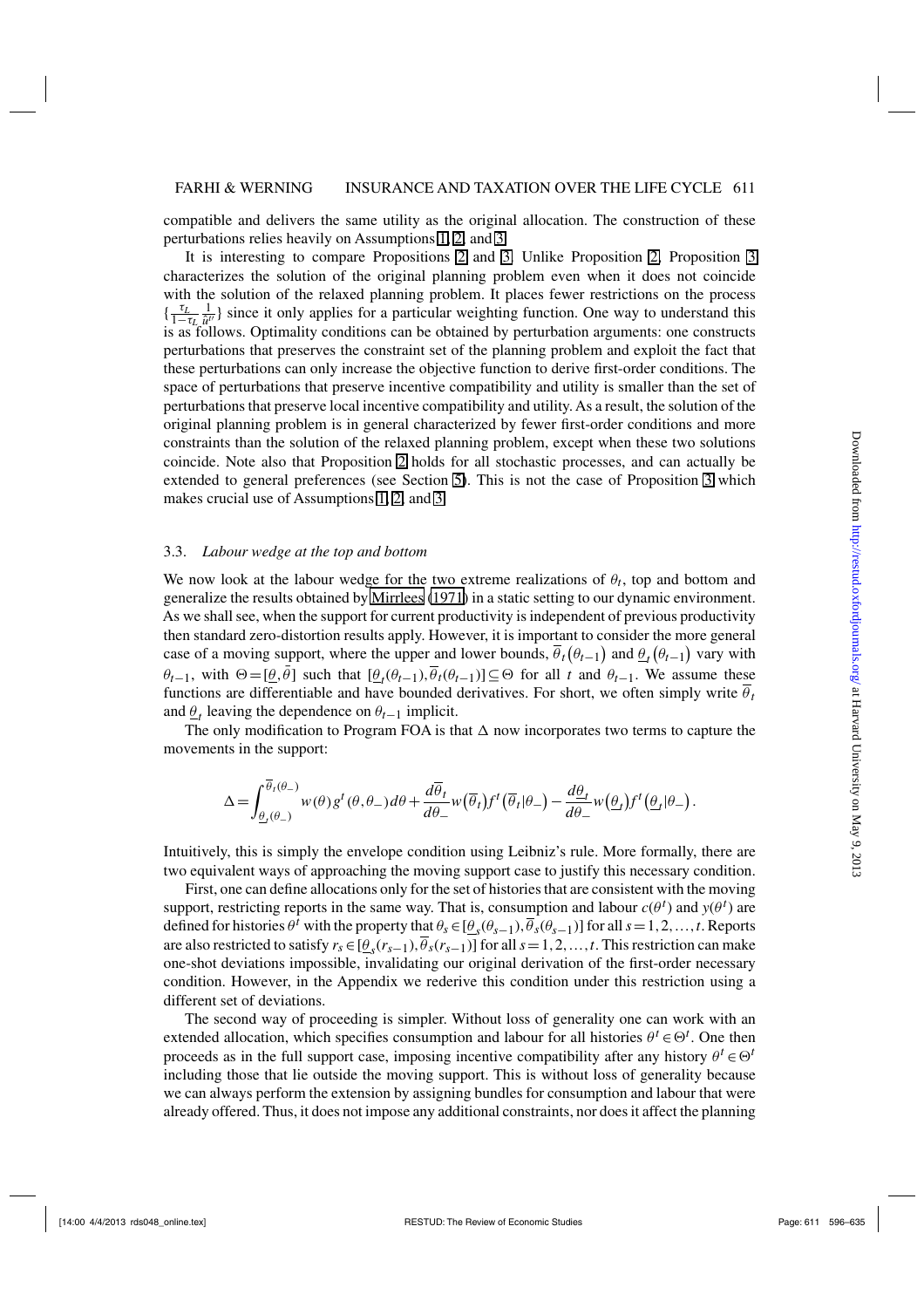<span id="page-15-0"></span>compatible and delivers the same utility as the original allocation. The construction of these perturbations relies heavily on Assumptions [1,](#page-11-0) [2,](#page-12-0) and [3.](#page-14-0)

It is interesting to compare Propositions [2](#page-12-0) and [3.](#page-14-0) Unlike Proposition [2,](#page-12-0) Proposition [3](#page-14-0) characterizes the solution of the original planning problem even when it does not coincide with the solution of the relaxed planning problem. It places fewer restrictions on the process  $\{\frac{\tau_L}{1-\tau_L}\frac{1}{\hat{u}''}\}$  since it only applies for a particular weighting function. One way to understand this is as follows. Optimality conditions can be obtained by perturbation arguments: one constructs perturbations that preserves the constraint set of the planning problem and exploit the fact that these perturbations can only increase the objective function to derive first-order conditions. The space of perturbations that preserve incentive compatibility and utility is smaller than the set of perturbations that preserve local incentive compatibility and utility. As a result, the solution of the original planning problem is in general characterized by fewer first-order conditions and more constraints than the solution of the relaxed planning problem, except when these two solutions coincide. Note also that Proposition [2](#page-12-0) holds for all stochastic processes, and can actually be extended to general preferences (see Section [5\)](#page-20-0). This is not the case of Proposition [3](#page-14-0) which makes crucial use of Assumptions [1,](#page-11-0) [2,](#page-12-0) and [3.](#page-14-0)

#### 3.3. *Labour wedge at the top and bottom*

We now look at the labour wedge for the two extreme realizations of  $\theta_t$ , top and bottom and generalize the results obtained by [Mirrlees](#page-39-0) [\(1971\)](#page-39-0) in a static setting to our dynamic environment. As we shall see, when the support for current productivity is independent of previous productivity then standard zero-distortion results apply. However, it is important to consider the more general case of a moving support, where the upper and lower bounds,  $\theta_t(\theta_{t-1})$  and  $\underline{\theta}_t(\theta_{t-1})$  vary with  $\theta_{t-1}$ , with  $\Theta = [\theta, \bar{\theta}]$  such that  $[\theta_t(\theta_{t-1}), \bar{\theta}_t(\theta_{t-1})] \subseteq \Theta$  for all *t* and  $\theta_{t-1}$ . We assume these functions are differentiable and have bounded derivatives. For short, we often simply write  $\overline{\theta}_t$ and  $\theta_t$  leaving the dependence on  $\theta_{t-1}$  implicit.

The only modification to Program FOA is that  $\Delta$  now incorporates two terms to capture the movements in the support:

$$
\Delta = \int_{\underline{\theta}_t(\theta_-)}^{\overline{\theta}_t(\theta_-)} w(\theta) g^t(\theta, \theta_-) d\theta + \frac{d\overline{\theta}_t}{d\theta_-} w(\overline{\theta}_t) f^t(\overline{\theta}_t | \theta_-) - \frac{d\underline{\theta}_t}{d\theta_-} w(\underline{\theta}_t) f^t(\underline{\theta}_t | \theta_-).
$$

Intuitively, this is simply the envelope condition using Leibniz's rule. More formally, there are two equivalent ways of approaching the moving support case to justify this necessary condition.

First, one can define allocations only for the set of histories that are consistent with the moving support, restricting reports in the same way. That is, consumption and labour  $c(\theta^t)$  and  $y(\theta^t)$  are defined for histories  $\theta^t$  with the property that  $\theta_s \in [\theta_s(\theta_{s-1}), \overline{\theta}_s(\theta_{s-1})]$  for all  $s = 1, 2, ..., t$ . Reports are also restricted to satisfy  $r_s \in [\theta_s(r_{s-1}), \overline{\theta}_s(r_{s-1})]$  for all  $s = 1, 2, ..., t$ . This restriction can make one-shot deviations impossible, invalidating our original derivation of the first-order necessary condition. However, in the Appendix we rederive this condition under this restriction using a different set of deviations.

The second way of proceeding is simpler. Without loss of generality one can work with an extended allocation, which specifies consumption and labour for all histories  $\theta^t \in \Theta^t$ . One then proceeds as in the full support case, imposing incentive compatibility after any history  $\theta^t \in \Theta^t$ including those that lie outside the moving support. This is without loss of generality because we can always perform the extension by assigning bundles for consumption and labour that were already offered. Thus, it does not impose any additional constraints, nor does it affect the planning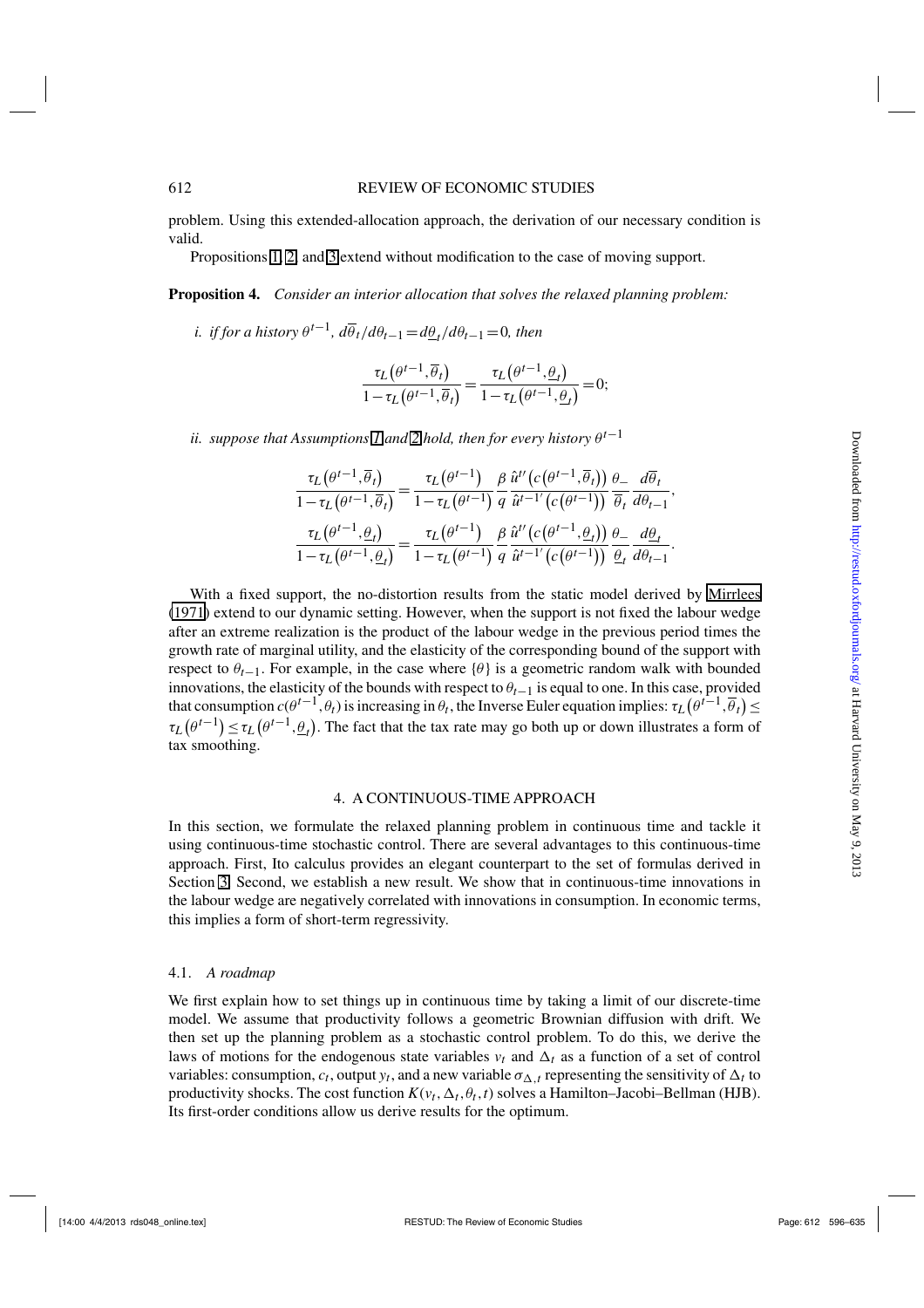<span id="page-16-0"></span>problem. Using this extended-allocation approach, the derivation of our necessary condition is valid.

Propositions [1,](#page-11-0) [2,](#page-12-0) and [3](#page-14-0) extend without modification to the case of moving support.

**Proposition 4.** *Consider an interior allocation that solves the relaxed planning problem:*

*i. if for a history*  $\theta^{t-1}$ *,*  $d\overline{\theta}_t/d\theta_{t-1} = d\theta_t/d\theta_{t-1} = 0$ *, then* 

$$
\frac{\tau_L(\theta^{t-1}, \overline{\theta}_t)}{1 - \tau_L(\theta^{t-1}, \overline{\theta}_t)} = \frac{\tau_L(\theta^{t-1}, \underline{\theta}_t)}{1 - \tau_L(\theta^{t-1}, \underline{\theta}_t)} = 0;
$$

*ii.* suppose that Assumptions [1](#page-11-0) and [2](#page-12-0) hold, then for every history  $\theta^{t-1}$ 

$$
\frac{\tau_L(\theta^{t-1}, \overline{\theta}_t)}{1 - \tau_L(\theta^{t-1}, \overline{\theta}_t)} = \frac{\tau_L(\theta^{t-1})}{1 - \tau_L(\theta^{t-1})} \frac{\beta}{q} \frac{\hat{u}^{t'}(c(\theta^{t-1}, \overline{\theta}_t))}{\hat{u}^{t-1'}(c(\theta^{t-1}))} \frac{\theta}{\overline{\theta}_t} \frac{d\overline{\theta}_t}{d\theta_{t-1}},
$$
  

$$
\frac{\tau_L(\theta^{t-1}, \theta_t)}{1 - \tau_L(\theta^{t-1}, \theta_t)} = \frac{\tau_L(\theta^{t-1})}{1 - \tau_L(\theta^{t-1})} \frac{\beta}{q} \frac{\hat{u}^{t'}(c(\theta^{t-1}, \theta_t))}{\hat{u}^{t-1'}(c(\theta^{t-1}))} \frac{\theta}{\theta_t} \frac{d\theta_t}{d\theta_{t-1}}.
$$

With a fixed support, the no-distortion results from the static model derived by [Mirrlees](#page-39-0) [\(1971](#page-39-0)) extend to our dynamic setting. However, when the support is not fixed the labour wedge after an extreme realization is the product of the labour wedge in the previous period times the growth rate of marginal utility, and the elasticity of the corresponding bound of the support with respect to  $\theta_{t-1}$ . For example, in the case where  $\{\theta\}$  is a geometric random walk with bounded innovations, the elasticity of the bounds with respect to  $\theta_{t-1}$  is equal to one. In this case, provided that consumption  $c(\theta^{t-1}, \theta_t)$  is increasing in  $\theta_t$ , the Inverse Euler equation implies:  $\tau_L(\theta^{t-1}, \overline{\theta}_t)$  $\tau_L(\theta^{t-1}) \leq \tau_L(\theta^{t-1}, \underline{\theta}_t)$ . The fact that the tax rate may go both up or down illustrates a form of tax smoothing.

#### 4. A CONTINUOUS-TIME APPROACH

In this section, we formulate the relaxed planning problem in continuous time and tackle it using continuous-time stochastic control. There are several advantages to this continuous-time approach. First, Ito calculus provides an elegant counterpart to the set of formulas derived in Section [3.](#page-11-0) Second, we establish a new result. We show that in continuous-time innovations in the labour wedge are negatively correlated with innovations in consumption. In economic terms, this implies a form of short-term regressivity.

# 4.1. *A roadmap*

We first explain how to set things up in continuous time by taking a limit of our discrete-time model. We assume that productivity follows a geometric Brownian diffusion with drift. We then set up the planning problem as a stochastic control problem. To do this, we derive the laws of motions for the endogenous state variables  $v_t$  and  $\Delta_t$  as a function of a set of control variables: consumption,  $c_t$ , output  $y_t$ , and a new variable  $\sigma_{\Delta,t}$  representing the sensitivity of  $\Delta_t$  to productivity shocks. The cost function  $K(v_t, \Delta_t, \theta_t, t)$  solves a Hamilton–Jacobi–Bellman (HJB). Its first-order conditions allow us derive results for the optimum.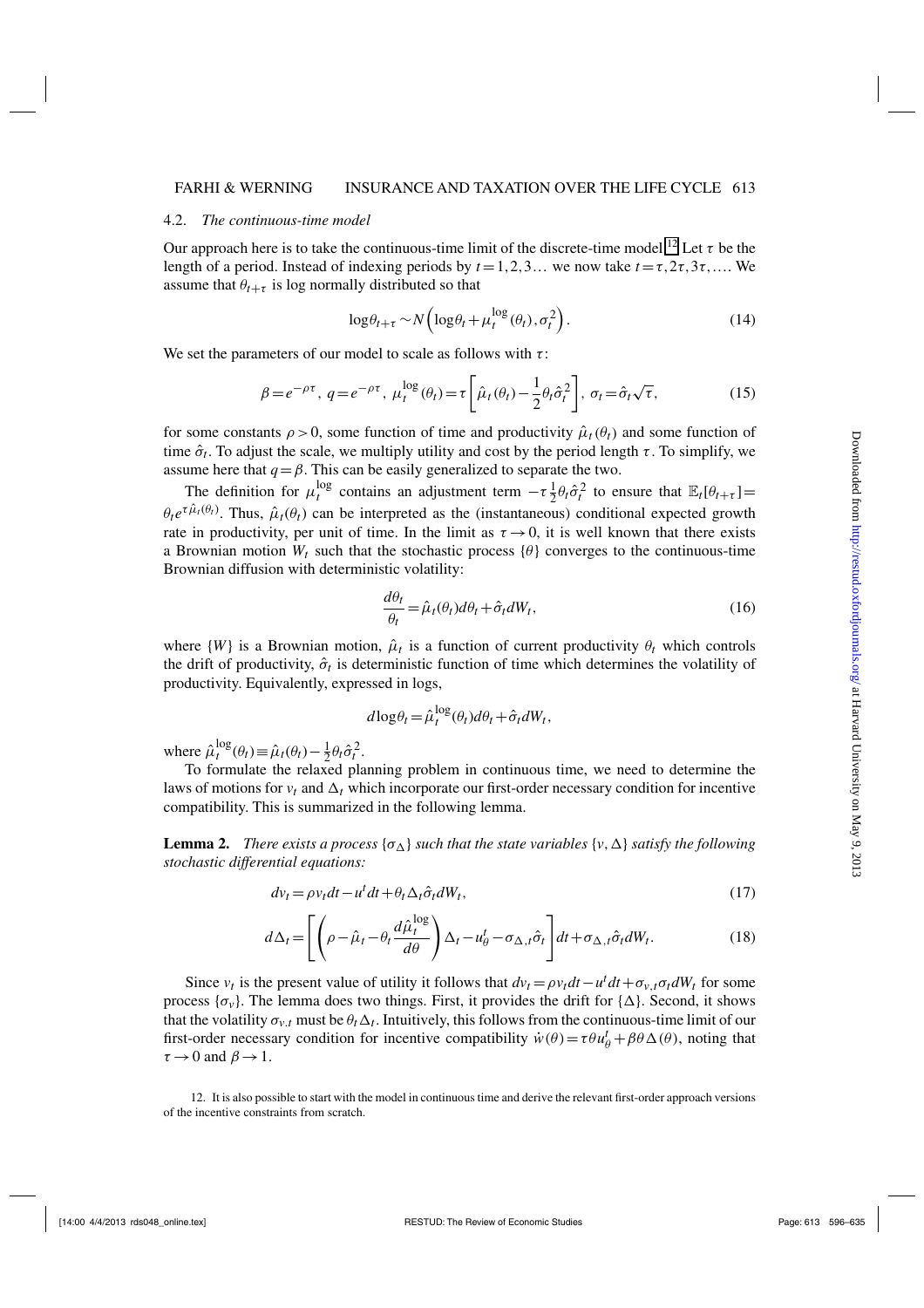#### <span id="page-17-0"></span>4.2. *The continuous-time model*

Our approach here is to take the continuous-time limit of the discrete-time model.<sup>12</sup> Let  $\tau$  be the length of a period. Instead of indexing periods by  $t = 1, 2, 3...$  we now take  $t = \tau, 2\tau, 3\tau, ...$  We assume that  $\theta_{t+\tau}$  is log normally distributed so that

$$
\log \theta_{t+\tau} \sim N \left( \log \theta_t + \mu_t^{\log}(\theta_t), \sigma_t^2 \right). \tag{14}
$$

We set the parameters of our model to scale as follows with  $\tau$ :

$$
\beta = e^{-\rho \tau}, \ q = e^{-\rho \tau}, \ \mu_t^{\log}(\theta_t) = \tau \left[ \hat{\mu}_t(\theta_t) - \frac{1}{2} \theta_t \hat{\sigma}_t^2 \right], \ \sigma_t = \hat{\sigma}_t \sqrt{\tau}, \tag{15}
$$

for some constants  $\rho > 0$ , some function of time and productivity  $\hat{\mu}_t(\theta_t)$  and some function of time  $\hat{\sigma}_t$ . To adjust the scale, we multiply utility and cost by the period length  $\tau$ . To simplify, we assume here that  $q = \beta$ . This can be easily generalized to separate the two.

The definition for  $\mu_t^{\log}$  contains an adjustment term  $-\tau \frac{1}{2} \theta_t \hat{\sigma}_t^2$  to ensure that  $\mathbb{E}_t[\theta_{t+\tau}] =$  $\theta_t e^{\tau \hat{\mu}_t(\theta_t)}$ . Thus,  $\hat{\mu}_t(\theta_t)$  can be interpreted as the (instantaneous) conditional expected growth rate in productivity, per unit of time. In the limit as  $\tau \rightarrow 0$ , it is well known that there exists a Brownian motion  $W_t$  such that the stochastic process  $\{\theta\}$  converges to the continuous-time Brownian diffusion with deterministic volatility:

$$
\frac{d\theta_t}{\theta_t} = \hat{\mu}_t(\theta_t) d\theta_t + \hat{\sigma}_t dW_t,
$$
\n(16)

where  $\{W\}$  is a Brownian motion,  $\hat{\mu}_t$  is a function of current productivity  $\theta_t$  which controls the drift of productivity,  $\hat{\sigma}_t$  is deterministic function of time which determines the volatility of productivity. Equivalently, expressed in logs,

$$
d\log\theta_t = \hat{\mu}_t^{\log}(\theta_t) d\theta_t + \hat{\sigma}_t dW_t,
$$

where  $\hat{\mu}_t^{\log}(\theta_t) \equiv \hat{\mu}_t(\theta_t) - \frac{1}{2}\theta_t \hat{\sigma}_t^2$ .

To formulate the relaxed planning problem in continuous time, we need to determine the laws of motions for  $v_t$  and  $\Delta_t$  which incorporate our first-order necessary condition for incentive compatibility. This is summarized in the following lemma.

**Lemma 2.** *There exists a process*  $\{\sigma_{\Delta}\}\$  *such that the state variables*  $\{v, \Delta\}\$  *satisfy the following stochastic differential equations:*

$$
dv_t = \rho v_t dt - u^t dt + \theta_t \Delta_t \hat{\sigma}_t dW_t,
$$
\n(17)

$$
d\Delta_t = \left[ \left( \rho - \hat{\mu}_t - \theta_t \frac{d\hat{\mu}_t^{\text{log}}}{d\theta} \right) \Delta_t - u_\theta^t - \sigma_{\Delta,t} \hat{\sigma}_t \right] dt + \sigma_{\Delta,t} \hat{\sigma}_t dW_t. \tag{18}
$$

Since  $v_t$  is the present value of utility it follows that  $dv_t = \rho v_t dt - u^t dt + \sigma_{v,t} \sigma_t dW_t$  for some process  $\{\sigma_v\}$ . The lemma does two things. First, it provides the drift for  $\{\Delta\}$ . Second, it shows that the volatility  $\sigma_{v,t}$  must be  $\theta_t \Delta_t$ . Intuitively, this follows from the continuous-time limit of our first-order necessary condition for incentive compatibility  $\dot{w}(\theta) = \tau \theta u_{\theta}^t + \beta \theta \Delta(\theta)$ , noting that  $\tau \rightarrow 0$  and  $\beta \rightarrow 1$ .

<sup>12.</sup> It is also possible to start with the model in continuous time and derive the relevant first-order approach versions of the incentive constraints from scratch.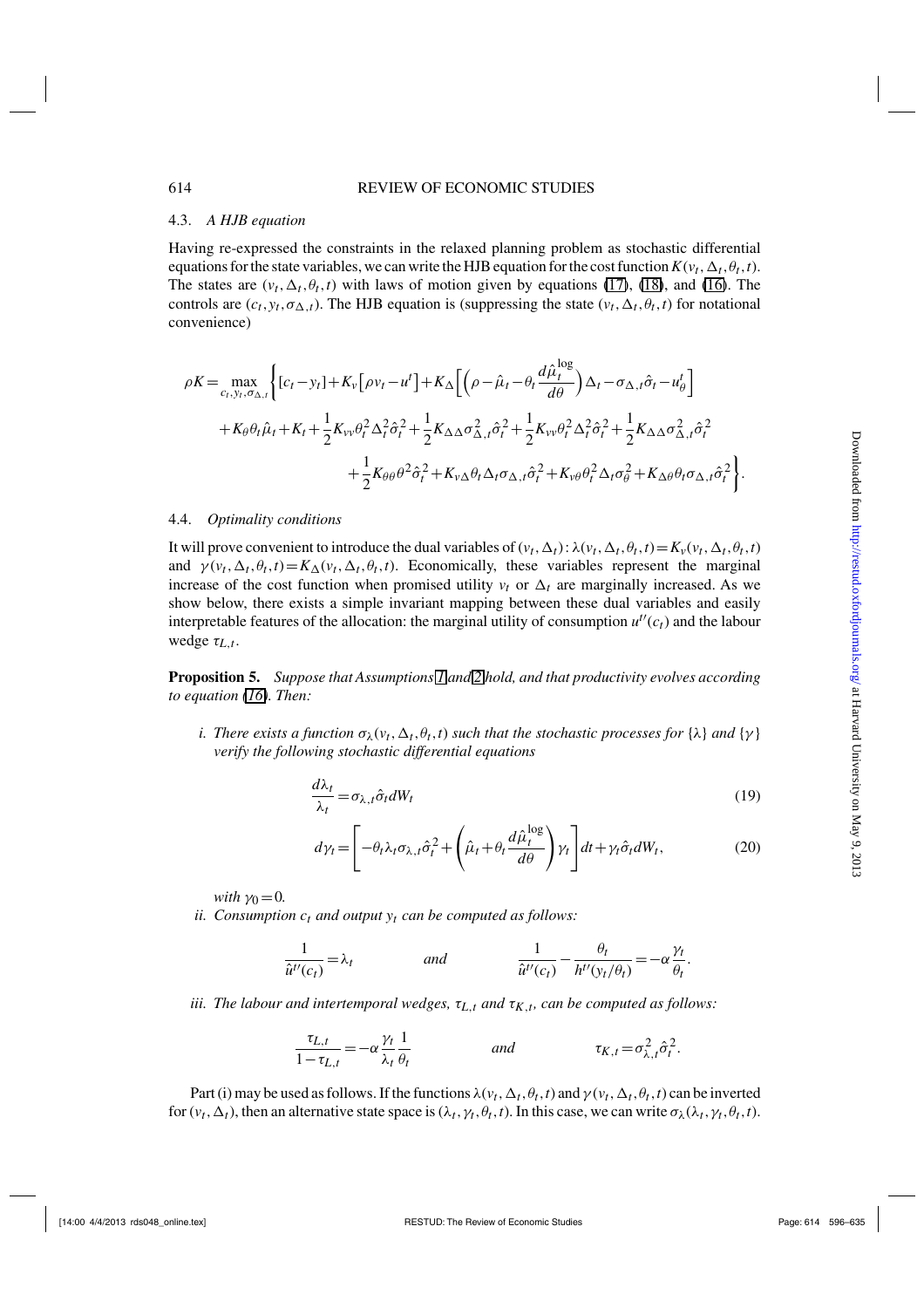#### <span id="page-18-0"></span>4.3. *A HJB equation*

Having re-expressed the constraints in the relaxed planning problem as stochastic differential equations for the state variables, we can write the HJB equation for the cost function  $K(v_t, \Delta_t, \theta_t, t)$ . The states are  $(v_t, \Delta_t, \theta_t, t)$  with laws of motion given by equations [\(17\)](#page-17-0), [\(18\)](#page-17-0), and [\(16\)](#page-17-0). The controls are  $(c_t, y_t, \sigma_{\Delta,t})$ . The HJB equation is (suppressing the state  $(v_t, \Delta_t, \theta_t, t)$  for notational convenience)

$$
\rho K = \max_{c_t, y_t, \sigma_{\Delta, t}} \left\{ [c_t - y_t] + K_v [\rho v_t - u^t] + K_\Delta \left[ \left( \rho - \hat{\mu}_t - \theta_t \frac{d \hat{\mu}_t^{log}}{d \theta} \right) \Delta_t - \sigma_{\Delta, t} \hat{\sigma}_t - u^t_{\theta} \right] \right.+ K_\theta \theta_t \hat{\mu}_t + K_t + \frac{1}{2} K_{vv} \theta_t^2 \Delta_t^2 \hat{\sigma}_t^2 + \frac{1}{2} K_{\Delta \Delta} \sigma_{\Delta, t}^2 \hat{\sigma}_t^2 + \frac{1}{2} K_{vv} \theta_t^2 \Delta_t^2 \hat{\sigma}_t^2 + \frac{1}{2} K_{\Delta \Delta} \sigma_{\Delta, t}^2 \hat{\sigma}_t^2 + \frac{1}{2} K_{\theta \theta} \theta^2 \hat{\sigma}_t^2 + K_{v\Delta} \theta_t \Delta_t \sigma_{\Delta, t} \hat{\sigma}_t^2 + K_{v\theta} \theta_t^2 \Delta_t \sigma_\theta^2 + K_{\Delta \theta} \theta_t \sigma_{\Delta, t} \hat{\sigma}_t^2 \right\}.
$$

# 4.4. *Optimality conditions*

It will prove convenient to introduce the dual variables of  $(v_t, \Delta_t): \lambda(v_t, \Delta_t, \theta_t, t) = K_v(v_t, \Delta_t, \theta_t, t)$ and  $\gamma(v_t, \Delta_t, \theta_t, t) = K_\Delta(v_t, \Delta_t, \theta_t, t)$ . Economically, these variables represent the marginal increase of the cost function when promised utility  $v_t$  or  $\Delta_t$  are marginally increased. As we show below, there exists a simple invariant mapping between these dual variables and easily interpretable features of the allocation: the marginal utility of consumption  $u^{t'}(c_t)$  and the labour wedge τ*L*,*t*.

**Proposition 5.** *Suppose that Assumptions [1](#page-11-0) and [2](#page-12-0) hold, and that productivity evolves according to equation [\(16\)](#page-17-0). Then:*

*i. There exists a function*  $\sigma_{\lambda}(v_t, \Delta_t, \theta_t, t)$  *such that the stochastic processes for*  $\{\lambda\}$  *and*  $\{\gamma\}$ *verify the following stochastic differential equations*

$$
\frac{d\lambda_t}{\lambda_t} = \sigma_{\lambda,t} \hat{\sigma}_t dW_t \tag{19}
$$

$$
d\gamma_t = \left[ -\theta_t \lambda_t \sigma_{\lambda,t} \hat{\sigma}_t^2 + \left( \hat{\mu}_t + \theta_t \frac{d\hat{\mu}_t^{\text{log}}}{d\theta} \right) \gamma_t \right] dt + \gamma_t \hat{\sigma}_t dW_t, \tag{20}
$$

*with*  $\gamma_0 = 0$ .

*ii.* Consumption  $c_t$  and output  $y_t$  can be computed as follows:

$$
\frac{1}{\hat{u}^{t'}(c_t)} = \lambda_t \qquad \text{and} \qquad \frac{1}{\hat{u}^{t'}(c_t)} - \frac{\theta_t}{h^{t'}(y_t/\theta_t)} = -\alpha \frac{\gamma_t}{\theta_t}.
$$

*iii. The labour and intertemporal wedges,* τ*L*,*t and* τ*K*,*t, can be computed as follows:*

$$
\frac{\tau_{L,t}}{1-\tau_{L,t}} = -\alpha \frac{\gamma_t}{\lambda_t} \frac{1}{\theta_t} \qquad \text{and} \qquad \tau_{K,t} = \sigma_{\lambda,t}^2 \hat{\sigma}_t^2.
$$

Part (i) may be used as follows. If the functions  $\lambda(v_t, \Delta_t, \theta_t, t)$  and  $\gamma(v_t, \Delta_t, \theta_t, t)$  can be inverted for (*vt*, *t*), then an alternative state space is (λ*t*,γ*t*,θ*t*,*t*). In this case, we can write σλ(λ*t*,γ*t*,θ*t*,*t*).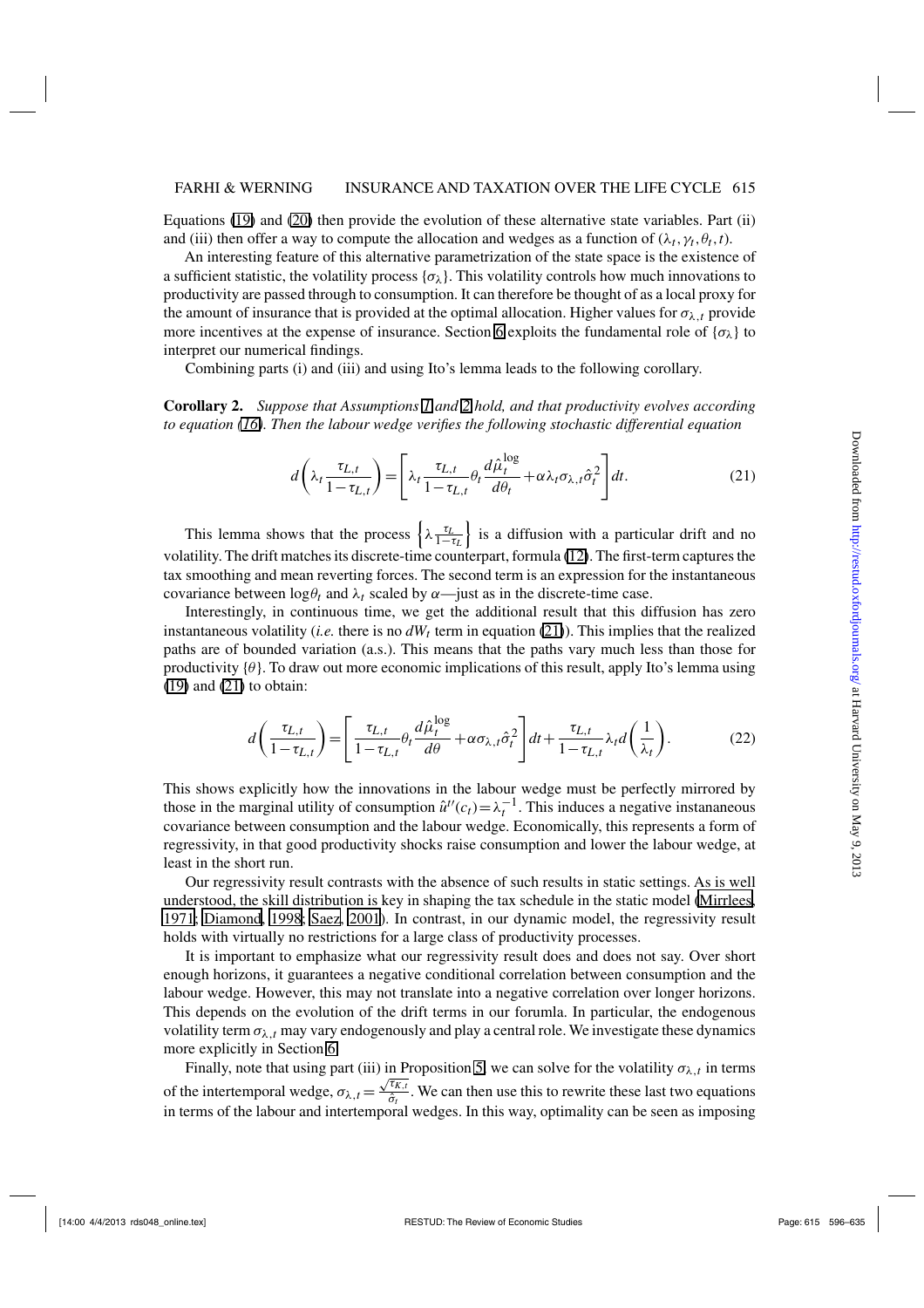<span id="page-19-0"></span>Equations [\(19\)](#page-18-0) and [\(20\)](#page-18-0) then provide the evolution of these alternative state variables. Part (ii) and (iii) then offer a way to compute the allocation and wedges as a function of  $(\lambda_t, \gamma_t, \theta_t, t)$ .

An interesting feature of this alternative parametrization of the state space is the existence of a sufficient statistic, the volatility process  $\{\sigma_{\lambda}\}\$ . This volatility controls how much innovations to productivity are passed through to consumption. It can therefore be thought of as a local proxy for the amount of insurance that is provided at the optimal allocation. Higher values for  $\sigma_{\lambda,t}$  provide more incentives at the expense of insurance. Section [6](#page-22-0) exploits the fundamental role of  $\{\sigma_{\lambda}\}\$  to interpret our numerical findings.

Combining parts (i) and (iii) and using Ito's lemma leads to the following corollary.

**Corollary 2.** *Suppose that Assumptions [1](#page-11-0) and [2](#page-12-0) hold, and that productivity evolves according to equation [\(16\)](#page-17-0). Then the labour wedge verifies the following stochastic differential equation*

$$
d\left(\lambda_t \frac{\tau_{L,t}}{1-\tau_{L,t}}\right) = \left[\lambda_t \frac{\tau_{L,t}}{1-\tau_{L,t}} \theta_t \frac{d\hat{\mu}_t^{\log}}{d\theta_t} + \alpha \lambda_t \sigma_{\lambda,t} \hat{\sigma}_t^2\right] dt. \tag{21}
$$

This lemma shows that the process  $\left\{\lambda \frac{\tau_L}{1-\tau_L}\right\}$  is a diffusion with a particular drift and no volatility. The drift matches its discrete-time counterpart, formula [\(12\)](#page-13-0). The first-term captures the tax smoothing and mean reverting forces. The second term is an expression for the instantaneous covariance between  $\log \theta_t$  and  $\lambda_t$  scaled by  $\alpha$ —just as in the discrete-time case.

Interestingly, in continuous time, we get the additional result that this diffusion has zero instantaneous volatility (*i.e.* there is no  $dW_t$  term in equation (21)). This implies that the realized paths are of bounded variation (a.s.). This means that the paths vary much less than those for productivity  $\{\theta\}$ . To draw out more economic implications of this result, apply Ito's lemma using  $(19)$  and  $(21)$  to obtain:

$$
d\left(\frac{\tau_{L,t}}{1-\tau_{L,t}}\right) = \left[\frac{\tau_{L,t}}{1-\tau_{L,t}}\theta_t \frac{d\hat{\mu}_t^{\text{log}}}{d\theta} + \alpha \sigma_{\lambda,t} \hat{\sigma}_t^2\right] dt + \frac{\tau_{L,t}}{1-\tau_{L,t}} \lambda_t d\left(\frac{1}{\lambda_t}\right). \tag{22}
$$

This shows explicitly how the innovations in the labour wedge must be perfectly mirrored by those in the marginal utility of consumption  $\hat{u}^{t'}(c_t) = \lambda_t^{-1}$ . This induces a negative instananeous covariance between consumption and the labour wedge. Economically, this represents a form of regressivity, in that good productivity shocks raise consumption and lower the labour wedge, at least in the short run.

Our regressivity result contrasts with the absence of such results in static settings. As is well understood, the skill distribution is key in shaping the tax schedule in the static model [\(Mirrlees](#page-39-0), [1971;](#page-39-0) [Diamond, 1998](#page-38-0); [Saez](#page-39-0), [2001](#page-39-0)). In contrast, in our dynamic model, the regressivity result holds with virtually no restrictions for a large class of productivity processes.

It is important to emphasize what our regressivity result does and does not say. Over short enough horizons, it guarantees a negative conditional correlation between consumption and the labour wedge. However, this may not translate into a negative correlation over longer horizons. This depends on the evolution of the drift terms in our forumla. In particular, the endogenous volatility term  $\sigma_{\lambda,t}$  may vary endogenously and play a central role. We investigate these dynamics more explicitly in Section [6.](#page-22-0)

Finally, note that using part (iii) in Proposition [5,](#page-18-0) we can solve for the volatility  $\sigma_{\lambda}$ , *t* in terms of the intertemporal wedge,  $\sigma_{\lambda,t} = \frac{\sqrt{\tau_{K,t}}}{\hat{\sigma}_{t}}$  $\frac{\partial f_{k,t}}{\partial t}$ . We can then use this to rewrite these last two equations in terms of the labour and intertemporal wedges. In this way, optimality can be seen as imposing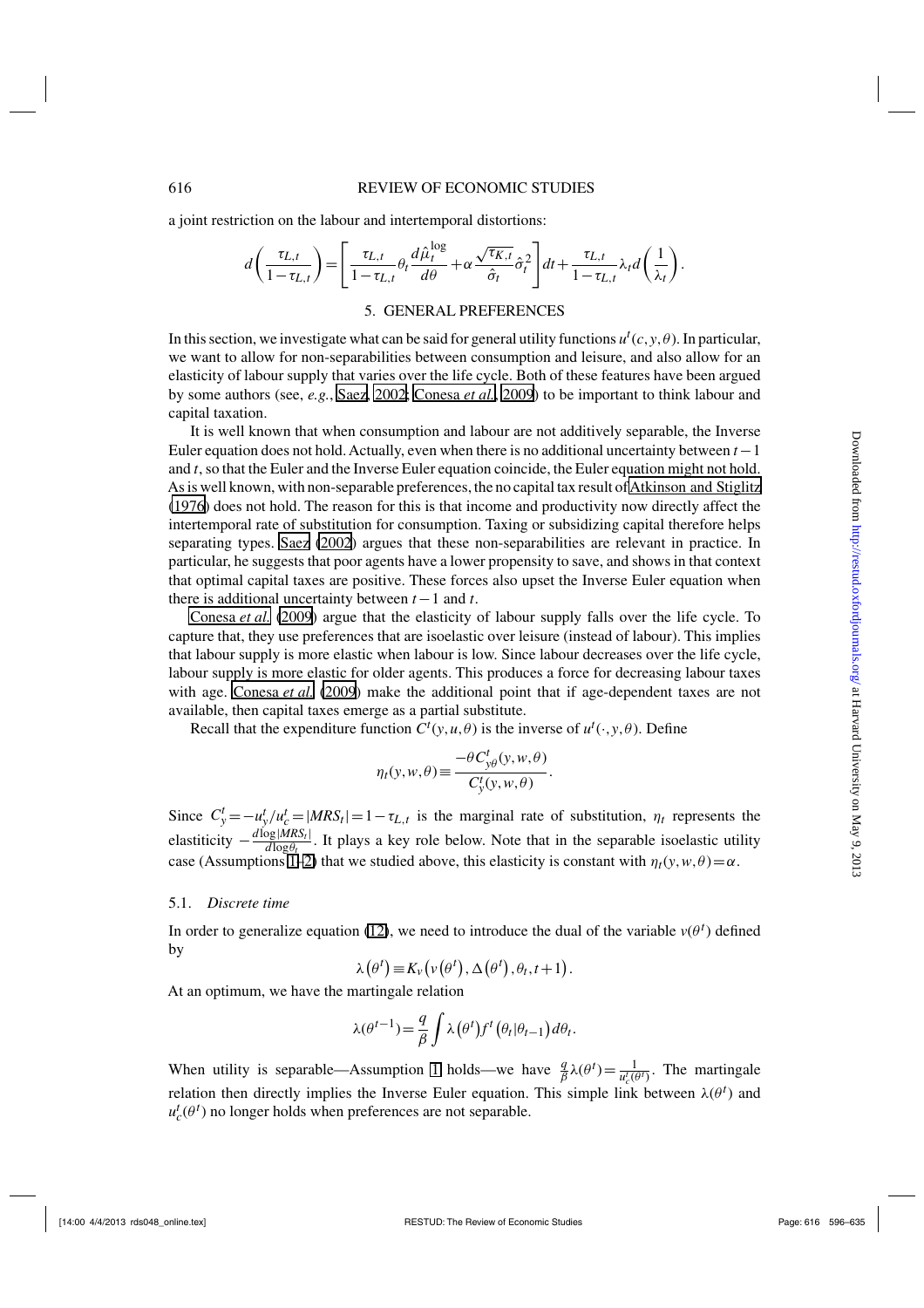<span id="page-20-0"></span>a joint restriction on the labour and intertemporal distortions:

$$
d\left(\frac{\tau_{L,t}}{1-\tau_{L,t}}\right) = \left[\frac{\tau_{L,t}}{1-\tau_{L,t}}\theta_t \frac{d\hat{\mu}_t^{\log}}{d\theta} + \alpha \frac{\sqrt{\tau_{K,t}}}{\hat{\sigma}_t} \hat{\sigma}_t^2\right]dt + \frac{\tau_{L,t}}{1-\tau_{L,t}}\lambda_t d\left(\frac{1}{\lambda_t}\right).
$$

# 5. GENERAL PREFERENCES

In this section, we investigate what can be said for general utility functions  $u^t(c, y, \theta)$ . In particular, we want to allow for non-separabilities between consumption and leisure, and also allow for an elasticity of labour supply that varies over the life cycle. Both of these features have been argued by some authors (see, *e.g.*, [Saez, 2002;](#page-39-0) [Conesa](#page-38-0) *et al.*, [2009\)](#page-38-0) to be important to think labour and capital taxation.

It is well known that when consumption and labour are not additively separable, the Inverse Euler equation does not hold. Actually, even when there is no additional uncertainty between *t*−1 and *t*, so that the Euler and the Inverse Euler equation coincide, the Euler equation might not hold. As is well known, with non-separable preferences, the no capital tax result of [Atkinson and Stiglitz](#page-38-0) [\(1976](#page-38-0)) does not hold. The reason for this is that income and productivity now directly affect the intertemporal rate of substitution for consumption. Taxing or subsidizing capital therefore helps separating types. [Saez](#page-39-0) [\(2002\)](#page-39-0) argues that these non-separabilities are relevant in practice. In particular, he suggests that poor agents have a lower propensity to save, and shows in that context that optimal capital taxes are positive. These forces also upset the Inverse Euler equation when there is additional uncertainty between *t*−1 and *t*.

[Conesa](#page-38-0) *et al.* [\(2009](#page-38-0)) argue that the elasticity of labour supply falls over the life cycle. To capture that, they use preferences that are isoelastic over leisure (instead of labour). This implies that labour supply is more elastic when labour is low. Since labour decreases over the life cycle, labour supply is more elastic for older agents. This produces a force for decreasing labour taxes with age. [Conesa](#page-38-0) *et al.* [\(2009](#page-38-0)) make the additional point that if age-dependent taxes are not available, then capital taxes emerge as a partial substitute.

Recall that the expenditure function  $C^t(y, u, \theta)$  is the inverse of  $u^t(\cdot, y, \theta)$ . Define

$$
\eta_t(y, w, \theta) \equiv \frac{-\theta C_{y\theta}^t(y, w, \theta)}{C_y^t(y, w, \theta)}.
$$

Since  $C_y^t = -u_y^t/u_c^t = |MRS_t| = 1 - \tau_{L,t}$  is the marginal rate of substitution,  $\eta_t$  represents the elastiticity  $-\frac{d\log|MRS_t|}{d\log\theta_t}$ . It plays a key role below. Note that in the separable isoelastic utility case (Assumptions [1](#page-11-0)[–2\)](#page-12-0) that we studied above, this elasticity is constant with  $\eta_t(y, w, \theta) = \alpha$ .

# 5.1. *Discrete time*

In order to generalize equation [\(12\)](#page-13-0), we need to introduce the dual of the variable  $v(\theta^t)$  defined by

$$
\lambda(\theta^t) \equiv K_v(v(\theta^t), \Delta(\theta^t), \theta_t, t+1).
$$

At an optimum, we have the martingale relation

$$
\lambda(\theta^{t-1}) = \frac{q}{\beta} \int \lambda(\theta^t) f^t(\theta_t | \theta_{t-1}) d\theta_t.
$$

When utility is separable—Assumption [1](#page-11-0) holds—we have  $\frac{q}{\beta} \lambda(\theta^t) = \frac{1}{u_c^t(\theta^t)}$ . The martingale relation then directly implies the Inverse Euler equation. This simple link between  $\lambda(\theta^t)$  and  $u_c^t$ ( $\theta^t$ ) no longer holds when preferences are not separable.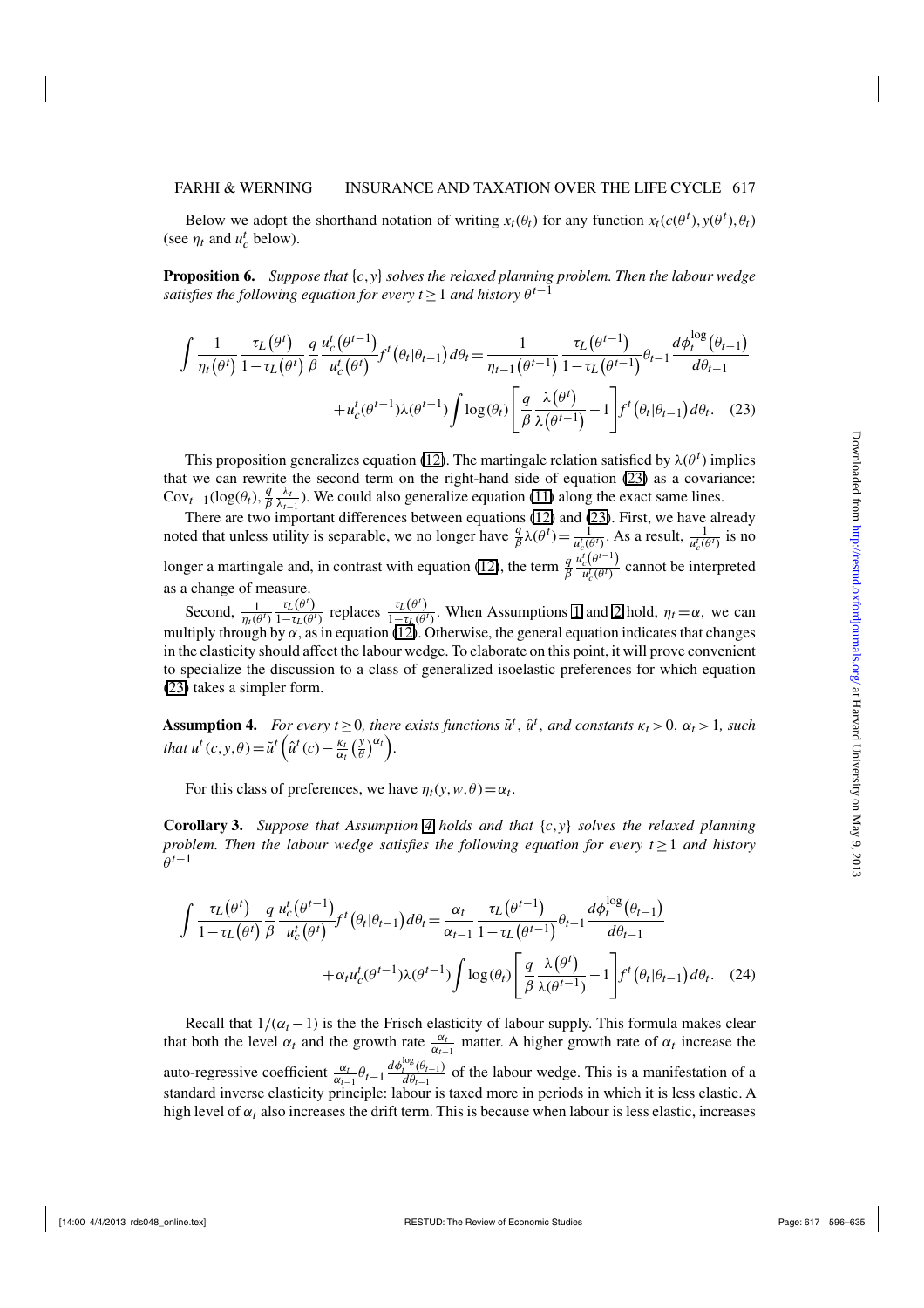<span id="page-21-0"></span>Below we adopt the shorthand notation of writing  $x_t(\theta_t)$  for any function  $x_t(c(\theta^t), y(\theta^t), \theta_t)$ (see  $\eta_t$  and  $u_c^t$  below).

**Proposition 6.** *Suppose that* {*c*,*y*} *solves the relaxed planning problem. Then the labour wedge satisfies the following equation for every*  $t \geq 1$  *and history*  $\theta^{t-1}$ 

$$
\int \frac{1}{\eta_t(\theta^t)} \frac{\tau_L(\theta^t)}{1 - \tau_L(\theta^t)} \frac{q}{\beta} \frac{u_c^t(\theta^{t-1})}{u_c^t(\theta^t)} f^t(\theta_t | \theta_{t-1}) d\theta_t = \frac{1}{\eta_{t-1}(\theta^{t-1})} \frac{\tau_L(\theta^{t-1})}{1 - \tau_L(\theta^{t-1})} \theta_{t-1} \frac{d\phi_t^{\log}(\theta_{t-1})}{d\theta_{t-1}} + u_c^t(\theta^{t-1}) \lambda(\theta^{t-1}) \int \log(\theta_t) \left[ \frac{q}{\beta} \frac{\lambda(\theta^t)}{\lambda(\theta^{t-1})} - 1 \right] f^t(\theta_t | \theta_{t-1}) d\theta_t. (23)
$$

This proposition generalizes equation [\(12\)](#page-13-0). The martingale relation satisfied by  $\lambda(\theta^t)$  implies that we can rewrite the second term on the right-hand side of equation (23) as a covariance: Cov<sub>t−1</sub>(log( $\theta_t$ ),  $\frac{q}{\beta} \frac{\lambda_t}{\lambda_{t-1}}$ ). We could also generalize equation [\(11\)](#page-12-0) along the exact same lines.

There are two important differences between equations [\(12\)](#page-13-0) and (23). First, we have already noted that unless utility is separable, we no longer have  $\frac{q}{\beta} \lambda(\theta^t) = \frac{1}{u_c^t(\theta^t)}$ . As a result,  $\frac{1}{u_c^t(\theta^t)}$  is no longer a martingale and, in contrast with equation [\(12\)](#page-13-0), the term  $\frac{q}{\beta}$  $u_c^t(\theta^{t-1})$  $\frac{c^{(0)}(e^{it})}{u_c^t(e^{it})}$  cannot be interpreted as a change of measure.

Second,  $\frac{1}{\eta_t(\theta^t)}$  $\frac{\tau_L(\theta^t)}{1-\tau_L(\theta^t)}$  replaces  $\frac{\tau_L(\theta^t)}{1-\tau_L(\theta^t)}$ . When Assumptions [1](#page-11-0) and [2](#page-12-0) hold,  $\eta_t = \alpha$ , we can multiply through by  $\alpha$ , as in equation [\(12\)](#page-13-0). Otherwise, the general equation indicates that changes in the elasticity should affect the labour wedge. To elaborate on this point, it will prove convenient to specialize the discussion to a class of generalized isoelastic preferences for which equation (23) takes a simpler form.

**Assumption 4.** *For every t*  $\geq$  0*, there exists functions*  $\tilde{u}^t$ ,  $\hat{u}^t$ *, and constants*  $\kappa_t$   $>$  0*,*  $\alpha_t$   $>$  1*, such that*  $u^t$   $(c, y, \theta) = \tilde{u}^t \left( \hat{u}^t$   $(c) - \frac{\kappa_t}{\alpha_t} \left( \frac{y}{\theta} \right)^{\alpha_t} \right)$ .

For this class of preferences, we have  $\eta_t(y, w, \theta) = \alpha_t$ .

**Corollary 3.** *Suppose that Assumption 4 holds and that* {*c*,*y*} *solves the relaxed planning problem. Then the labour wedge satisfies the following equation for every t*  $>1$  *and history*  $\theta^{t-1}$ 

$$
\int \frac{\tau_L(\theta^t)}{1 - \tau_L(\theta^t)} \frac{q}{\beta} \frac{u_c^t(\theta^{t-1})}{u_c^t(\theta^t)} f^t(\theta_t | \theta_{t-1}) d\theta_t = \frac{\alpha_t}{\alpha_{t-1}} \frac{\tau_L(\theta^{t-1})}{1 - \tau_L(\theta^{t-1})} \theta_{t-1} \frac{d\phi_t^{\log}(\theta_{t-1})}{d\theta_{t-1}} + \alpha_t u_c^t(\theta^{t-1}) \lambda(\theta^{t-1}) \int \log(\theta_t) \left[ \frac{q}{\beta} \frac{\lambda(\theta^t)}{\lambda(\theta^{t-1})} - 1 \right] f^t(\theta_t | \theta_{t-1}) d\theta_t. \tag{24}
$$

Recall that  $1/(\alpha_t - 1)$  is the the Frisch elasticity of labour supply. This formula makes clear that both the level  $\alpha_t$  and the growth rate  $\frac{\alpha_t}{\alpha_{t-1}}$  matter. A higher growth rate of  $\alpha_t$  increase the auto-regressive coefficient  $\frac{\alpha_t}{\alpha_{t-1}} \theta_{t-1} \frac{d\phi_t^{\log}(\theta_{t-1})}{d\theta_{t-1}}$  of the labour wedge. This is a manifestation of a standard inverse elasticity principle: labour is taxed more in periods in which it is less elastic. A high level of  $\alpha_t$  also increases the drift term. This is because when labour is less elastic, increases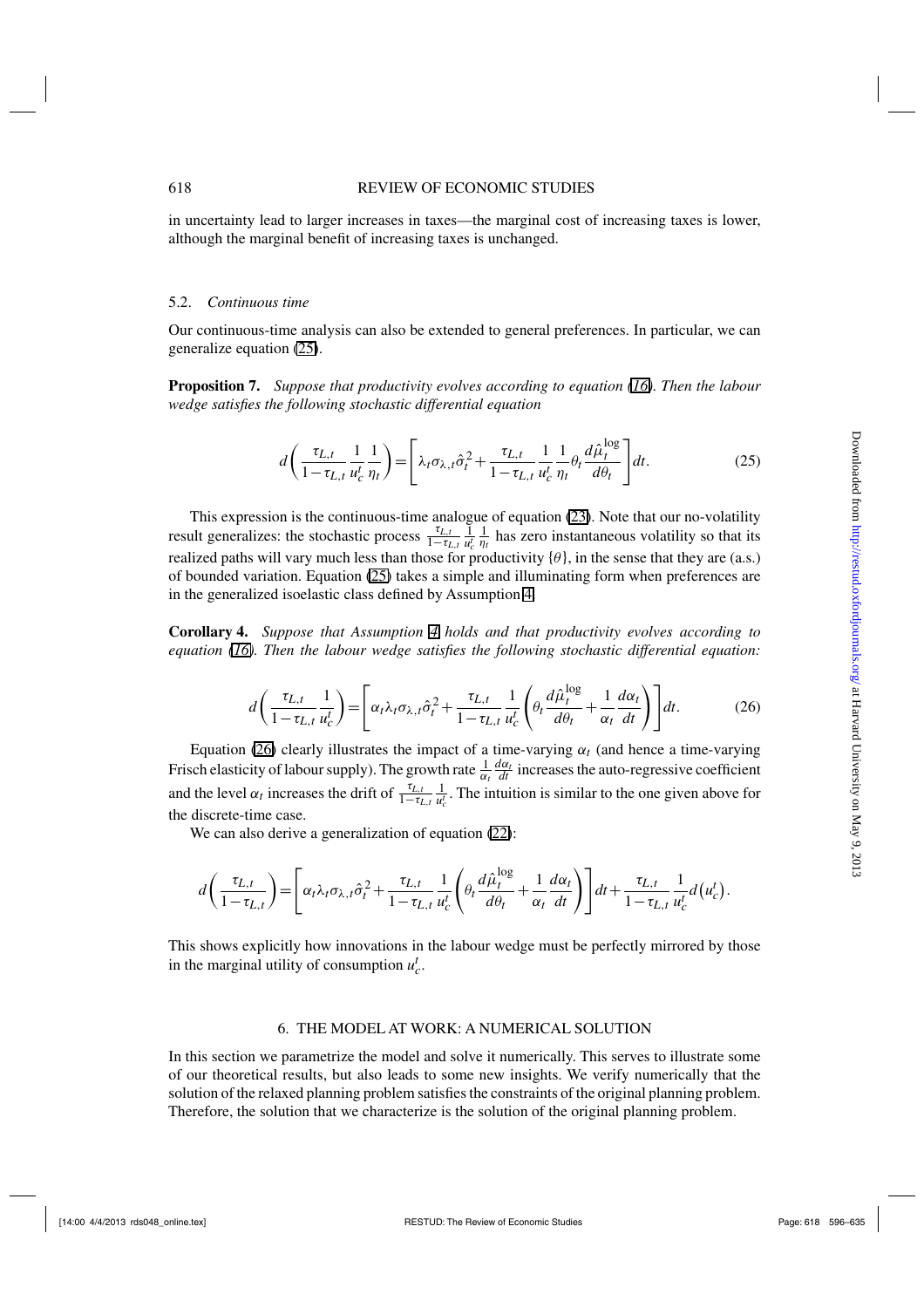<span id="page-22-0"></span>in uncertainty lead to larger increases in taxes—the marginal cost of increasing taxes is lower, although the marginal benefit of increasing taxes is unchanged.

#### 5.2. *Continuous time*

Our continuous-time analysis can also be extended to general preferences. In particular, we can generalize equation (25).

**Proposition 7.** *Suppose that productivity evolves according to equation [\(16\)](#page-17-0). Then the labour wedge satisfies the following stochastic differential equation*

$$
d\left(\frac{\tau_{L,t}}{1-\tau_{L,t}}\frac{1}{u_c^t}\frac{1}{\eta_t}\right) = \left[\lambda_t \sigma_{\lambda,t} \hat{\sigma}_t^2 + \frac{\tau_{L,t}}{1-\tau_{L,t}}\frac{1}{u_c^t}\frac{1}{\eta_t} \theta_t \frac{d\hat{\mu}_t^{log}}{d\theta_t}\right] dt.
$$
 (25)

This expression is the continuous-time analogue of equation [\(23\)](#page-21-0). Note that our no-volatility result generalizes: the stochastic process  $\frac{\tau_{L,t}}{1-\tau_{L,t}} \frac{1}{u_c^t}$  $\frac{1}{n_t}$  has zero instantaneous volatility so that its realized paths will vary much less than those for productivity  $\{\theta\}$ , in the sense that they are (a.s.) of bounded variation. Equation (25) takes a simple and illuminating form when preferences are in the generalized isoelastic class defined by Assumption [4.](#page-21-0)

**Corollary 4.** *Suppose that Assumption [4](#page-21-0) holds and that productivity evolves according to equation [\(16\)](#page-17-0). Then the labour wedge satisfies the following stochastic differential equation:*

$$
d\left(\frac{\tau_{L,t}}{1-\tau_{L,t}}\frac{1}{u_c^t}\right) = \left[\alpha_t \lambda_t \sigma_{\lambda,t} \hat{\sigma}_t^2 + \frac{\tau_{L,t}}{1-\tau_{L,t}}\frac{1}{u_c^t} \left(\theta_t \frac{d\hat{\mu}_t^{log}}{d\theta_t} + \frac{1}{\alpha_t} \frac{d\alpha_t}{dt}\right)\right] dt. \tag{26}
$$

Equation (26) clearly illustrates the impact of a time-varying  $\alpha_t$  (and hence a time-varying Frisch elasticity of labour supply). The growth rate  $\frac{1}{\alpha_t} \frac{d\alpha_t}{dt}$  increases the auto-regressive coefficient and the level  $\alpha_t$  increases the drift of  $\frac{\tau_{L,t}}{1-\tau_{L,t}} \frac{1}{u_c^t}$ . The intuition is similar to the one given above for the discrete-time case.

We can also derive a generalization of equation  $(22)$ :

$$
d\left(\frac{\tau_{L,t}}{1-\tau_{L,t}}\right) = \left[\alpha_t\lambda_t\sigma_{\lambda,t}\hat{\sigma}_t^2 + \frac{\tau_{L,t}}{1-\tau_{L,t}}\frac{1}{u_c^t}\left(\theta_t\frac{d\hat{\mu}_t^{\text{log}}}{d\theta_t} + \frac{1}{\alpha_t}\frac{d\alpha_t}{dt}\right)\right]dt + \frac{\tau_{L,t}}{1-\tau_{L,t}}\frac{1}{u_c^t}d\left(u_c^t\right).
$$

This shows explicitly how innovations in the labour wedge must be perfectly mirrored by those in the marginal utility of consumption  $u_c^t$ .

#### 6. THE MODEL AT WORK: A NUMERICAL SOLUTION

In this section we parametrize the model and solve it numerically. This serves to illustrate some of our theoretical results, but also leads to some new insights. We verify numerically that the solution of the relaxed planning problem satisfies the constraints of the original planning problem. Therefore, the solution that we characterize is the solution of the original planning problem.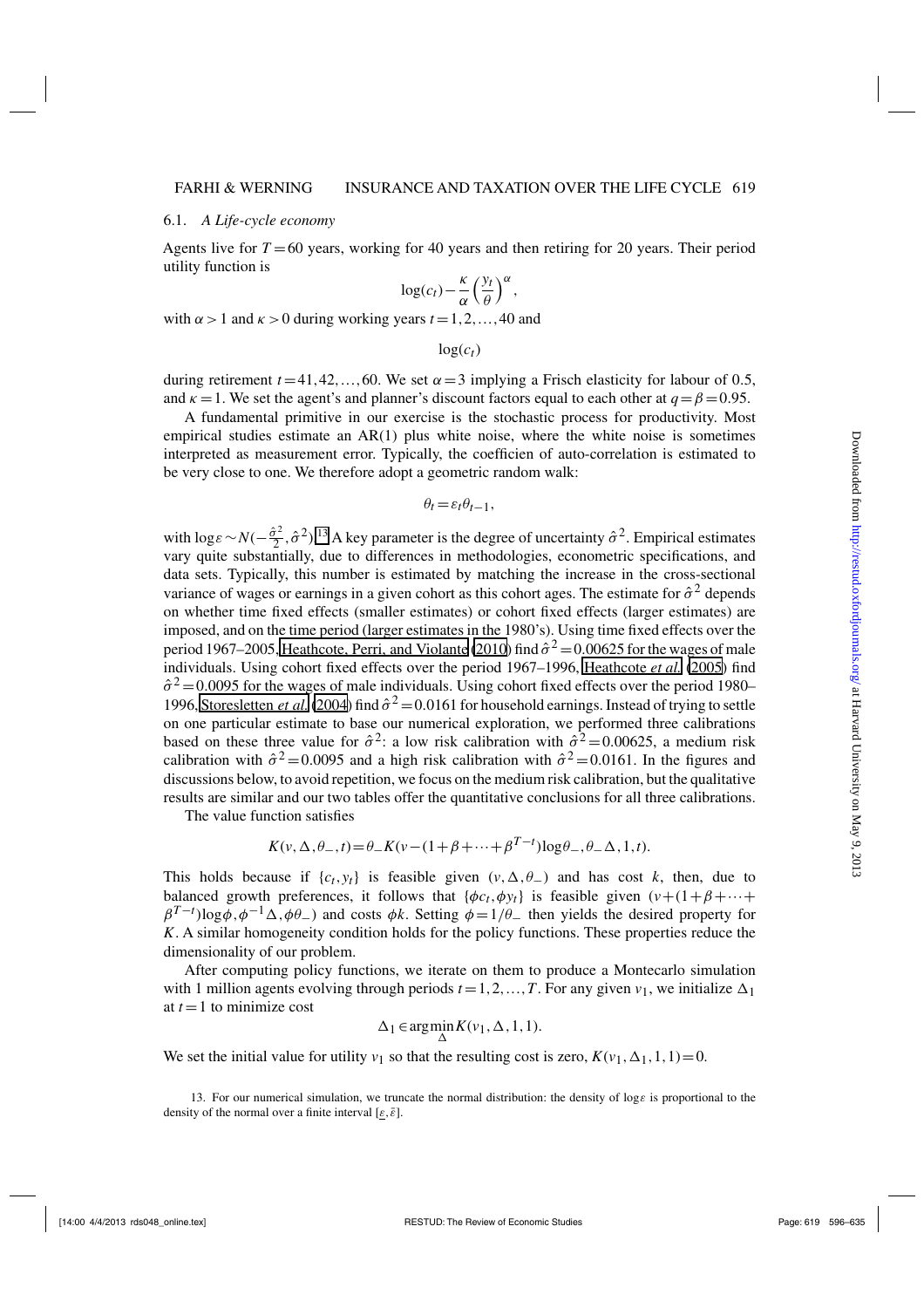#### 6.1. *A Life-cycle economy*

Agents live for *T* =60 years, working for 40 years and then retiring for 20 years. Their period utility function is

$$
\log(c_t) - \frac{\kappa}{\alpha} \left(\frac{y_t}{\theta}\right)^{\alpha},
$$

with  $\alpha > 1$  and  $\kappa > 0$  during working years  $t = 1, 2, ..., 40$  and

$$
\log(c_t)
$$

during retirement  $t = 41, 42, \ldots, 60$ . We set  $\alpha = 3$  implying a Frisch elasticity for labour of 0.5, and  $\kappa = 1$ . We set the agent's and planner's discount factors equal to each other at  $q = \beta = 0.95$ .

A fundamental primitive in our exercise is the stochastic process for productivity. Most empirical studies estimate an  $AR(1)$  plus white noise, where the white noise is sometimes interpreted as measurement error. Typically, the coefficien of auto-correlation is estimated to be very close to one. We therefore adopt a geometric random walk:

$$
\theta_t \!=\! \varepsilon_t \theta_{t-1},
$$

with log $\varepsilon \sim N(-\frac{\hat{\sigma}^2}{2}, \hat{\sigma}^2)$ .<sup>13</sup> A key parameter is the degree of uncertainty  $\hat{\sigma}^2$ . Empirical estimates vary quite substantially, due to differences in methodologies, econometric specifications, and data sets. Typically, this number is estimated by matching the increase in the cross-sectional variance of wages or earnings in a given cohort as this cohort ages. The estimate for  $\hat{\sigma}^2$  depends on whether time fixed effects (smaller estimates) or cohort fixed effects (larger estimates) are imposed, and on the time period (larger estimates in the 1980's). Using time fixed effects over the period 1967–2005, [Heathcote, Perri, and Violante](#page-38-0) [\(2010\)](#page-38-0) find  $\hat{\sigma}^2 = 0.00625$  for the wages of male individuals. Using cohort fixed effects over the period 1967–1996, [Heathcote](#page-39-0) *et al.* [\(2005](#page-39-0)) find  $\hat{\sigma}^2$  = 0.0095 for the wages of male individuals. Using cohort fixed effects over the period 1980– 1996, [Storesletten](#page-39-0) *et al.* [\(2004\)](#page-39-0) find  $\hat{\sigma}^2$  = 0.0161 for household earnings. Instead of trying to settle on one particular estimate to base our numerical exploration, we performed three calibrations based on these three value for  $\hat{\sigma}^2$ : a low risk calibration with  $\hat{\sigma}^2$  = 0.00625, a medium risk calibration with  $\hat{\sigma}^2 = 0.0095$  and a high risk calibration with  $\hat{\sigma}^2 = 0.0161$ . In the figures and discussions below, to avoid repetition, we focus on the medium risk calibration, but the qualitative results are similar and our two tables offer the quantitative conclusions for all three calibrations.

The value function satisfies

$$
K(v, \Delta, \theta_-, t) = \theta_- K(v - (1 + \beta + \dots + \beta^{T-t}) \log \theta_-, \theta_- \Delta, 1, t).
$$

This holds because if  $\{c_t, y_t\}$  is feasible given  $(v, \Delta, \theta)$  and has cost *k*, then, due to balanced growth preferences, it follows that  $\{\phi c_t, \phi y_t\}$  is feasible given  $(\nu + (1+\beta+\cdots+\beta))$  $\beta^{T-t}$ )log $\phi$ , $\phi^{-1}$  $\Delta$ , $\phi\theta$ <sub>-</sub>) and costs  $\phi k$ . Setting  $\phi = 1/\theta$ <sub>-</sub> then yields the desired property for *K*. A similar homogeneity condition holds for the policy functions. These properties reduce the dimensionality of our problem.

After computing policy functions, we iterate on them to produce a Montecarlo simulation with 1 million agents evolving through periods  $t = 1, 2, ..., T$ . For any given  $v_1$ , we initialize  $\Delta_1$ at  $t = 1$  to minimize cost

$$
\Delta_1 \in \underset{\Delta}{\arg\min} K(v_1, \Delta, 1, 1).
$$

We set the initial value for utility  $v_1$  so that the resulting cost is zero,  $K(v_1, \Delta_1, 1, 1) = 0$ .

<sup>13.</sup> For our numerical simulation, we truncate the normal distribution: the density of loge is proportional to the density of the normal over a finite interval  $[\varepsilon, \bar{\varepsilon}]$ .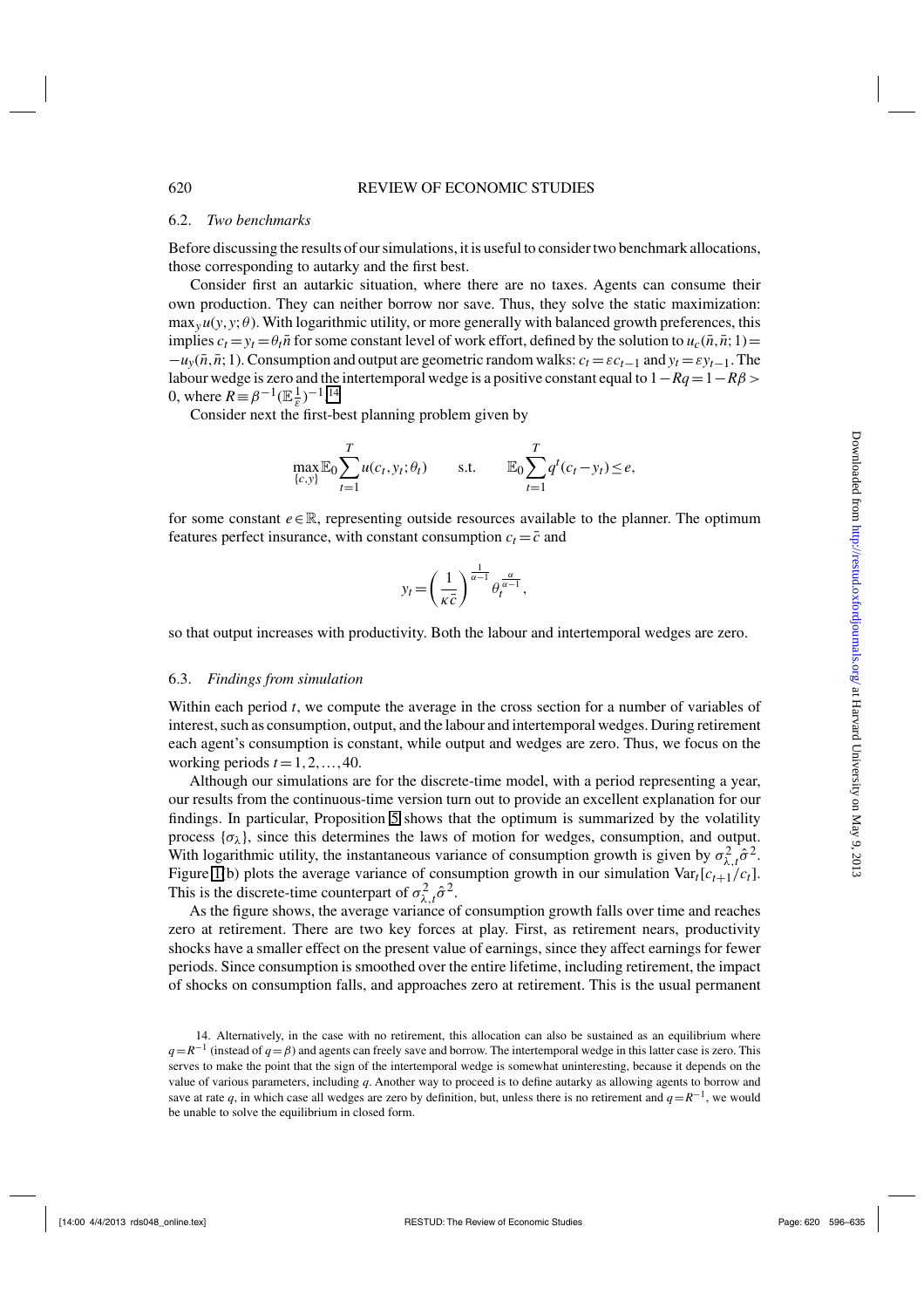#### 6.2. *Two benchmarks*

Before discussing the results of our simulations, it is useful to consider two benchmark allocations, those corresponding to autarky and the first best.

Consider first an autarkic situation, where there are no taxes. Agents can consume their own production. They can neither borrow nor save. Thus, they solve the static maximization:  $\max_{y} u(y, y; \theta)$ . With logarithmic utility, or more generally with balanced growth preferences, this implies  $c_t = y_t = \theta_t \bar{n}$  for some constant level of work effort, defined by the solution to  $u_c(\bar{n}, \bar{n}; 1)$  $-u_y(\bar{n}, \bar{n}; 1)$ . Consumption and output are geometric random walks:  $c_t = \varepsilon c_{t-1}$  and  $y_t = \varepsilon y_{t-1}$ . The labour wedge is zero and the intertemporal wedge is a positive constant equal to  $1-Rq=1-R\beta >$ 0, where  $R = \beta^{-1} (\mathbb{E} \frac{1}{\varepsilon})^{-1}$ .<sup>14</sup>

Consider next the first-best planning problem given by

$$
\max_{\{c,y\}} \mathbb{E}_0 \sum_{t=1}^T u(c_t, y_t; \theta_t) \qquad \text{s.t.} \qquad \mathbb{E}_0 \sum_{t=1}^T q^t (c_t - y_t) \le e,
$$

for some constant  $e \in \mathbb{R}$ , representing outside resources available to the planner. The optimum features perfect insurance, with constant consumption  $c_t = \overline{c}$  and

$$
y_t = \left(\frac{1}{\kappa \bar{c}}\right)^{\frac{1}{\alpha - 1}} \theta_t^{\frac{\alpha}{\alpha - 1}},
$$

so that output increases with productivity. Both the labour and intertemporal wedges are zero.

#### 6.3. *Findings from simulation*

Within each period *t*, we compute the average in the cross section for a number of variables of interest, such as consumption, output, and the labour and intertemporal wedges. During retirement each agent's consumption is constant, while output and wedges are zero. Thus, we focus on the working periods  $t = 1, 2, \ldots, 40$ .

Although our simulations are for the discrete-time model, with a period representing a year, our results from the continuous-time version turn out to provide an excellent explanation for our findings. In particular, Proposition [5](#page-18-0) shows that the optimum is summarized by the volatility process  $\{\sigma_{\lambda}\}\$ , since this determines the laws of motion for wedges, consumption, and output. With logarithmic utility, the instantaneous variance of consumption growth is given by  $\sigma_{\lambda,t}^2 \hat{\sigma}^2$ . Figure [1\(](#page-25-0)b) plots the average variance of consumption growth in our simulation  $Var_t[c_{t+1}/c_t]$ . This is the discrete-time counterpart of  $\sigma_{\lambda,t}^2 \hat{\sigma}^2$ .

As the figure shows, the average variance of consumption growth falls over time and reaches zero at retirement. There are two key forces at play. First, as retirement nears, productivity shocks have a smaller effect on the present value of earnings, since they affect earnings for fewer periods. Since consumption is smoothed over the entire lifetime, including retirement, the impact of shocks on consumption falls, and approaches zero at retirement. This is the usual permanent

14. Alternatively, in the case with no retirement, this allocation can also be sustained as an equilibrium where  $q=R^{-1}$  (instead of  $q=\beta$ ) and agents can freely save and borrow. The intertemporal wedge in this latter case is zero. This serves to make the point that the sign of the intertemporal wedge is somewhat uninteresting, because it depends on the value of various parameters, including *q*. Another way to proceed is to define autarky as allowing agents to borrow and save at rate q, in which case all wedges are zero by definition, but, unless there is no retirement and  $q=R^{-1}$ , we would be unable to solve the equilibrium in closed form.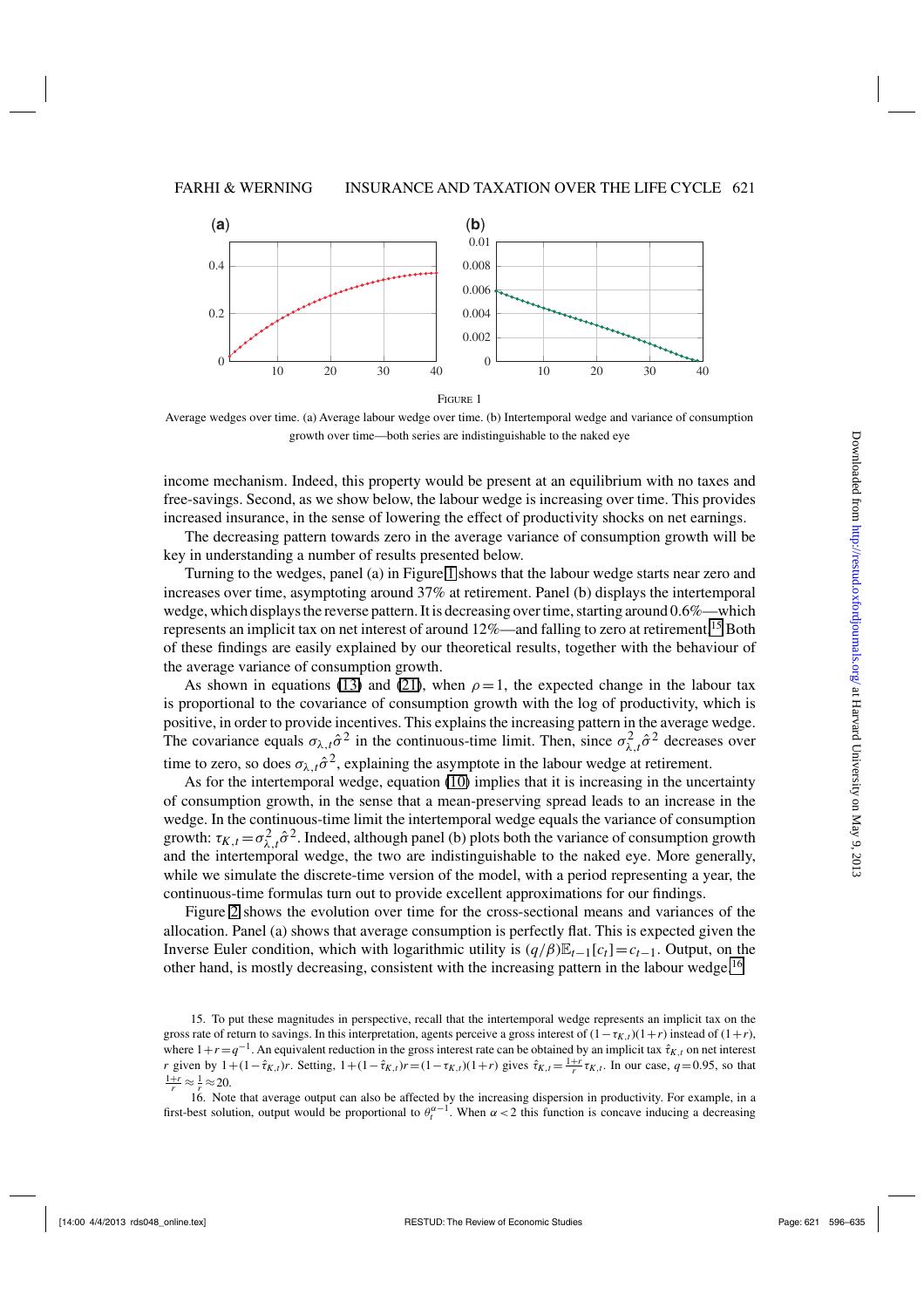<span id="page-25-0"></span>

Average wedges over time. (a) Average labour wedge over time. (b) Intertemporal wedge and variance of consumption growth over time—both series are indistinguishable to the naked eye

income mechanism. Indeed, this property would be present at an equilibrium with no taxes and free-savings. Second, as we show below, the labour wedge is increasing over time. This provides increased insurance, in the sense of lowering the effect of productivity shocks on net earnings.

The decreasing pattern towards zero in the average variance of consumption growth will be key in understanding a number of results presented below.

Turning to the wedges, panel (a) in Figure 1 shows that the labour wedge starts near zero and increases over time, asymptoting around 37% at retirement. Panel (b) displays the intertemporal wedge, which displays the reverse pattern. It is decreasing over time, starting around 0.6%—which represents an implicit tax on net interest of around 12%—and falling to zero at retirement.<sup>15</sup> Both of these findings are easily explained by our theoretical results, together with the behaviour of the average variance of consumption growth.

As shown in equations [\(13\)](#page-13-0) and [\(21\)](#page-19-0), when  $\rho = 1$ , the expected change in the labour tax is proportional to the covariance of consumption growth with the log of productivity, which is positive, in order to provide incentives. This explains the increasing pattern in the average wedge. The covariance equals  $\sigma_{\lambda,t}\hat{\sigma}^2$  in the continuous-time limit. Then, since  $\sigma_{\lambda,t}^2\hat{\sigma}^2$  decreases over time to zero, so does  $\sigma_{\lambda t} \hat{\sigma}^2$ , explaining the asymptote in the labour wedge at retirement.

As for the intertemporal wedge, equation [\(10\)](#page-11-0) implies that it is increasing in the uncertainty of consumption growth, in the sense that a mean-preserving spread leads to an increase in the wedge. In the continuous-time limit the intertemporal wedge equals the variance of consumption growth:  $\tau_{K,t} = \sigma_{\lambda,t}^2 \hat{\sigma}^2$ . Indeed, although panel (b) plots both the variance of consumption growth and the intertemporal wedge, the two are indistinguishable to the naked eye. More generally, while we simulate the discrete-time version of the model, with a period representing a year, the continuous-time formulas turn out to provide excellent approximations for our findings.

Figure [2](#page-26-0) shows the evolution over time for the cross-sectional means and variances of the allocation. Panel (a) shows that average consumption is perfectly flat. This is expected given the Inverse Euler condition, which with logarithmic utility is  $(q/\beta)E_{t-1}[c_t]=c_{t-1}$ . Output, on the other hand, is mostly decreasing, consistent with the increasing pattern in the labour wedge.<sup>16</sup>

<sup>15.</sup> To put these magnitudes in perspective, recall that the intertemporal wedge represents an implicit tax on the gross rate of return to savings. In this interpretation, agents perceive a gross interest of  $(1 - \tau_{K,t})(1+r)$  instead of  $(1+r)$ , where  $1+r=q^{-1}$ . An equivalent reduction in the gross interest rate can be obtained by an implicit tax  $\hat{\tau}_{K,t}$  on net interest r given by  $1 + (1 - \hat{\tau}_{K,t})r$ . Setting,  $1 + (1 - \hat{\tau}_{K,t})r = (1 - \tau_{K,t})(1+r)$  gives  $\hat{\tau}_{K,t} = \frac{1+r}{r} \tau_{K,t}$ . In our case,  $q = 0.95$ , so that  $\frac{+r}{r} \approx \frac{1}{r} \approx 20.$ 

<sup>16.</sup> Note that average output can also be affected by the increasing dispersion in productivity. For example, in a first-best solution, output would be proportional to  $\theta_t^{\alpha-1}$ . When  $\alpha < 2$  this function is concave inducing a decreasing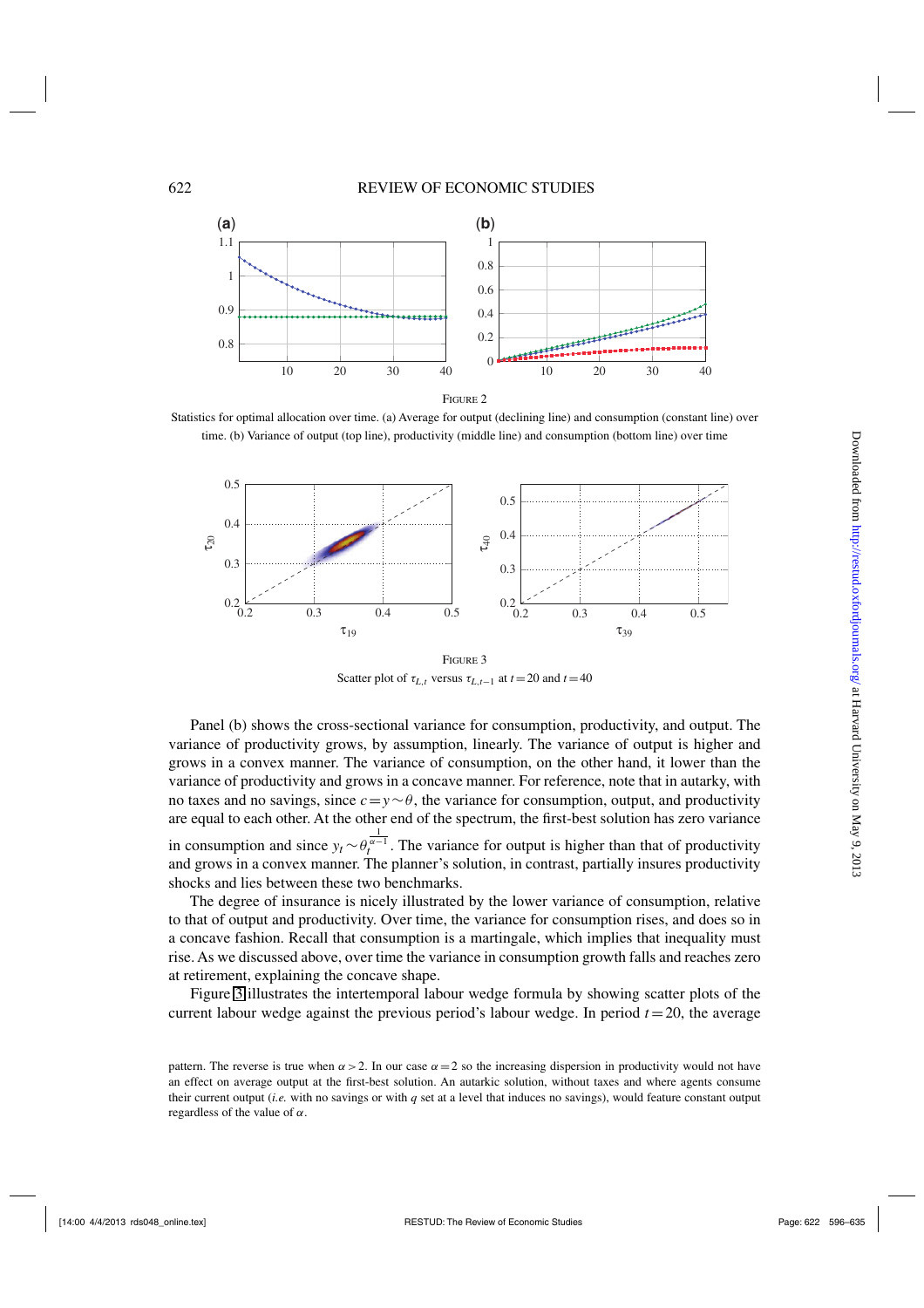<span id="page-26-0"></span>

Statistics for optimal allocation over time. (a) Average for output (declining line) and consumption (constant line) over time. (b) Variance of output (top line), productivity (middle line) and consumption (bottom line) over time



Scatter plot of  $\tau_{L,t}$  versus  $\tau_{L,t-1}$  at  $t=20$  and  $t=40$ 

Panel (b) shows the cross-sectional variance for consumption, productivity, and output. The variance of productivity grows, by assumption, linearly. The variance of output is higher and grows in a convex manner. The variance of consumption, on the other hand, it lower than the variance of productivity and grows in a concave manner. For reference, note that in autarky, with no taxes and no savings, since *c*=*y*∼θ, the variance for consumption, output, and productivity are equal to each other. At the other end of the spectrum, the first-best solution has zero variance in consumption and since  $y_t \sim \theta_t^{\frac{1}{\alpha-1}}$ . The variance for output is higher than that of productivity and grows in a convex manner. The planner's solution, in contrast, partially insures productivity shocks and lies between these two benchmarks.

The degree of insurance is nicely illustrated by the lower variance of consumption, relative to that of output and productivity. Over time, the variance for consumption rises, and does so in a concave fashion. Recall that consumption is a martingale, which implies that inequality must rise. As we discussed above, over time the variance in consumption growth falls and reaches zero at retirement, explaining the concave shape.

Figure 3 illustrates the intertemporal labour wedge formula by showing scatter plots of the current labour wedge against the previous period's labour wedge. In period  $t = 20$ , the average

pattern. The reverse is true when  $\alpha > 2$ . In our case  $\alpha = 2$  so the increasing dispersion in productivity would not have an effect on average output at the first-best solution. An autarkic solution, without taxes and where agents consume their current output (*i.e.* with no savings or with *q* set at a level that induces no savings), would feature constant output regardless of the value of  $\alpha$ .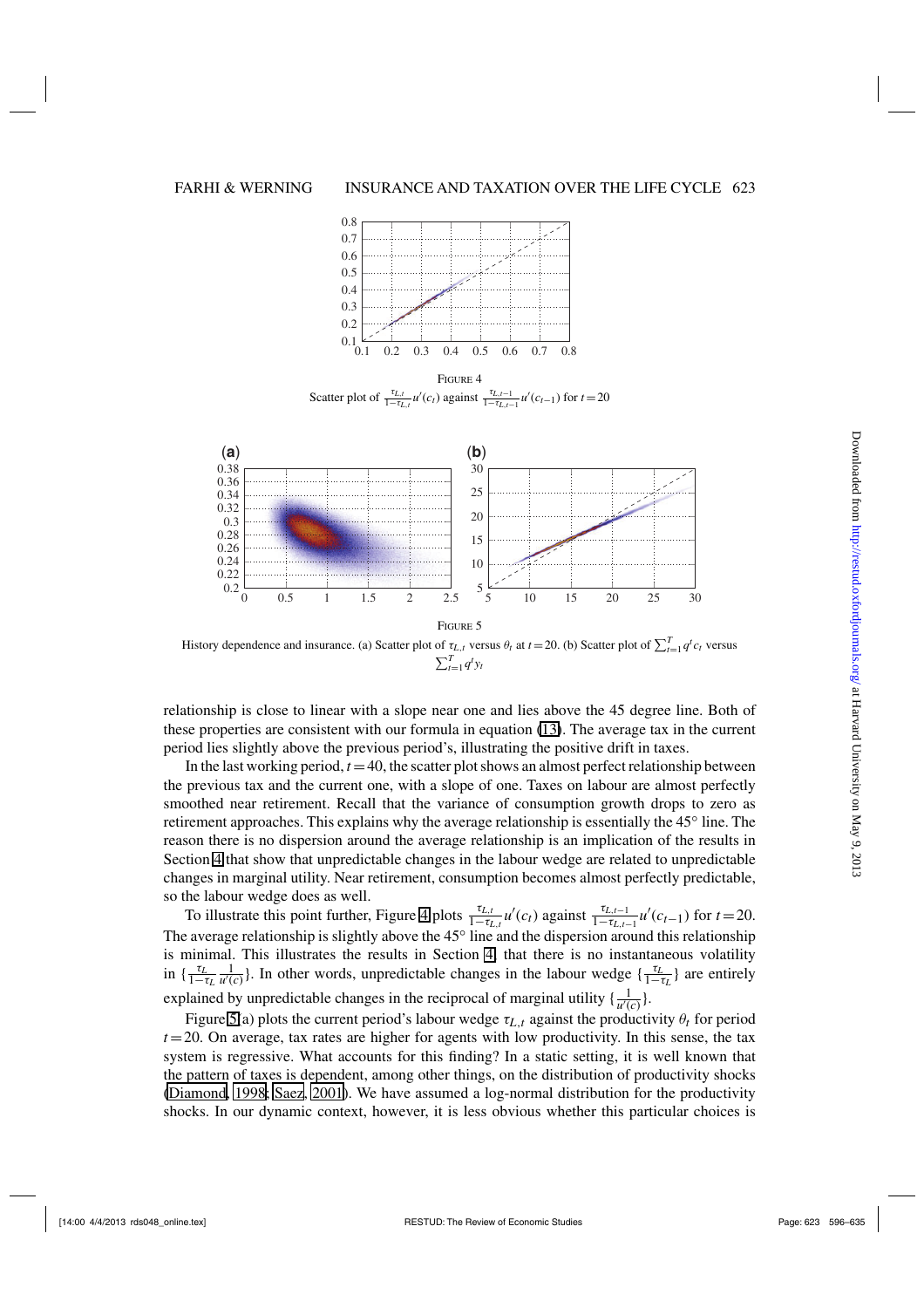<span id="page-27-0"></span>

Scatter plot of  $\frac{\tau_{L,t}}{1-\tau_{L,t}} u'(c_t)$  against  $\frac{\tau_{L,t-1}}{1-\tau_{L,t-1}} u'(c_{t-1})$  for  $t = 20$ 



History dependence and insurance. (a) Scatter plot of  $\tau_{L,t}$  versus  $\theta_t$  at  $t = 20$ . (b) Scatter plot of  $\sum_{t=1}^{T} q^t c_t$  versus  $\sum_{t=1}^T q^t y_t$ 

relationship is close to linear with a slope near one and lies above the 45 degree line. Both of these properties are consistent with our formula in equation [\(13\)](#page-13-0). The average tax in the current period lies slightly above the previous period's, illustrating the positive drift in taxes.

In the last working period,  $t = 40$ , the scatter plot shows an almost perfect relationship between the previous tax and the current one, with a slope of one. Taxes on labour are almost perfectly smoothed near retirement. Recall that the variance of consumption growth drops to zero as retirement approaches. This explains why the average relationship is essentially the 45◦ line. The reason there is no dispersion around the average relationship is an implication of the results in Section [4](#page-16-0) that show that unpredictable changes in the labour wedge are related to unpredictable changes in marginal utility. Near retirement, consumption becomes almost perfectly predictable, so the labour wedge does as well.

To illustrate this point further, Figure 4 plots  $\frac{\tau_{L,t}}{1-\tau_{L,t}} u'(c_t)$  against  $\frac{\tau_{L,t-1}}{1-\tau_{L,t-1}} u'(c_{t-1})$  for  $t=20$ . The average relationship is slightly above the  $45°$  line and the dispersion around this relationship is minimal. This illustrates the results in Section [4,](#page-16-0) that there is no instantaneous volatility in  $\{\frac{\tau_L}{1-\tau_L} \frac{1}{u'(c)}\}$ . In other words, unpredictable changes in the labour wedge  $\{\frac{\tau_L}{1-\tau_L}\}$  are entirely explained by unpredictable changes in the reciprocal of marginal utility  $\{\frac{1}{u'(c)}\}$ .

Figure 5(a) plots the current period's labour wedge  $\tau_{L,t}$  against the productivity  $\theta_t$  for period  $t = 20$ . On average, tax rates are higher for agents with low productivity. In this sense, the tax system is regressive. What accounts for this finding? In a static setting, it is well known that the pattern of taxes is dependent, among other things, on the distribution of productivity shocks [\(Diamond, 1998](#page-38-0); [Saez, 2001](#page-39-0)). We have assumed a log-normal distribution for the productivity shocks. In our dynamic context, however, it is less obvious whether this particular choices is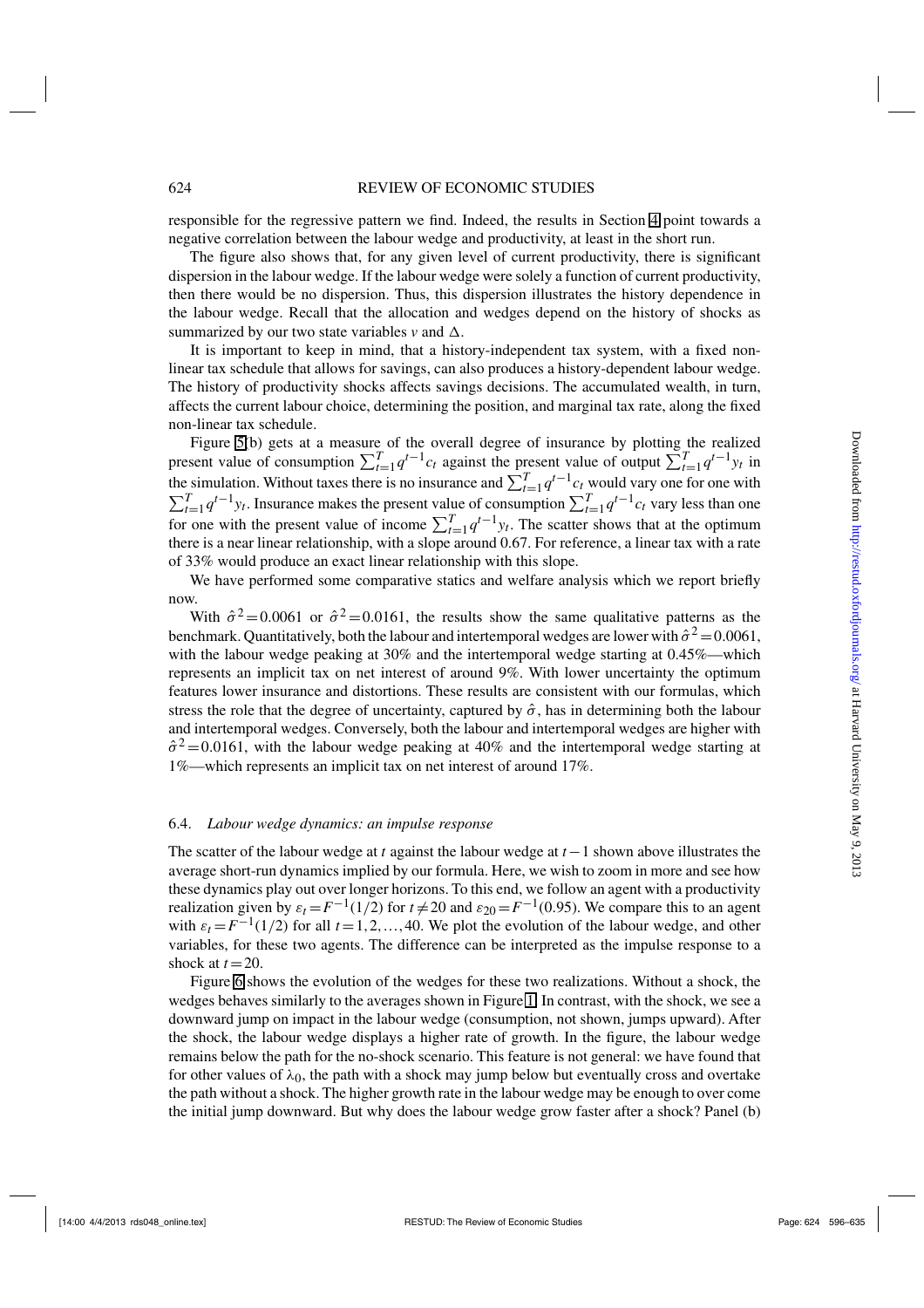responsible for the regressive pattern we find. Indeed, the results in Section [4](#page-16-0) point towards a negative correlation between the labour wedge and productivity, at least in the short run.

The figure also shows that, for any given level of current productivity, there is significant dispersion in the labour wedge. If the labour wedge were solely a function of current productivity, then there would be no dispersion. Thus, this dispersion illustrates the history dependence in the labour wedge. Recall that the allocation and wedges depend on the history of shocks as summarized by our two state variables  $v$  and  $\Delta$ .

It is important to keep in mind, that a history-independent tax system, with a fixed nonlinear tax schedule that allows for savings, can also produces a history-dependent labour wedge. The history of productivity shocks affects savings decisions. The accumulated wealth, in turn, affects the current labour choice, determining the position, and marginal tax rate, along the fixed non-linear tax schedule.

Figure [5\(](#page-27-0)b) gets at a measure of the overall degree of insurance by plotting the realized present value of consumption  $\sum_{t=1}^{T} q^{t-1}c_t$  against the present value of output  $\sum_{t=1}^{T} q^{t-1}y_t$  in the simulation. Without taxes there is no insurance and  $\sum_{t=1}^{T} q^{t-1} c_t$  would vary one for one with  $\sum_{t=1}^{T} q^{t-1}y_t$ . Insurance makes the present value of consumption  $\sum_{t=1}^{T} q^{t-1}c_t$  vary less than one for one with the present value of income  $\sum_{t=1}^{T} q^{t-1} y_t$ . The scatter shows that at the optimum there is a near linear relationship, with a slope around 0.67. For reference, a linear tax with a rate of 33% would produce an exact linear relationship with this slope.

We have performed some comparative statics and welfare analysis which we report briefly now.

With  $\hat{\sigma}^2 = 0.0061$  or  $\hat{\sigma}^2 = 0.0161$ , the results show the same qualitative patterns as the benchmark. Quantitatively, both the labour and intertemporal wedges are lower with  $\hat{\sigma}^2 = 0.0061$ , with the labour wedge peaking at 30% and the intertemporal wedge starting at 0.45%—which represents an implicit tax on net interest of around 9%. With lower uncertainty the optimum features lower insurance and distortions. These results are consistent with our formulas, which stress the role that the degree of uncertainty, captured by  $\hat{\sigma}$ , has in determining both the labour and intertemporal wedges. Conversely, both the labour and intertemporal wedges are higher with  $\hat{\sigma}^2$  = 0.0161, with the labour wedge peaking at 40% and the intertemporal wedge starting at 1%—which represents an implicit tax on net interest of around 17%.

#### 6.4. *Labour wedge dynamics: an impulse response*

The scatter of the labour wedge at *t* against the labour wedge at *t*−1 shown above illustrates the average short-run dynamics implied by our formula. Here, we wish to zoom in more and see how these dynamics play out over longer horizons. To this end, we follow an agent with a productivity realization given by  $\varepsilon_t = F^{-1}(1/2)$  for  $t \neq 20$  and  $\varepsilon_{20} = F^{-1}(0.95)$ . We compare this to an agent with  $\varepsilon_t = F^{-1}(1/2)$  for all  $t = 1, 2, ..., 40$ . We plot the evolution of the labour wedge, and other variables, for these two agents. The difference can be interpreted as the impulse response to a shock at  $t = 20$ .

Figure [6](#page-29-0) shows the evolution of the wedges for these two realizations. Without a shock, the wedges behaves similarly to the averages shown in Figure [1.](#page-25-0) In contrast, with the shock, we see a downward jump on impact in the labour wedge (consumption, not shown, jumps upward). After the shock, the labour wedge displays a higher rate of growth. In the figure, the labour wedge remains below the path for the no-shock scenario. This feature is not general: we have found that for other values of  $\lambda_0$ , the path with a shock may jump below but eventually cross and overtake the path without a shock. The higher growth rate in the labour wedge may be enough to over come the initial jump downward. But why does the labour wedge grow faster after a shock? Panel (b)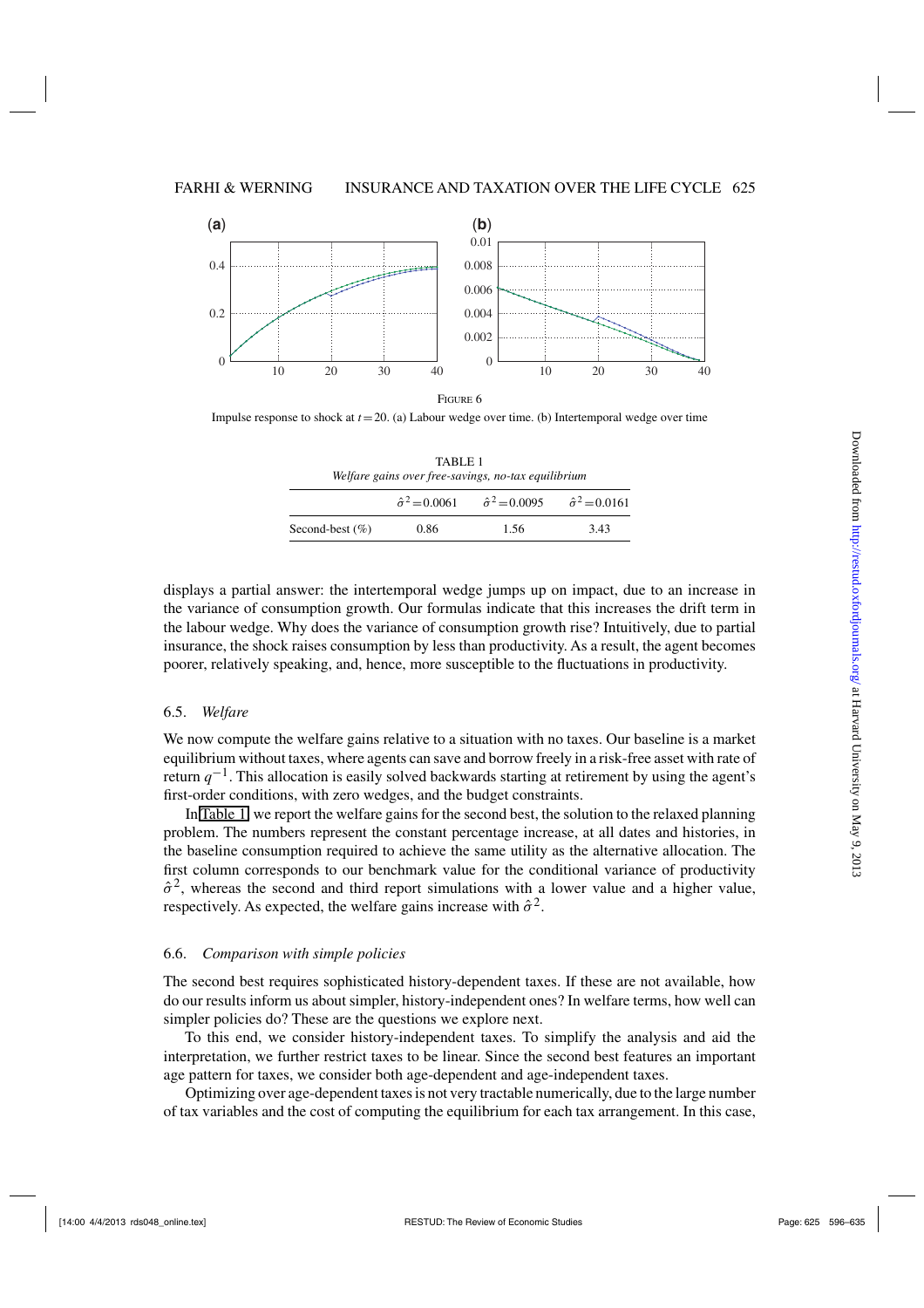<span id="page-29-0"></span>

Impulse response to shock at *t* = 20. (a) Labour wedge over time. (b) Intertemporal wedge over time

| TABLE 1<br>Welfare gains over free-savings, no-tax equilibrium |                           |                           |                           |
|----------------------------------------------------------------|---------------------------|---------------------------|---------------------------|
|                                                                | $\hat{\sigma}^2 = 0.0061$ | $\hat{\sigma}^2 = 0.0095$ | $\hat{\sigma}^2 = 0.0161$ |
| Second-best $(\%)$                                             | 0.86                      | 1.56                      | 3.43                      |

displays a partial answer: the intertemporal wedge jumps up on impact, due to an increase in the variance of consumption growth. Our formulas indicate that this increases the drift term in the labour wedge. Why does the variance of consumption growth rise? Intuitively, due to partial insurance, the shock raises consumption by less than productivity. As a result, the agent becomes poorer, relatively speaking, and, hence, more susceptible to the fluctuations in productivity.

# 6.5. *Welfare*

We now compute the welfare gains relative to a situation with no taxes. Our baseline is a market equilibrium without taxes, where agents can save and borrow freely in a risk-free asset with rate of return *q*<sup>−</sup>1. This allocation is easily solved backwards starting at retirement by using the agent's first-order conditions, with zero wedges, and the budget constraints.

In Table 1, we report the welfare gains for the second best, the solution to the relaxed planning problem. The numbers represent the constant percentage increase, at all dates and histories, in the baseline consumption required to achieve the same utility as the alternative allocation. The first column corresponds to our benchmark value for the conditional variance of productivity  $\hat{\sigma}^2$ , whereas the second and third report simulations with a lower value and a higher value, respectively. As expected, the welfare gains increase with  $\hat{\sigma}^2$ .

# 6.6. *Comparison with simple policies*

The second best requires sophisticated history-dependent taxes. If these are not available, how do our results inform us about simpler, history-independent ones? In welfare terms, how well can simpler policies do? These are the questions we explore next.

To this end, we consider history-independent taxes. To simplify the analysis and aid the interpretation, we further restrict taxes to be linear. Since the second best features an important age pattern for taxes, we consider both age-dependent and age-independent taxes.

Optimizing over age-dependent taxes is not very tractable numerically, due to the large number of tax variables and the cost of computing the equilibrium for each tax arrangement. In this case,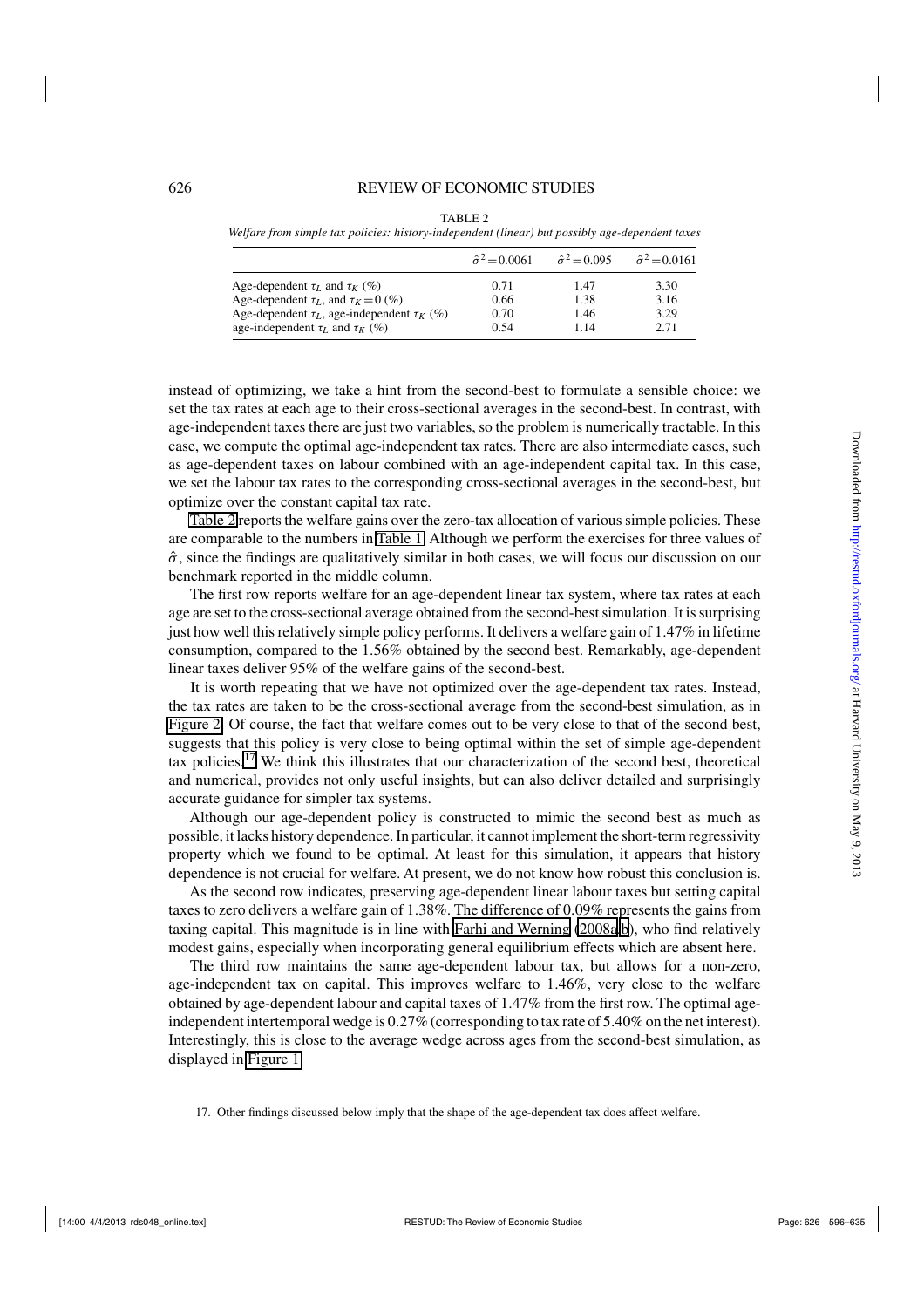# 626 REVIEW OF ECONOMIC STUDIES

|                      |                                   | $\hat{\sigma}^2$ = 0.0161    |
|----------------------|-----------------------------------|------------------------------|
| 0.66<br>0.70<br>0.54 | 1.47<br>1.38<br>1.46<br>1.14      | 3.30<br>3.16<br>3.29<br>2.71 |
|                      | $\hat{\sigma}^2$ = 0.0061<br>0.71 | $\hat{\sigma}^2$ = 0.095     |

TABLE 2 *Welfare from simple tax policies: history-independent (linear) but possibly age-dependent taxes*

instead of optimizing, we take a hint from the second-best to formulate a sensible choice: we set the tax rates at each age to their cross-sectional averages in the second-best. In contrast, with age-independent taxes there are just two variables, so the problem is numerically tractable. In this case, we compute the optimal age-independent tax rates. There are also intermediate cases, such as age-dependent taxes on labour combined with an age-independent capital tax. In this case, we set the labour tax rates to the corresponding cross-sectional averages in the second-best, but optimize over the constant capital tax rate.

Table 2 reports the welfare gains over the zero-tax allocation of various simple policies. These are comparable to the numbers in [Table 1.](#page-29-0) Although we perform the exercises for three values of  $\hat{\sigma}$ , since the findings are qualitatively similar in both cases, we will focus our discussion on our benchmark reported in the middle column.

The first row reports welfare for an age-dependent linear tax system, where tax rates at each age are set to the cross-sectional average obtained from the second-best simulation. It is surprising just how well this relatively simple policy performs. It delivers a welfare gain of 1.47% in lifetime consumption, compared to the 1.56% obtained by the second best. Remarkably, age-dependent linear taxes deliver 95% of the welfare gains of the second-best.

It is worth repeating that we have not optimized over the age-dependent tax rates. Instead, the tax rates are taken to be the cross-sectional average from the second-best simulation, as in [Figure 2.](#page-26-0) Of course, the fact that welfare comes out to be very close to that of the second best, suggests that this policy is very close to being optimal within the set of simple age-dependent tax policies.<sup>17</sup> We think this illustrates that our characterization of the second best, theoretical and numerical, provides not only useful insights, but can also deliver detailed and surprisingly accurate guidance for simpler tax systems.

Although our age-dependent policy is constructed to mimic the second best as much as possible, it lacks history dependence. In particular, it cannot implement the short-term regressivity property which we found to be optimal. At least for this simulation, it appears that history dependence is not crucial for welfare. At present, we do not know how robust this conclusion is.

As the second row indicates, preserving age-dependent linear labour taxes but setting capital taxes to zero delivers a welfare gain of 1.38%. The difference of 0.09% represents the gains from taxing capital. This magnitude is in line with [Farhi and Werning](#page-38-0) [\(2008a,b](#page-38-0)), who find relatively modest gains, especially when incorporating general equilibrium effects which are absent here.

The third row maintains the same age-dependent labour tax, but allows for a non-zero, age-independent tax on capital. This improves welfare to 1.46%, very close to the welfare obtained by age-dependent labour and capital taxes of 1.47% from the first row. The optimal ageindependent intertemporal wedge is 0.27% (corresponding to tax rate of 5.40% on the net interest). Interestingly, this is close to the average wedge across ages from the second-best simulation, as displayed in [Figure 1.](#page-25-0)

<sup>17.</sup> Other findings discussed below imply that the shape of the age-dependent tax does affect welfare.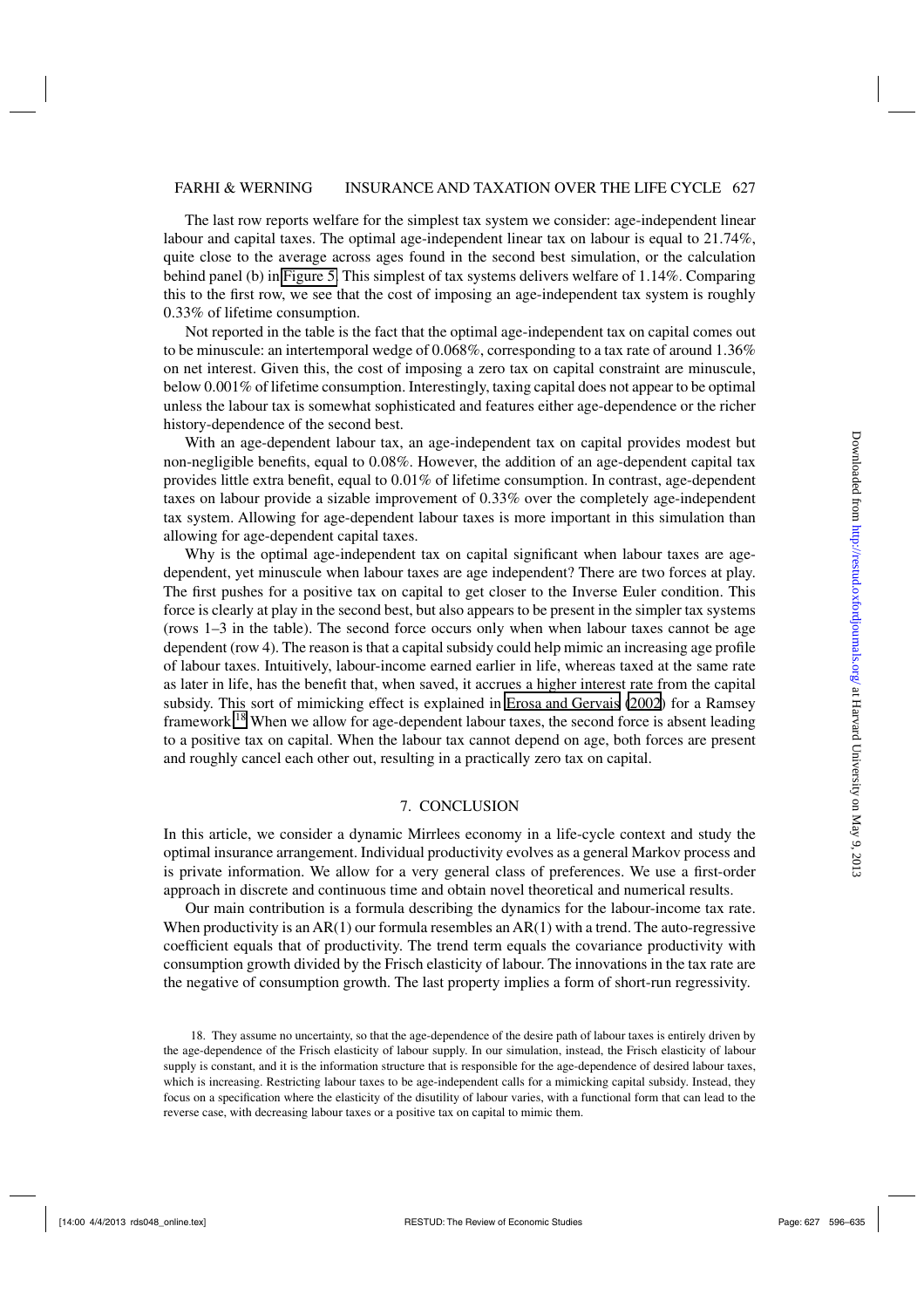The last row reports welfare for the simplest tax system we consider: age-independent linear labour and capital taxes. The optimal age-independent linear tax on labour is equal to 21.74%, quite close to the average across ages found in the second best simulation, or the calculation behind panel (b) in [Figure 5.](#page-27-0) This simplest of tax systems delivers welfare of 1.14%. Comparing this to the first row, we see that the cost of imposing an age-independent tax system is roughly 0.33% of lifetime consumption.

Not reported in the table is the fact that the optimal age-independent tax on capital comes out to be minuscule: an intertemporal wedge of 0.068%, corresponding to a tax rate of around 1.36% on net interest. Given this, the cost of imposing a zero tax on capital constraint are minuscule, below 0.001% of lifetime consumption. Interestingly, taxing capital does not appear to be optimal unless the labour tax is somewhat sophisticated and features either age-dependence or the richer history-dependence of the second best.

With an age-dependent labour tax, an age-independent tax on capital provides modest but non-negligible benefits, equal to 0.08%. However, the addition of an age-dependent capital tax provides little extra benefit, equal to 0.01% of lifetime consumption. In contrast, age-dependent taxes on labour provide a sizable improvement of 0.33% over the completely age-independent tax system. Allowing for age-dependent labour taxes is more important in this simulation than allowing for age-dependent capital taxes.

Why is the optimal age-independent tax on capital significant when labour taxes are agedependent, yet minuscule when labour taxes are age independent? There are two forces at play. The first pushes for a positive tax on capital to get closer to the Inverse Euler condition. This force is clearly at play in the second best, but also appears to be present in the simpler tax systems (rows 1–3 in the table). The second force occurs only when when labour taxes cannot be age dependent (row 4). The reason is that a capital subsidy could help mimic an increasing age profile of labour taxes. Intuitively, labour-income earned earlier in life, whereas taxed at the same rate as later in life, has the benefit that, when saved, it accrues a higher interest rate from the capital subsidy. This sort of mimicking effect is explained in [Erosa and Gervais](#page-38-0) [\(2002\)](#page-38-0) for a Ramsey framework.<sup>18</sup> When we allow for age-dependent labour taxes, the second force is absent leading to a positive tax on capital. When the labour tax cannot depend on age, both forces are present and roughly cancel each other out, resulting in a practically zero tax on capital.

# 7. CONCLUSION

In this article, we consider a dynamic Mirrlees economy in a life-cycle context and study the optimal insurance arrangement. Individual productivity evolves as a general Markov process and is private information. We allow for a very general class of preferences. We use a first-order approach in discrete and continuous time and obtain novel theoretical and numerical results.

Our main contribution is a formula describing the dynamics for the labour-income tax rate. When productivity is an  $AR(1)$  our formula resembles an  $AR(1)$  with a trend. The auto-regressive coefficient equals that of productivity. The trend term equals the covariance productivity with consumption growth divided by the Frisch elasticity of labour. The innovations in the tax rate are the negative of consumption growth. The last property implies a form of short-run regressivity.

<sup>18.</sup> They assume no uncertainty, so that the age-dependence of the desire path of labour taxes is entirely driven by the age-dependence of the Frisch elasticity of labour supply. In our simulation, instead, the Frisch elasticity of labour supply is constant, and it is the information structure that is responsible for the age-dependence of desired labour taxes, which is increasing. Restricting labour taxes to be age-independent calls for a mimicking capital subsidy. Instead, they focus on a specification where the elasticity of the disutility of labour varies, with a functional form that can lead to the reverse case, with decreasing labour taxes or a positive tax on capital to mimic them.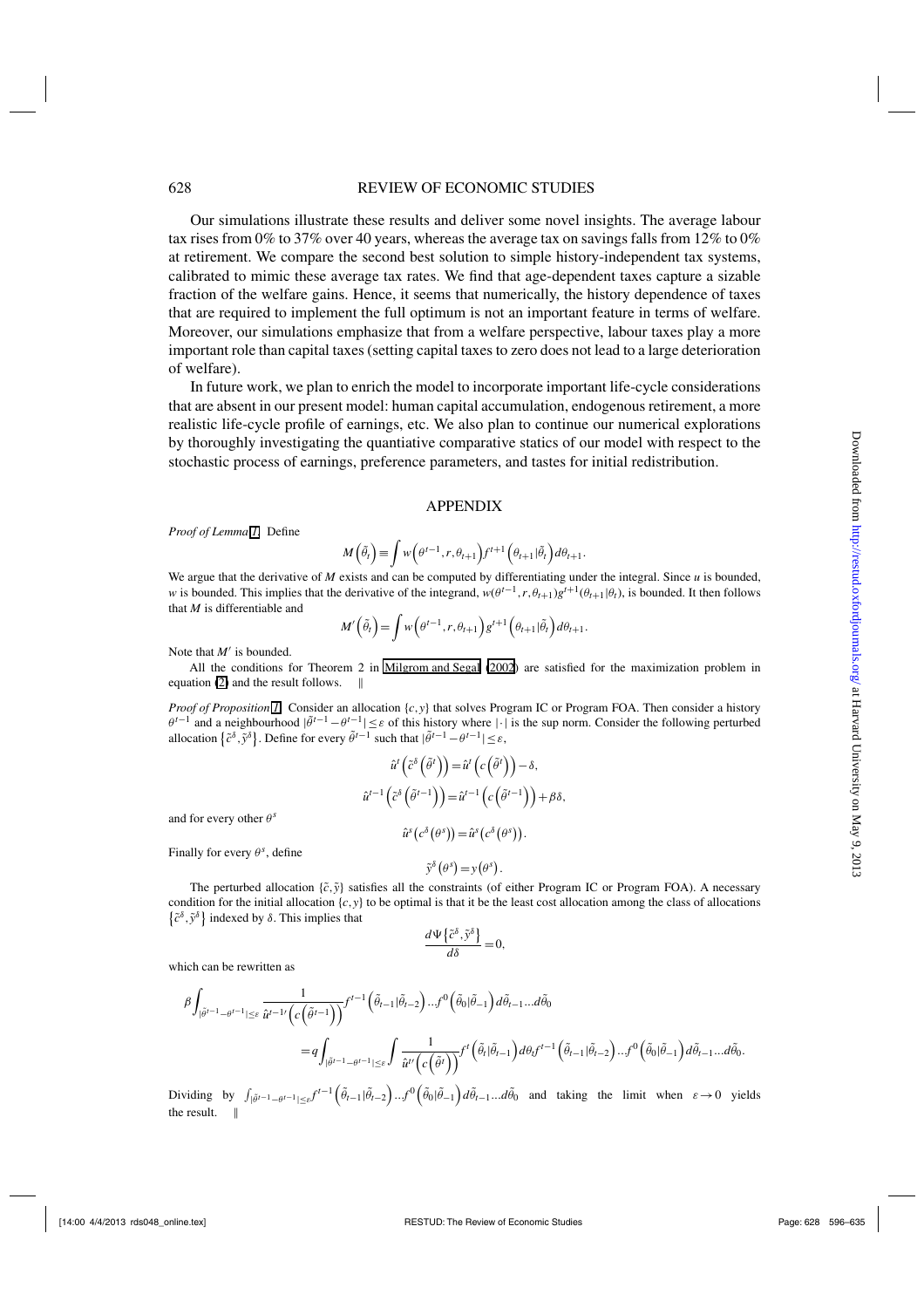Our simulations illustrate these results and deliver some novel insights. The average labour tax rises from 0% to 37% over 40 years, whereas the average tax on savings falls from 12% to 0% at retirement. We compare the second best solution to simple history-independent tax systems, calibrated to mimic these average tax rates. We find that age-dependent taxes capture a sizable fraction of the welfare gains. Hence, it seems that numerically, the history dependence of taxes that are required to implement the full optimum is not an important feature in terms of welfare. Moreover, our simulations emphasize that from a welfare perspective, labour taxes play a more important role than capital taxes (setting capital taxes to zero does not lead to a large deterioration of welfare).

In future work, we plan to enrich the model to incorporate important life-cycle considerations that are absent in our present model: human capital accumulation, endogenous retirement, a more realistic life-cycle profile of earnings, etc. We also plan to continue our numerical explorations by thoroughly investigating the quantiative comparative statics of our model with respect to the stochastic process of earnings, preference parameters, and tastes for initial redistribution.

#### APPENDIX

*Proof of Lemma [1.](#page-7-0)* Define

$$
M\left(\tilde{\theta}_{t}\right) \equiv \int w\left(\theta^{t-1}, r, \theta_{t+1}\right) f^{t+1}\left(\theta_{t+1} | \tilde{\theta}_{t}\right) d\theta_{t+1}.
$$

We argue that the derivative of  $M$  exists and can be computed by differentiating under the integral. Since  $u$  is bounded, *w* is bounded. This implies that the derivative of the integrand,  $w(\theta^{t-1}, r, \theta_{t+1})g^{t+1}(\theta_{t+1}|\theta_t)$ , is bounded. It then follows that *M* is differentiable and

$$
M'\left(\tilde{\theta}_t\right) = \int w\left(\theta^{t-1}, r, \theta_{t+1}\right) g^{t+1}\left(\theta_{t+1}|\tilde{\theta}_t\right) d\theta_{t+1}.
$$

Note that  $M'$  is bounded.

All the conditions for Theorem 2 in [Milgrom and Segal](#page-39-0) [\(2002\)](#page-39-0) are satisfied for the maximization problem in equation [\(2\)](#page-7-0) and the result follows.

*Proof of Proposition [1.](#page-11-0)* Consider an allocation {*c*,*y*} that solves Program IC or Program FOA. Then consider a history  $\theta^{t-1}$  and a neighbourhood  $|\tilde{\theta}^{t-1}-\theta^{t-1}| \leq \varepsilon$  of this history where |·| is the sup norm. Consider the following perturbed allocation  $\{\tilde{c}^{\delta}, \tilde{y}^{\delta}\}\)$ . Define for every  $\tilde{\theta}^{t-1}$  such that  $|\tilde{\theta}^{t-1} - \theta^{t-1}| \leq \varepsilon$ ,

$$
\hat{u}^{t}\left(\tilde{c}^{\delta}\left(\tilde{\theta}^{t}\right)\right) = \hat{u}^{t}\left(c\left(\tilde{\theta}^{t}\right)\right) - \delta,
$$
\n
$$
\hat{u}^{t-1}\left(\tilde{c}^{\delta}\left(\tilde{\theta}^{t-1}\right)\right) = \hat{u}^{t-1}\left(c\left(\tilde{\theta}^{t-1}\right)\right) + \beta\delta,
$$
\n
$$
\hat{u}^{s}\left(c^{\delta}\left(\theta^{s}\right)\right) = \hat{u}^{s}\left(c^{\delta}\left(\theta^{s}\right)\right).
$$

and for every other θ*<sup>s</sup>*

Finally for every 
$$
\theta^s
$$
, define

$$
\tilde{\mathrm{y}}^{\delta}\left(\theta^{s}\right)=\mathrm{y}\left(\theta^{s}\right).
$$

The perturbed allocation  $\{\tilde{c}, \tilde{y}\}$  satisfies all the constraints (of either Program IC or Program FOA). A necessary condition for the initial allocation  $\{c, y\}$  to be optimal is that it be the least cost allocation among the class of allocations  $\{\tilde{c}^{\delta}, \tilde{y}^{\delta}\}\$  indexed by  $\delta$ . This implies that

$$
\frac{d\Psi\left\{\tilde{c}^{\delta}, \tilde{y}^{\delta}\right\}}{d\delta} = 0,
$$

which can be rewritten as

$$
\begin{split} \beta\int_{|\tilde{\theta}^{t-1}-\theta^{t-1}| \leq \varepsilon} \frac{1}{\hat{u}^{t-1'}\Big(c\Big(\tilde{\theta}^{t-1}\Big)\Big)} &f^{t-1}\Big(\tilde{\theta}_{t-1}|\tilde{\theta}_{t-2}\Big) .. f^0\Big(\tilde{\theta}_0|\tilde{\theta}_{-1}\Big)d\tilde{\theta}_{t-1}...d\tilde{\theta}_0\\ = & \qquad \qquad \nonumber \\ = q\int_{|\tilde{\theta}^{t-1}-\theta^{t-1}| \leq \varepsilon} \int \frac{1}{\hat{u}''\Big(c\Big(\tilde{\theta}^{t}\Big)\Big)}f^t\Big(\tilde{\theta}_{t}|\tilde{\theta}_{t-1}\Big)d\theta_{t}f^{t-1}\Big(\tilde{\theta}_{t-1}|\tilde{\theta}_{t-2}\Big) .. f^0\Big(\tilde{\theta}_0|\tilde{\theta}_{-1}\Big)d\tilde{\theta}_{t-1}...d\tilde{\theta}_0. \end{split}
$$

Dividing by  $\int_{|\tilde{\theta}^{t-1}-\theta^{t-1}| \leq \varepsilon} f^{t-1}(\tilde{\theta}_{t-1}|\tilde{\theta}_{t-2})...f^0(\tilde{\theta}_0|\tilde{\theta}_{-1}) d\tilde{\theta}_{t-1}...d\tilde{\theta}_0$  and taking the limit when  $\varepsilon \to 0$  yields the result. ||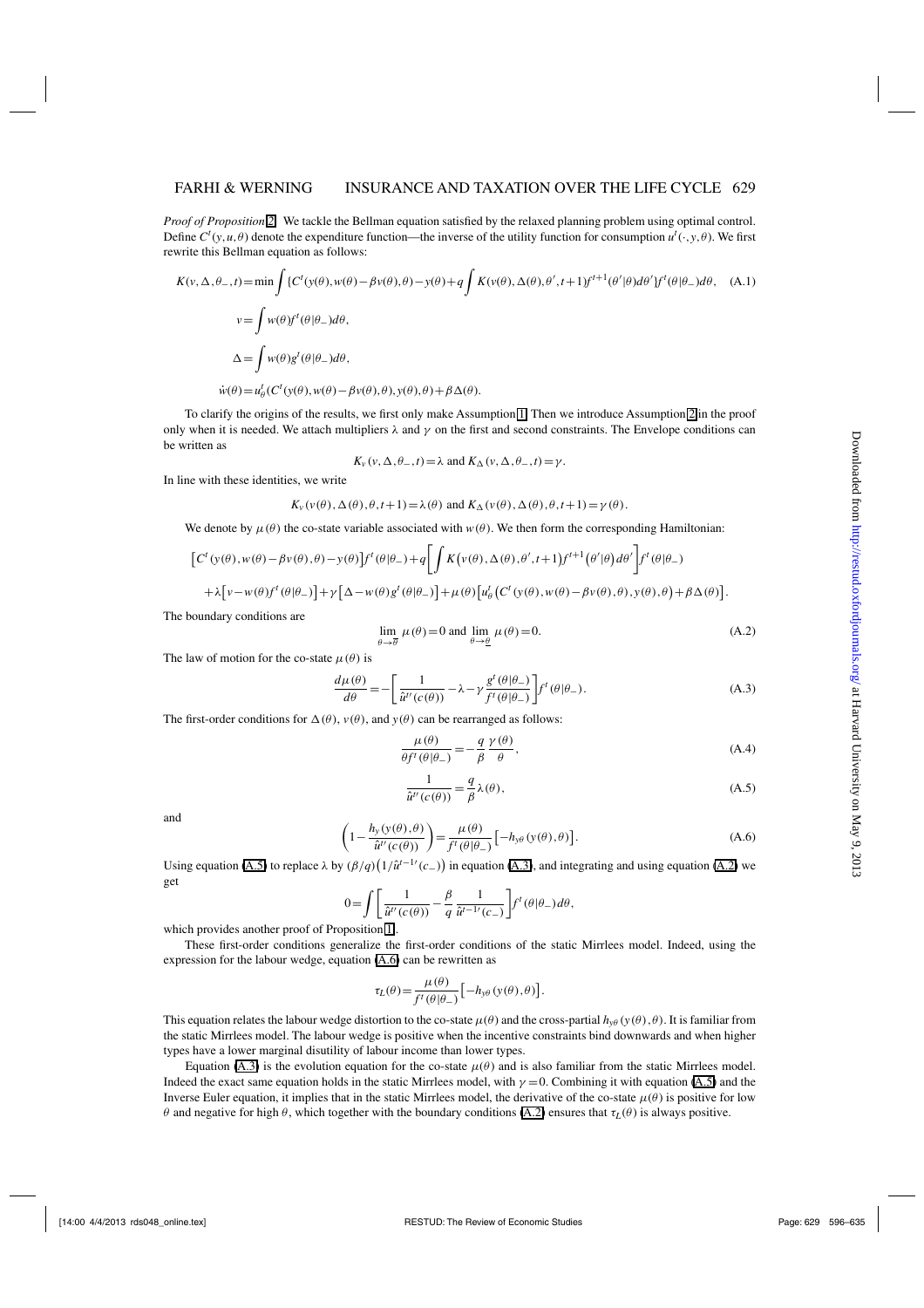<span id="page-33-0"></span>*Proof of Proposition [2.](#page-12-0)* We tackle the Bellman equation satisfied by the relaxed planning problem using optimal control. Define  $C^t(y, u, \theta)$  denote the expenditure function—the inverse of the utility function for consumption  $u^t(\cdot, y, \theta)$ . We first rewrite this Bellman equation as follows:

$$
K(v, \Delta, \theta_-, t) = \min \int \{C'(y(\theta), w(\theta) - \beta v(\theta), \theta) - y(\theta) + q \int K(v(\theta), \Delta(\theta), \theta', t+1) f^{t+1}(\theta'|\theta) d\theta' \} f^{t}(\theta|\theta_+) d\theta, \quad (A.1)
$$

$$
v = \int w(\theta) f^{t}(\theta|\theta_+) d\theta,
$$

$$
\Delta = \int w(\theta) g^{t}(\theta|\theta_+) d\theta,
$$

$$
\dot{w}(\theta) = u_{\theta}^{t}(C^{t}(y(\theta), w(\theta) - \beta v(\theta), \theta), y(\theta), \theta) + \beta \Delta(\theta).
$$

To clarify the origins of the results, we first only make Assumption [1.](#page-11-0) Then we introduce Assumption [2](#page-12-0) in the proof only when it is needed. We attach multipliers  $\lambda$  and  $\gamma$  on the first and second constraints. The Envelope conditions can be written as

 $K_v(v, \Delta, \theta_-, t) = \lambda$  and  $K_\Delta(v, \Delta, \theta_-, t) = \gamma$ .

In line with these identities, we write

$$
K_v(v(\theta), \Delta(\theta), \theta, t+1) = \lambda(\theta)
$$
 and  $K_{\Delta}(v(\theta), \Delta(\theta), \theta, t+1) = \gamma(\theta)$ .

We denote by  $\mu(\theta)$  the co-state variable associated with  $w(\theta)$ . We then form the corresponding Hamiltonian:

$$
\begin{aligned}\n\left[C^{t}(y(\theta),w(\theta)-\beta v(\theta),\theta)-y(\theta)\right]f^{t}(\theta|\theta_{-})+q\left[\int K(v(\theta),\Delta(\theta),\theta',t+1)f^{t+1}(\theta'|\theta)d\theta'\right]f^{t}(\theta|\theta_{-})\\
+\lambda[v-w(\theta)f^{t}(\theta|\theta_{-})]+\gamma\left[\Delta-w(\theta)g^{t}(\theta|\theta_{-})\right]+\mu(\theta)\left[u_{\theta}^{t}(C^{t}(y(\theta),w(\theta)-\beta v(\theta),\theta),y(\theta),\theta)+\beta\Delta(\theta)\right].\n\end{aligned}
$$

The boundary conditions are

$$
\lim_{\theta \to \overline{\theta}} \mu(\theta) = 0 \text{ and } \lim_{\theta \to \underline{\theta}} \mu(\theta) = 0.
$$
\n(A.2)

The law of motion for the co-state  $\mu(\theta)$  is

$$
\frac{d\mu(\theta)}{d\theta} = -\left[\frac{1}{\hat{u}''(c(\theta))} - \lambda - \gamma \frac{g^t(\theta|\theta_-)}{f^t(\theta|\theta_-)}\right] f^t(\theta|\theta_-). \tag{A.3}
$$

The first-order conditions for  $\Delta(\theta)$ ,  $v(\theta)$ , and  $y(\theta)$  can be rearranged as follows:

$$
\frac{\mu(\theta)}{\theta f'(\theta|\theta_{-})} = -\frac{q}{\beta} \frac{\gamma(\theta)}{\theta},\tag{A.4}
$$

$$
\frac{1}{\hat{u}^{\prime\prime}(c(\theta))} = \frac{q}{\beta} \lambda(\theta),\tag{A.5}
$$

and

$$
\left(1 - \frac{h_y(y(\theta), \theta)}{\hat{u}''(c(\theta))}\right) = \frac{\mu(\theta)}{f'(\theta|\theta_{-})} \left[-h_{y\theta}(y(\theta), \theta)\right].
$$
\n(A.6)

Using equation (A.5) to replace  $\lambda$  by  $(\beta/q)(1/\hat{u}^{t-1}(c_{-}))$  in equation (A.3), and integrating and using equation (A.2) we get

$$
0 = \int \left[ \frac{1}{\hat{u}''(c(\theta))} - \frac{\beta}{q} \frac{1}{\hat{u}^{t-1}(c-)} \right] f'(\theta | \theta_-) d\theta,
$$

which provides another proof of Proposition [1](#page-11-0) .

These first-order conditions generalize the first-order conditions of the static Mirrlees model. Indeed, using the expression for the labour wedge, equation (A.6) can be rewritten as

$$
\tau_L(\theta) = \frac{\mu(\theta)}{f^t(\theta|\theta_-)} \left[ -h_{y\theta}(y(\theta), \theta) \right].
$$

This equation relates the labour wedge distortion to the co-state  $\mu(\theta)$  and the cross-partial  $h_{\gamma\theta}(y(\theta),\theta)$ . It is familiar from the static Mirrlees model. The labour wedge is positive when the incentive constraints bind downwards and when higher types have a lower marginal disutility of labour income than lower types.

Equation (A.3) is the evolution equation for the co-state  $\mu(\theta)$  and is also familiar from the static Mirrlees model. Indeed the exact same equation holds in the static Mirrlees model, with  $\gamma = 0$ . Combining it with equation (A.5) and the Inverse Euler equation, it implies that in the static Mirrlees model, the derivative of the co-state  $\mu(\theta)$  is positive for low θ and negative for high θ, which together with the boundary conditions (A.2) ensures that  $τ<sub>l</sub>(θ)$  is always positive.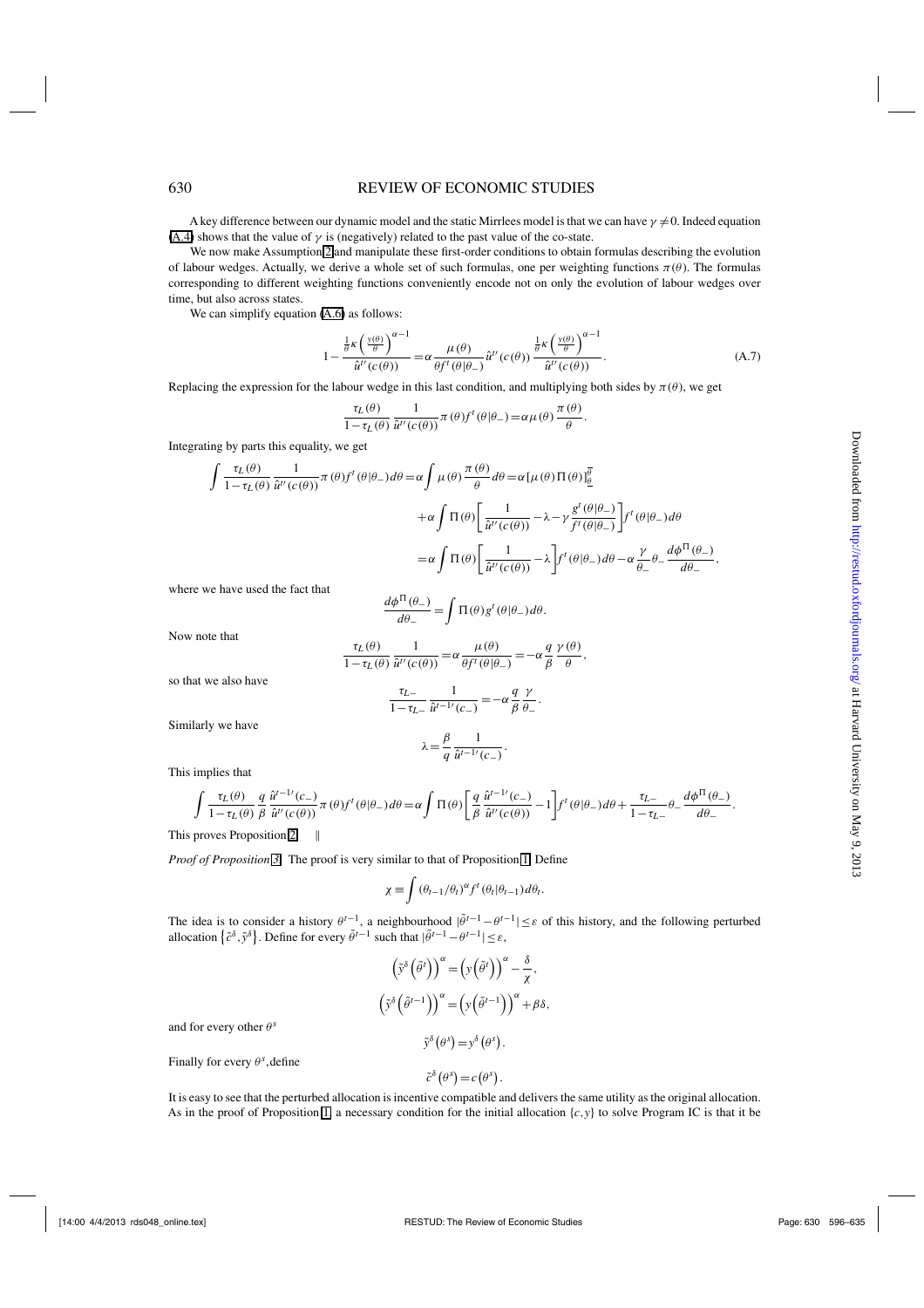A key difference between our dynamic model and the static Mirrlees model is that we can have  $\gamma \neq 0$ . Indeed equation [\(A.4\)](#page-33-0) shows that the value of  $\gamma$  is (negatively) related to the past value of the co-state.

We now make Assumption [2](#page-12-0) and manipulate these first-order conditions to obtain formulas describing the evolution of labour wedges. Actually, we derive a whole set of such formulas, one per weighting functions  $\pi(\theta)$ . The formulas corresponding to different weighting functions conveniently encode not on only the evolution of labour wedges over time, but also across states.

We can simplify equation  $(A.6)$  as follows:

$$
1 - \frac{\frac{1}{\theta} \kappa \left(\frac{y(\theta)}{\theta}\right)^{\alpha - 1}}{\hat{u}''(c(\theta))} = \alpha \frac{\mu(\theta)}{\theta f'(\theta|\theta_{-})} \hat{u}''(c(\theta)) \frac{\frac{1}{\theta} \kappa \left(\frac{y(\theta)}{\theta}\right)^{\alpha - 1}}{\hat{u}''(c(\theta))}.
$$
 (A.7)

Replacing the expression for the labour wedge in this last condition, and multiplying both sides by  $\pi(\theta)$ , we get

$$
\frac{\tau_L(\theta)}{1-\tau_L(\theta)}\frac{1}{\hat{u}''(c(\theta))}\pi(\theta)f'(t(\theta))=\alpha\mu(\theta)\frac{\pi(\theta)}{\theta}.
$$

Integrating by parts this equality, we get

$$
\int \frac{\tau_L(\theta)}{1 - \tau_L(\theta)} \frac{1}{\hat{u}''(c(\theta))} \pi(\theta) f'(\theta | \theta_-) d\theta = \alpha \int \mu(\theta) \frac{\pi(\theta)}{\theta} d\theta = \alpha [\mu(\theta) \Pi(\theta)] \frac{\bar{\theta}}{\underline{\theta}} \n+ \alpha \int \Pi(\theta) \left[ \frac{1}{\hat{u}''(c(\theta))} - \lambda - \gamma \frac{g'(\theta | \theta_-)}{f'(\theta | \theta_-)} \right] f'(\theta | \theta_-) d\theta \n= \alpha \int \Pi(\theta) \left[ \frac{1}{\hat{u}''(c(\theta))} - \lambda \right] f'(\theta | \theta_-) d\theta - \alpha \frac{\gamma}{\theta_-} \theta_- \frac{d\phi^{\Pi}(\theta_-)}{d\theta_-},
$$

where we have used the fact that

$$
\frac{d\phi^{\Pi}(\theta_{-})}{d\theta_{-}} = \int \Pi(\theta) g^{t}(\theta|\theta_{-}) d\theta.
$$

Now note that

$$
\frac{\tau_L(\theta)}{1-\tau_L(\theta)}\frac{1}{\hat{u}''(c(\theta))} = \alpha \frac{\mu(\theta)}{\theta f'(\theta|\theta_-)} = -\alpha \frac{q}{\beta} \frac{\gamma(\theta)}{\theta},
$$

so that we also have

$$
\frac{\tau_{L-}}{1-\tau_{L-}}\frac{1}{\hat{u}^{t-1'}(c_-)}=-\alpha\frac{q}{\beta}\frac{\gamma}{\theta_-}.
$$

Similarly we have

$$
\lambda = \frac{\beta}{q} \frac{1}{\hat{u}^{t-1'}(c_-)}
$$

.

This implies that

$$
\int \frac{\tau_L(\theta)}{1-\tau_L(\theta)}\frac{q}{\beta}\,\frac{\hat u^{t-1\prime}(c_-)}{\hat u^{\prime\prime}(c(\theta))}\pi\,(\theta)f^t(\theta|\theta_-)\,d\theta=\alpha\int\Pi(\theta)\Bigg[\frac{q}{\beta}\,\frac{\hat u^{t-1\prime}(c_-)}{\hat u^{\prime\prime}(c(\theta))}-1\Bigg]f^t(\theta|\theta_-)\,d\theta+\frac{\tau_L}{1-\tau_L-\theta_-}\frac{d\phi^\Pi\,(\theta_-)}{d\theta_-}.
$$

This proves Proposition [2.](#page-12-0) ||

*Proof of Proposition [3.](#page-14-0)* The proof is very similar to that of Proposition [1.](#page-11-0) Define

$$
\chi \equiv \int \left(\theta_{t-1}/\theta_t\right)^\alpha f^t \left(\theta_t|\theta_{t-1}\right) d\theta_t.
$$

The idea is to consider a history  $\theta^{t-1}$ , a neighbourhood  $|\tilde{\theta}^{t-1} - \theta^{t-1}| \leq \varepsilon$  of this history, and the following perturbed allocation  $\{\tilde{c}^{\delta}, \tilde{y}^{\delta}\}\)$ . Define for every  $\tilde{\theta}^{t-1}$  such that  $|\tilde{\theta}^{t-1} - \theta^{t-1}| \leq \varepsilon$ ,

$$
(\tilde{y}^{\delta} (\tilde{\theta}^t))^{\alpha} = (\tilde{y} (\tilde{\theta}^t))^{\alpha} - \frac{\delta}{\chi},
$$

$$
(\tilde{y}^{\delta} (\tilde{\theta}^{t-1}))^{\alpha} = (\tilde{y} (\tilde{\theta}^{t-1}))^{\alpha} + \beta \delta,
$$

$$
\tilde{y}^{\delta} (\theta^s) = y^{\delta} (\theta^s).
$$

and for every other θ*<sup>s</sup>*

Finally for every  $\theta^s$ , define

 $\tilde{c}^{\delta}(\theta^s) = c(\theta^s).$ 

It is easy to see that the perturbed allocation is incentive compatible and delivers the same utility as the original allocation. As in the proof of Proposition [1,](#page-11-0) a necessary condition for the initial allocation  $\{c, y\}$  to solve Program IC is that it be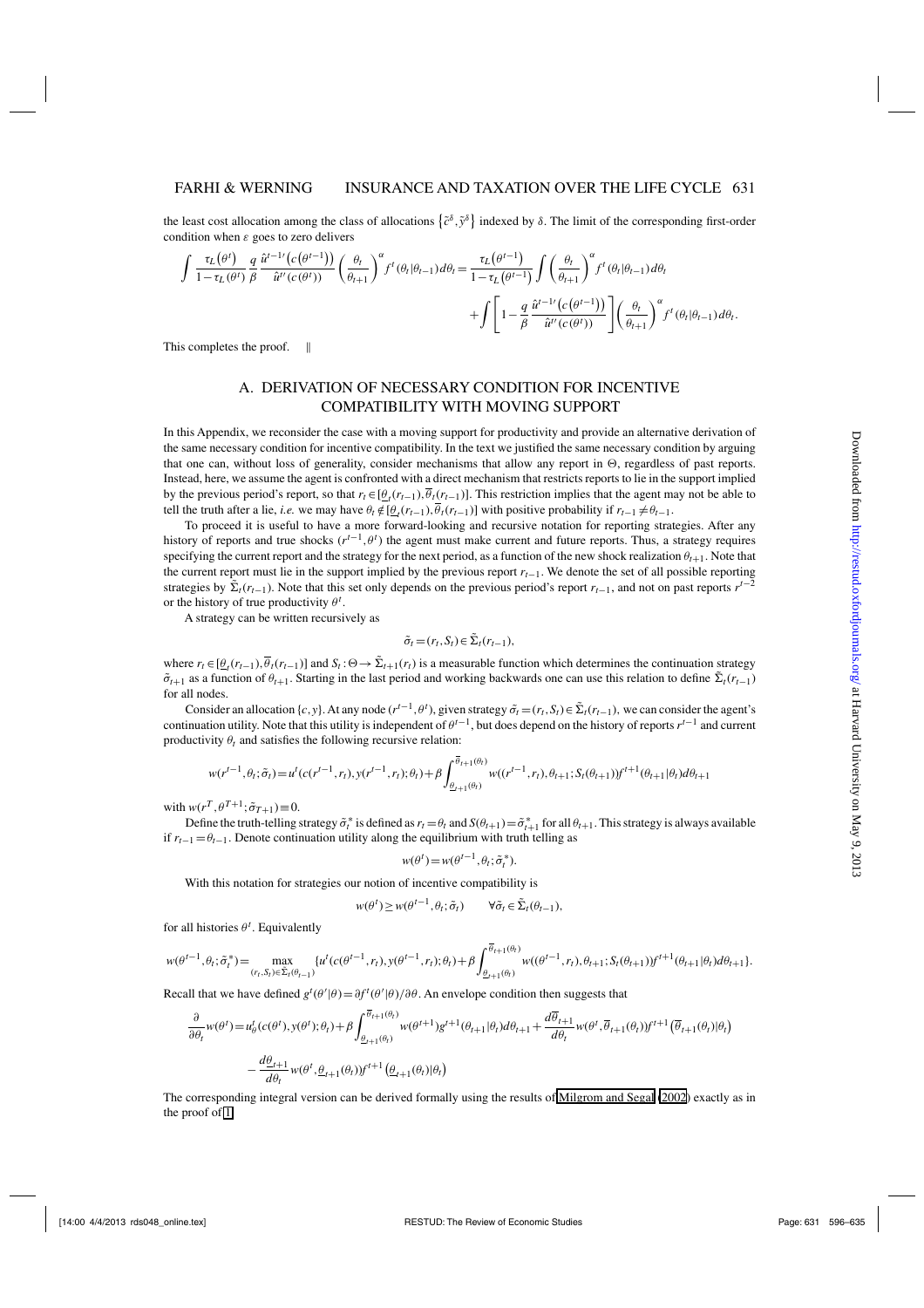the least cost allocation among the class of allocations  $\{\tilde{c}^\delta, \tilde{y}^\delta\}$  indexed by  $\delta$ . The limit of the corresponding first-order condition when  $\varepsilon$  goes to zero delivers

$$
\int \frac{\tau_L(\theta^t)}{1-\tau_L(\theta^t)} \frac{q}{\beta} \frac{\hat{u}^{t-1'}(c(\theta^{t-1}))}{\hat{u}''(c(\theta^t))} \left(\frac{\theta_t}{\theta_{t+1}}\right)^\alpha f'(\theta_t|\theta_{t-1}) d\theta_t = \frac{\tau_L(\theta^{t-1})}{1-\tau_L(\theta^{t-1})} \int \left(\frac{\theta_t}{\theta_{t+1}}\right)^\alpha f'(\theta_t|\theta_{t-1}) d\theta_t + \int \left[1 - \frac{q}{\beta} \frac{\hat{u}^{t-1'}(c(\theta^{t-1}))}{\hat{u}''(c(\theta^t))}\right] \left(\frac{\theta_t}{\theta_{t+1}}\right)^\alpha f'(\theta_t|\theta_{t-1}) d\theta_t.
$$

This completes the proof.

# A. DERIVATION OF NECESSARY CONDITION FOR INCENTIVE COMPATIBILITY WITH MOVING SUPPORT

In this Appendix, we reconsider the case with a moving support for productivity and provide an alternative derivation of the same necessary condition for incentive compatibility. In the text we justified the same necessary condition by arguing that one can, without loss of generality, consider mechanisms that allow any report in  $\Theta$ , regardless of past reports. Instead, here, we assume the agent is confronted with a direct mechanism that restricts reports to lie in the support implied by the previous period's report, so that  $r_t \in [\theta_r(r_{t-1}), \overline{\theta}_t(r_{t-1})]$ . This restriction implies that the agent may not be able to tell the truth after a lie, *i.e.* we may have  $\theta_t \notin [\theta_t(r_{t-1}), \overline{\theta}_t(r_{t-1})]$  with positive probability if  $r_{t-1} \neq \theta_{t-1}$ .

To proceed it is useful to have a more forward-looking and recursive notation for reporting strategies. After any history of reports and true shocks  $(r^{t-1}, \theta^t)$  the agent must make current and future reports. Thus, a strategy requires specifying the current report and the strategy for the next period, as a function of the new shock realization  $\theta_{t+1}$ . Note that the current report must lie in the support implied by the previous report *rt*−1. We denote the set of all possible reporting strategies by  $\sum_{i}$ ( $r_{t-1}$ ). Note that this set only depends on the previous period's report  $r_{t-1}$ , and not on past reports  $r^{t-1}$ or the history of true productivity  $\theta^t$ .

A strategy can be written recursively as

$$
\tilde{\sigma}_t = (r_t, S_t) \in \tilde{\Sigma}_t(r_{t-1}),
$$

where  $r_t \in [\theta_t(r_{t-1}), \overline{\theta}_t(r_{t-1})]$  and  $S_t : \Theta \to \Sigma_{t+1}(r_t)$  is a measurable function which determines the continuation strategy  $\tilde{\sigma}_{t+1}$  as a function of  $\theta_{t+1}$ . Starting in the last period and working backwards one can use this relation to define  $\tilde{\Sigma}_t(r_{t-1})$ for all nodes.

Consider an allocation  $\{c, y\}$ . At any node  $(r^{t-1}, \theta^t)$ , given strategy  $\tilde{\sigma}_t = (r_t, S_t) \in \tilde{\Sigma}_t(r_{t-1})$ , we can consider the agent's continuation utility. Note that this utility is independent of  $\theta^{t-1}$ , but does depend on the history of reports  $r^{t-1}$  and current productivity  $\theta_t$  and satisfies the following recursive relation:

$$
w(r^{t-1}, \theta_t; \tilde{\sigma}_t) = u^t(c(r^{t-1}, r_t), y(r^{t-1}, r_t); \theta_t) + \beta \int_{\theta_{t+1}(\theta_t)}^{\theta_{t+1}(\theta_t)} w((r^{t-1}, r_t), \theta_{t+1}; S_t(\theta_{t+1})) f^{t+1}(\theta_{t+1} | \theta_t) d\theta_{t+1}
$$

with  $w(r^T, \theta^{T+1}; \tilde{\sigma}_{T+1}) \equiv 0$ .

Define the truth-telling strategy  $\tilde{\sigma}_t^*$  is defined as  $r_t = \theta_t$  and  $S(\theta_{t+1}) = \tilde{\sigma}_{t+1}^*$  for all  $\theta_{t+1}$ . This strategy is always available if  $r_{t-1} = \theta_{t-1}$ . Denote continuation utility along the equilibrium with truth telling as

$$
w(\theta^t) = w(\theta^{t-1}, \theta_t; \tilde{\sigma}_t^*).
$$

With this notation for strategies our notion of incentive compatibility is

$$
w(\theta^t) \ge w(\theta^{t-1}, \theta_t; \tilde{\sigma}_t) \qquad \forall \tilde{\sigma}_t \in \tilde{\Sigma}_t(\theta_{t-1}),
$$

for all histories  $\theta^t$ . Equivalently

$$
w(\theta^{t-1}, \theta_t; \tilde{\sigma}_t^*) = \max_{(r_t, S_t) \in \tilde{\Sigma}_t(\theta_{t-1})} \{u^t(c(\theta^{t-1}, r_t), y(\theta^{t-1}, r_t); \theta_t) + \beta \int_{\theta_{t+1}(\theta_t)}^{\theta_{t+1}(\theta_t)} w((\theta^{t-1}, r_t), \theta_{t+1}; S_t(\theta_{t+1})) f^{t+1}(\theta_{t+1} | \theta_t) d\theta_{t+1}\}.
$$

Recall that we have defined  $g^t(\theta'|\theta) = \partial f^t(\theta'|\theta)/\partial \theta$ . An envelope condition then suggests that

$$
\frac{\partial}{\partial \theta_t} w(\theta^t) = u_{\theta}^t(c(\theta^t), y(\theta^t); \theta_t) + \beta \int_{\underline{\theta}_{t+1}(\theta_t)}^{\overline{\theta}_{t+1}(\theta_t)} w(\theta^{t+1}) g^{t+1}(\theta_{t+1} | \theta_t) d\theta_{t+1} + \frac{d\overline{\theta}_{t+1}}{d\theta_t} w(\theta^t, \overline{\theta}_{t+1}(\theta_t)) f^{t+1}(\overline{\theta}_{t+1}(\theta_t) | \theta_t)
$$

$$
- \frac{d\underline{\theta}_{t+1}}{d\theta_t} w(\theta^t, \underline{\theta}_{t+1}(\theta_t)) f^{t+1}(\underline{\theta}_{t+1}(\theta_t) | \theta_t)
$$

The corresponding integral version can be derived formally using the results of [Milgrom and Segal](#page-39-0) [\(2002](#page-39-0)) exactly as in the proof of [1.](#page-7-0)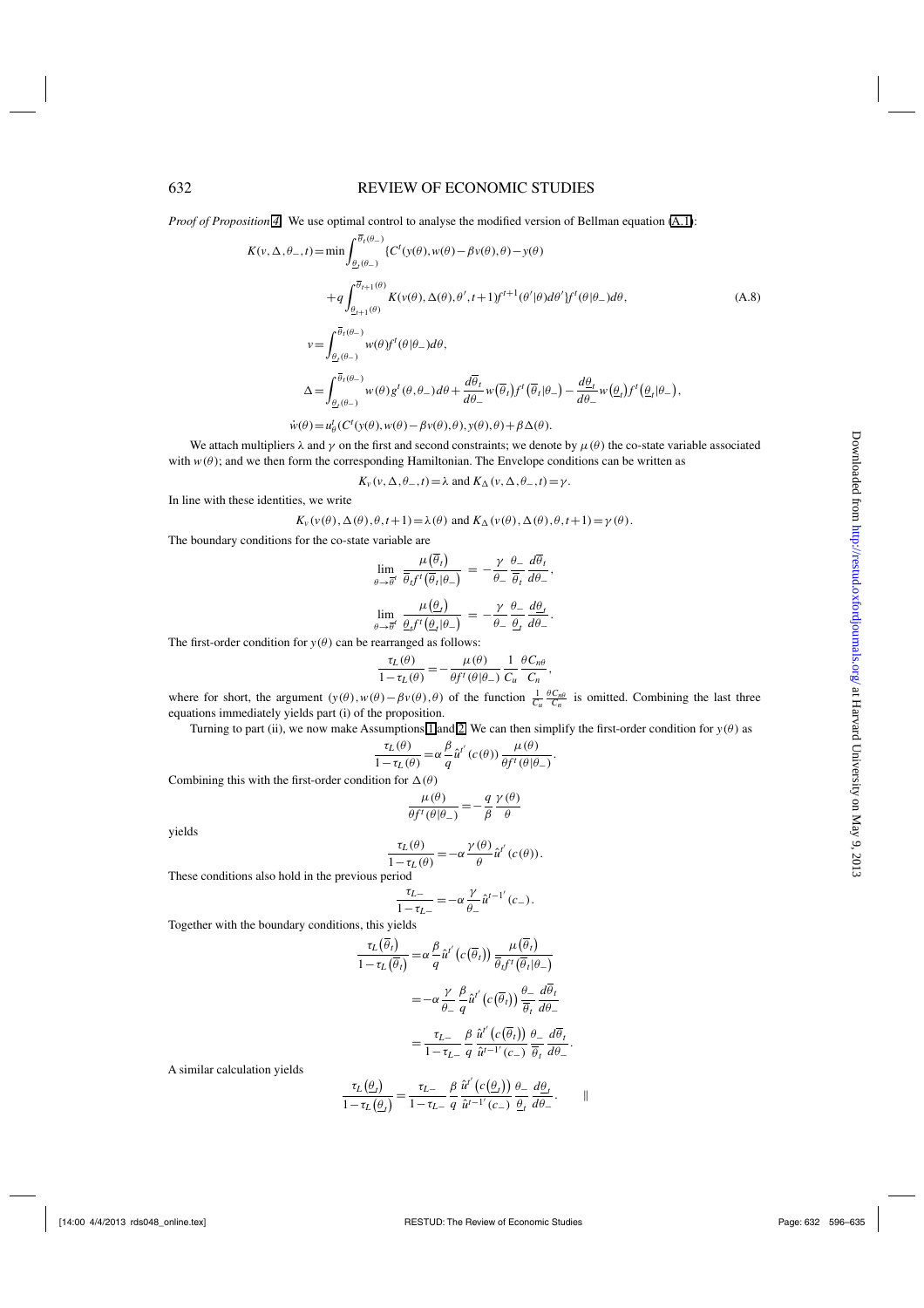# 632 REVIEW OF ECONOMIC STUDIES

*Proof of Proposition [4.](#page-16-0)* We use optimal control to analyse the modified version of Bellman equation [\(A.1\)](#page-33-0):

$$
K(\nu, \Delta, \theta_{-}, t) = \min \int_{\theta_{I}(\theta_{-})}^{\theta_{I}(\theta_{-})} \{C'(\nu(\theta), w(\theta) - \beta \nu(\theta), \theta) - \nu(\theta) + q \int_{\theta_{I+1}(\theta)}^{\overline{\theta}_{I+1}(\theta)} K(\nu(\theta), \Delta(\theta), \theta', t+1) f^{t+1}(\theta'|\theta) d\theta' f^{t}(\theta|\theta_{-}) d\theta, \n\nu = \int_{\theta_{I}(\theta_{-})}^{\overline{\theta}_{I}(\theta_{-})} w(\theta) f^{t}(\theta|\theta_{-}) d\theta, \n\Delta = \int_{\theta_{I}(\theta_{-})}^{\overline{\theta}_{I}(\theta_{-})} w(\theta) g^{t}(\theta, \theta_{-}) d\theta + \frac{d\overline{\theta}_{I}}{d\theta_{-}} w(\overline{\theta}_{I}) f^{t}(\overline{\theta}_{I}|\theta_{-}) - \frac{d\theta_{I}}{d\theta_{-}} w(\theta_{I}) f^{t}(\theta_{I}|\theta_{-}), \n\dot{w}(\theta) = u_{\theta}^{t}(C^{t}(y(\theta), w(\theta) - \beta \nu(\theta), \theta), y(\theta), \theta) + \beta \Delta(\theta).
$$
\n(A.8)

We attach multipliers  $\lambda$  and  $\gamma$  on the first and second constraints; we denote by  $\mu(\theta)$  the co-state variable associated with  $w(\theta)$ ; and we then form the corresponding Hamiltonian. The Envelope conditions can be written as

 $K_v(v, \Delta, \theta_-, t) = \lambda$  and  $K_\Delta(v, \Delta, \theta_-, t) = \gamma$ .

In line with these identities, we write

$$
K_v(v(\theta), \Delta(\theta), \theta, t+1) = \lambda(\theta)
$$
 and  $K_{\Delta}(v(\theta), \Delta(\theta), \theta, t+1) = \gamma(\theta)$ .

The boundary conditions for the co-state variable are

$$
\lim_{\theta \to \overline{\theta}'} \frac{\mu(\theta_t)}{\overline{\theta}_t f'(\overline{\theta}_t | \theta_-)} = -\frac{\gamma}{\theta_-} \frac{\theta_-}{\overline{\theta}_t} \frac{d\overline{\theta}_t}{d\theta_-},
$$
  

$$
\lim_{\theta \to \overline{\theta}'} \frac{\mu(\underline{\theta}_t)}{\underline{\theta}_t f'(\underline{\theta}_t | \theta_-)} = -\frac{\gamma}{\theta_-} \frac{\theta_-}{\underline{\theta}_t} \frac{d\underline{\theta}_t}{d\theta_-}.
$$

The first-order condition for  $y(\theta)$  can be rearranged as follows:

$$
\frac{\tau_L(\theta)}{1-\tau_L(\theta)} = -\frac{\mu(\theta)}{\theta f^t(\theta|\theta_-)} \frac{1}{C_u} \frac{\theta C_{n\theta}}{C_n},
$$

where for short, the argument  $(y(\theta), w(\theta) - \beta v(\theta), \theta)$  of the function  $\frac{1}{C_u} \frac{\theta C_n \theta}{C_n}$  is omitted. Combining the last three equations immediately yields part (i) of the proposition.

Turning to part (ii), we now make Assumptions [1](#page-11-0) and [2.](#page-12-0) We can then simplify the first-order condition for  $y(\theta)$  as

$$
\frac{\tau_L(\theta)}{1-\tau_L(\theta)} = \alpha \frac{\beta}{q} \hat{u}^{t'}(c(\theta)) \frac{\mu(\theta)}{\theta f^t(\theta|\theta_-)}.
$$

Combining this with the first-order condition for  $\Delta(\theta)$ 

$$
\frac{\mu(\theta)}{\theta f^t(\theta|\theta_-)} = -\frac{q}{\beta} \frac{\gamma(\theta)}{\theta}
$$

yields

$$
\frac{\tau_L(\theta)}{1-\tau_L(\theta)} = -\alpha \frac{\gamma(\theta)}{\theta} \hat{u}^{t'}(c(\theta)).
$$

These conditions also hold in the previous period

$$
\frac{\tau_{L-}}{1-\tau_{L-}}=-\alpha\frac{\gamma}{\theta_-}\hat{u}^{t-1'}(c_-).
$$

Together with the boundary conditions, this yields

$$
\frac{\tau_L(\overline{\theta}_t)}{1 - \tau_L(\overline{\theta}_t)} = \alpha \frac{\beta}{q} \hat{u}^{t'}(c(\overline{\theta}_t)) \frac{\mu(\overline{\theta}_t)}{\overline{\theta}_t f^t(\overline{\theta}_t | \theta_-)} \n= -\alpha \frac{\gamma}{\theta_-} \frac{\beta}{q} \hat{u}^{t'}(c(\overline{\theta}_t)) \frac{\theta_-}{\overline{\theta}_t} \frac{d\overline{\theta}_t}{d\theta_-} \n= \frac{\tau_L}{1 - \tau_L - \frac{\beta}{q} } \frac{\hat{u}^{t'}(c(\overline{\theta}_t))}{\hat{u}^{t-1'}(c_-)} \frac{\theta_-}{\overline{\theta}_t} \frac{d\overline{\theta}_t}{d\theta_-}.
$$

A similar calculation yields

$$
\frac{\tau_L(\underline{\theta}_t)}{1-\tau_L(\underline{\theta}_t)} = \frac{\tau_L}{1-\tau_L} \frac{\beta}{q} \frac{\hat{u}^{t'}(c(\underline{\theta}_t))}{\hat{u}^{t-1'}(c_-)} \frac{\theta_-}{\underline{\theta}_t} \frac{d\underline{\theta}_t}{d\theta_-}.
$$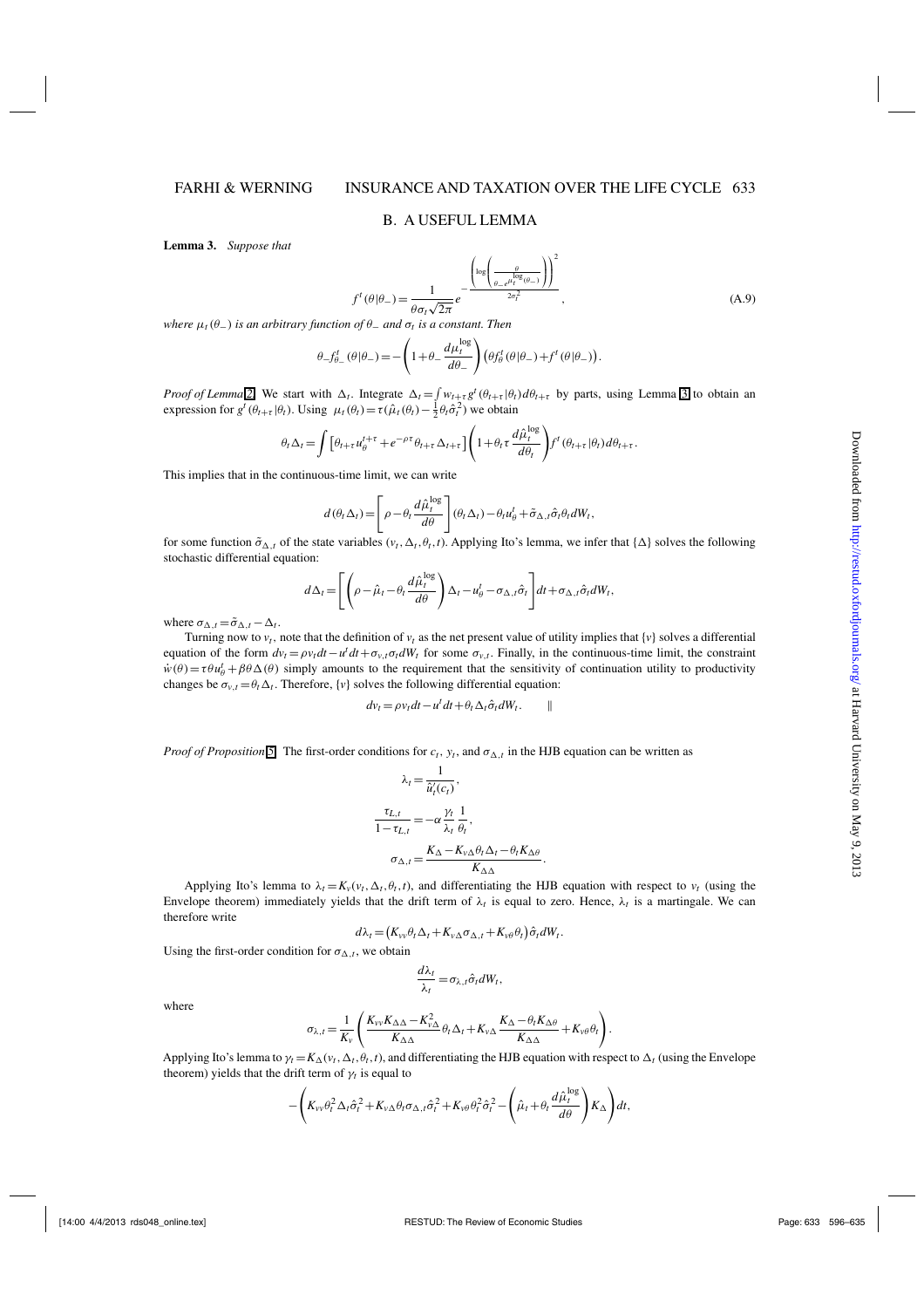#### B. A USEFUL LEMMA

**Lemma 3.** *Suppose that*

$$
f^t(\theta|\theta_{-}) = \frac{1}{\theta \sigma_t \sqrt{2\pi}} e^{-\frac{\left(\log\left(\frac{\theta}{\theta_{-}e^{\mu_t \log}(\theta_{-})}\right)\right)^2}{2\sigma_t^2}},
$$
(A.9)

*where*  $\mu_t(\theta_-)$  *is an arbitrary function of*  $\theta_-$  *and*  $\sigma_t$  *is a constant. Then* 

$$
\theta_{-}f_{\theta_{-}}^{t}(\theta|\theta_{-}) = -\left(1+\theta_{-}\frac{d\mu_{t}^{log}}{d\theta_{-}}\right)\left(\theta f_{\theta}^{t}(\theta|\theta_{-}) + f^{t}(\theta|\theta_{-})\right).
$$

*Proof of Lemma* [2.](#page-17-0) We start with  $\Delta_t$ . Integrate  $\Delta_t = \int w_{t+\tau} g^t(\theta_{t+\tau}|\theta_t) d\theta_{t+\tau}$  by parts, using Lemma 3 to obtain an expression for  $g^t(\theta_{t+\tau}|\theta_t)$ . Using  $\mu_t(\theta_t) = \tau(\hat{\mu}_t(\theta_t) - \frac{1}{2}\theta_t \hat{\sigma}_t^2)$  we obtain

$$
\theta_t \Delta_t = \int \left[ \theta_{t+\tau} u_\theta^{t+\tau} + e^{-\rho \tau} \theta_{t+\tau} \Delta_{t+\tau} \right] \left( 1 + \theta_t \tau \frac{d \hat{\mu}_t^{log}}{d \theta_t} \right) f^t \left( \theta_{t+\tau} | \theta_t \right) d \theta_{t+\tau}.
$$

This implies that in the continuous-time limit, we can write

$$
d(\theta_t \Delta_t) = \left[\rho - \theta_t \frac{d\hat{\mu}_t^{\log}}{d\theta}\right] (\theta_t \Delta_t) - \theta_t u_{\theta}^t + \tilde{\sigma}_{\Delta,t} \hat{\sigma}_t \theta_t dW_t,
$$

for some function  $\tilde{\sigma}_{\Delta,t}$  of the state variables  $(v_t, \Delta_t, \theta_t, t)$ . Applying Ito's lemma, we infer that  $\{\Delta\}$  solves the following stochastic differential equation:

$$
d\Delta_t = \left[ \left( \rho - \hat{\mu}_t - \theta_t \frac{d\hat{\mu}_t^{\log}}{d\theta} \right) \Delta_t - u_\theta^t - \sigma_{\Delta,t} \hat{\sigma}_t \right] dt + \sigma_{\Delta,t} \hat{\sigma}_t dW_t,
$$

where  $\sigma_{\Delta,t} = \tilde{\sigma}_{\Delta,t} - \Delta_t$ .

Turning now to  $v_t$ , note that the definition of  $v_t$  as the net present value of utility implies that  $\{v\}$  solves a differential equation of the form  $dv_t = \rho v_t dt - u^t dt + \sigma_{v,t} \sigma_t dW_t$  for some  $\sigma_{v,t}$ . Finally, in the continuous-time limit, the constraint  $\dot{w}(\theta) = \tau \theta u_{\theta}^t + \beta \theta \Delta(\theta)$  simply amounts to the requirement that the sensitivity of continuation utility to productivity changes be  $\sigma_{v,t} = \theta_t \Delta_t$ . Therefore,  $\{v\}$  solves the following differential equation:

$$
dv_t = \rho v_t dt - u^t dt + \theta_t \Delta_t \hat{\sigma}_t dW_t.
$$

*Proof of Proposition* [5.](#page-18-0) The first-order conditions for  $c_t$ ,  $y_t$ , and  $\sigma_{\Delta,t}$  in the HJB equation can be written as

$$
\lambda_t = \frac{1}{\hat{u}'_t(c_t)},
$$
  
\n
$$
\frac{\tau_{L,t}}{1 - \tau_{L,t}} = -\alpha \frac{\gamma_t}{\lambda_t} \frac{1}{\theta_t},
$$
  
\n
$$
\sigma_{\Delta,t} = \frac{K_{\Delta} - K_{\nu\Delta}\theta_t \Delta_t - \theta_t K_{\Delta\theta}}{K_{\Delta\Delta}}.
$$

Applying Ito's lemma to  $\lambda_t = K_v(\nu_t, \Delta_t, \theta_t, t)$ , and differentiating the HJB equation with respect to  $\nu_t$  (using the Envelope theorem) immediately yields that the drift term of  $\lambda_t$  is equal to zero. Hence,  $\lambda_t$  is a martingale. We can therefore write

$$
d\lambda_t = (K_{vv}\theta_t\Delta_t + K_{v\Delta}\sigma_{\Delta,t} + K_{v\theta}\theta_t)\hat{\sigma}_t dW_t.
$$

Using the first-order condition for  $\sigma_{\Delta,t}$ , we obtain

$$
\frac{d\lambda_t}{\lambda_t} = \sigma_{\lambda,t} \hat{\sigma}_t dW_t,
$$

where

$$
\sigma_{\lambda,t} = \frac{1}{K_{\nu}} \left( \frac{K_{\nu\nu} K_{\Delta\Delta} - K_{\nu\Delta}^2}{K_{\Delta\Delta}} \theta_t \Delta_t + K_{\nu\Delta} \frac{K_{\Delta} - \theta_t K_{\Delta\theta}}{K_{\Delta\Delta}} + K_{\nu\theta} \theta_t \right).
$$

Applying Ito's lemma to  $\gamma_t = K_\Delta(v_t, \Delta_t, \theta_t, t)$ , and differentiating the HJB equation with respect to  $\Delta_t$  (using the Envelope theorem) yields that the drift term of  $\gamma_t$  is equal to

$$
-\left(K_{\nu\nu}\theta_t^2\Delta_t\hat{\sigma}_t^2+K_{\nu\Delta}\theta_t\sigma_{\Delta,t}\hat{\sigma}_t^2+K_{\nu\theta}\theta_t^2\hat{\sigma}_t^2-\left(\hat{\mu}_t+\theta_t\frac{d\hat{\mu}_t^{\log}}{d\theta}\right)K_{\Delta}\right)dt,
$$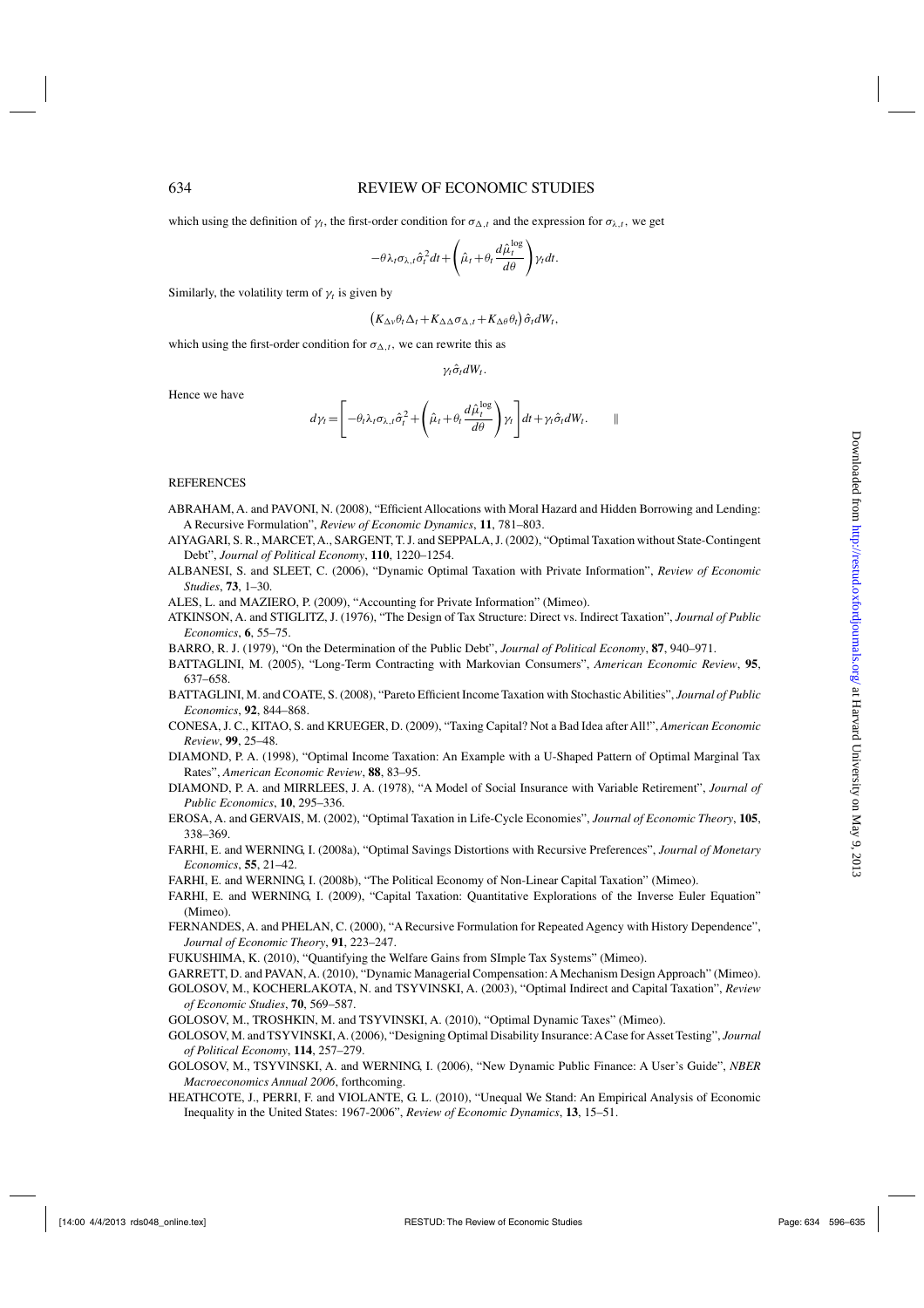# <span id="page-38-0"></span>634 REVIEW OF ECONOMIC STUDIES

which using the definition of  $\gamma_t$ , the first-order condition for  $\sigma_{\Delta,t}$  and the expression for  $\sigma_{\lambda,t}$ , we get

$$
-\theta\lambda_t\sigma_{\lambda,t}\hat{\sigma}_t^2dt + \left(\hat{\mu}_t + \theta_t\frac{d\hat{\mu}_t^{\text{log}}}{d\theta}\right)\gamma_t dt.
$$

Similarly, the volatility term of  $\gamma_t$  is given by

$$
(K_{\Delta\nu}\theta_t\Delta_t+K_{\Delta\Delta}\sigma_{\Delta,t}+K_{\Delta\theta}\theta_t)\hat{\sigma}_t dW_t,
$$

which using the first-order condition for  $\sigma_{\Delta,t}$ , we can rewrite this as

 $\nu_t \hat{\sigma}_t dW_t$ .

Hence we have

$$
d\gamma_t = \left[ -\theta_t \lambda_t \sigma_{\lambda,t} \hat{\sigma}_t^2 + \left( \hat{\mu}_t + \theta_t \frac{d\hat{\mu}_t^{\log}}{d\theta} \right) \gamma_t \right] dt + \gamma_t \hat{\sigma}_t dW_t. \qquad \parallel
$$

#### REFERENCES

- ABRAHAM, A. and PAVONI, N. (2008), "Efficient Allocations with Moral Hazard and Hidden Borrowing and Lending: A Recursive Formulation", *Review of Economic Dynamics*, **11**, 781–803.
- AIYAGARI, S. R., MARCET,A., SARGENT, T. J. and SEPPALA, J. (2002), "Optimal Taxation without State-Contingent Debt", *Journal of Political Economy*, **110**, 1220–1254.
- ALBANESI, S. and SLEET, C. (2006), "Dynamic Optimal Taxation with Private Information", *Review of Economic Studies*, **73**, 1–30.

ALES, L. and MAZIERO, P. (2009), "Accounting for Private Information" (Mimeo).

- ATKINSON, A. and STIGLITZ, J. (1976), "The Design of Tax Structure: Direct vs. Indirect Taxation", *Journal of Public Economics*, **6**, 55–75.
- BARRO, R. J. (1979), "On the Determination of the Public Debt", *Journal of Political Economy*, **87**, 940–971.
- BATTAGLINI, M. (2005), "Long-Term Contracting with Markovian Consumers", *American Economic Review*, **95**, 637–658.
- BATTAGLINI, M. and COATE, S. (2008), "Pareto Efficient Income Taxation with StochasticAbilities", *Journal of Public Economics*, **92**, 844–868.
- CONESA, J. C., KITAO, S. and KRUEGER, D. (2009), "Taxing Capital? Not a Bad Idea after All!", *American Economic Review*, **99**, 25–48.
- DIAMOND, P. A. (1998), "Optimal Income Taxation: An Example with a U-Shaped Pattern of Optimal Marginal Tax Rates", *American Economic Review*, **88**, 83–95.
- DIAMOND, P. A. and MIRRLEES, J. A. (1978), "A Model of Social Insurance with Variable Retirement", *Journal of Public Economics*, **10**, 295–336.
- EROSA, A. and GERVAIS, M. (2002), "Optimal Taxation in Life-Cycle Economies", *Journal of Economic Theory*, **105**, 338–369.
- FARHI, E. and WERNING, I. (2008a), "Optimal Savings Distortions with Recursive Preferences", *Journal of Monetary Economics*, **55**, 21–42.
- FARHI, E. and WERNING, I. (2008b), "The Political Economy of Non-Linear Capital Taxation" (Mimeo).
- FARHI, E. and WERNING, I. (2009), "Capital Taxation: Quantitative Explorations of the Inverse Euler Equation" (Mimeo)
- FERNANDES, A. and PHELAN, C. (2000), "A Recursive Formulation for Repeated Agency with History Dependence", *Journal of Economic Theory*, **91**, 223–247.
- FUKUSHIMA, K. (2010), "Quantifying the Welfare Gains from SImple Tax Systems" (Mimeo).
- GARRETT, D. and PAVAN, A. (2010), "Dynamic Managerial Compensation: A Mechanism Design Approach" (Mimeo).
- GOLOSOV, M., KOCHERLAKOTA, N. and TSYVINSKI, A. (2003), "Optimal Indirect and Capital Taxation", *Review of Economic Studies*, **70**, 569–587.
- GOLOSOV, M., TROSHKIN, M. and TSYVINSKI, A. (2010), "Optimal Dynamic Taxes" (Mimeo).
- GOLOSOV, M. and TSYVINSKI,A. (2006), "Designing Optimal Disability Insurance:ACase forAsset Testing", *Journal of Political Economy*, **114**, 257–279.
- GOLOSOV, M., TSYVINSKI, A. and WERNING, I. (2006), "New Dynamic Public Finance: A User's Guide", *NBER Macroeconomics Annual 2006*, forthcoming.
- HEATHCOTE, J., PERRI, F. and VIOLANTE, G. L. (2010), "Unequal We Stand: An Empirical Analysis of Economic Inequality in the United States: 1967-2006", *Review of Economic Dynamics*, **13**, 15–51.